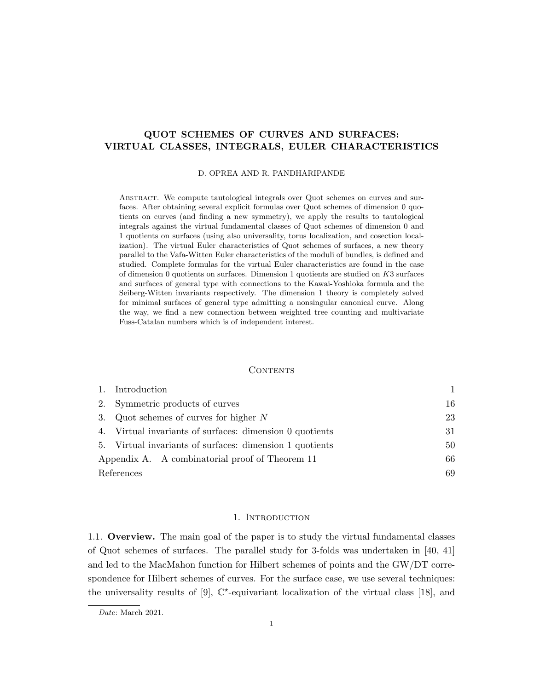# QUOT SCHEMES OF CURVES AND SURFACES: VIRTUAL CLASSES, INTEGRALS, EULER CHARACTERISTICS

#### D. OPREA AND R. PANDHARIPANDE

Abstract. We compute tautological integrals over Quot schemes on curves and surfaces. After obtaining several explicit formulas over Quot schemes of dimension 0 quotients on curves (and finding a new symmetry), we apply the results to tautological integrals against the virtual fundamental classes of Quot schemes of dimension 0 and 1 quotients on surfaces (using also universality, torus localization, and cosection localization). The virtual Euler characteristics of Quot schemes of surfaces, a new theory parallel to the Vafa-Witten Euler characteristics of the moduli of bundles, is defined and studied. Complete formulas for the virtual Euler characteristics are found in the case of dimension 0 quotients on surfaces. Dimension 1 quotients are studied on K3 surfaces and surfaces of general type with connections to the Kawai-Yoshioka formula and the Seiberg-Witten invariants respectively. The dimension 1 theory is completely solved for minimal surfaces of general type admitting a nonsingular canonical curve. Along the way, we find a new connection between weighted tree counting and multivariate Fuss-Catalan numbers which is of independent interest.

#### CONTENTS

|            | 1. Introduction                                          |    |
|------------|----------------------------------------------------------|----|
|            | 2. Symmetric products of curves                          | 16 |
|            | 3. Quot schemes of curves for higher $N$                 | 23 |
|            | 4. Virtual invariants of surfaces: dimension 0 quotients | 31 |
|            | 5. Virtual invariants of surfaces: dimension 1 quotients | 50 |
|            | Appendix A. A combinatorial proof of Theorem 11          | 66 |
| References |                                                          | 69 |

#### 1. INTRODUCTION

1.1. Overview. The main goal of the paper is to study the virtual fundamental classes of Quot schemes of surfaces. The parallel study for 3-folds was undertaken in [40, 41] and led to the MacMahon function for Hilbert schemes of points and the GW/DT correspondence for Hilbert schemes of curves. For the surface case, we use several techniques: the universality results of [9],  $\mathbb{C}^*$ -equivariant localization of the virtual class [18], and

Date: March 2021.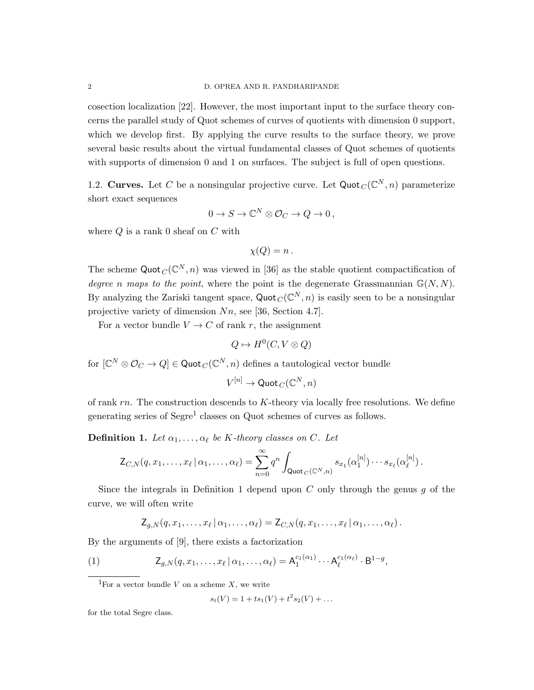cosection localization [22]. However, the most important input to the surface theory concerns the parallel study of Quot schemes of curves of quotients with dimension 0 support, which we develop first. By applying the curve results to the surface theory, we prove several basic results about the virtual fundamental classes of Quot schemes of quotients with supports of dimension 0 and 1 on surfaces. The subject is full of open questions.

1.2. Curves. Let C be a nonsingular projective curve. Let  $\mathsf{Quot}_C(\mathbb{C}^N,n)$  parameterize short exact sequences

$$
0 \to S \to \mathbb{C}^N \otimes \mathcal{O}_C \to Q \to 0\,,
$$

where  $Q$  is a rank 0 sheaf on  $C$  with

$$
\chi(Q) = n \, .
$$

The scheme  $\text{Quot}_C(\mathbb{C}^N, n)$  was viewed in [36] as the stable quotient compactification of degree n maps to the point, where the point is the degenerate Grassmannian  $\mathbb{G}(N, N)$ . By analyzing the Zariski tangent space,  $\text{Quot}_C(\mathbb{C}^N, n)$  is easily seen to be a nonsingular projective variety of dimension Nn, see [36, Section 4.7].

For a vector bundle  $V \to C$  of rank r, the assignment

$$
Q \mapsto H^0(C, V \otimes Q)
$$

for  $[\mathbb{C}^N \otimes \mathcal{O}_C \to Q] \in \text{Quot}_C(\mathbb{C}^N, n)$  defines a tautological vector bundle

 $V^{[n]}\to \mathsf{Quot}_C(\mathbb C^N,n)$ 

of rank  $rn$ . The construction descends to  $K$ -theory via locally free resolutions. We define generating series of Segre<sup>1</sup> classes on Quot schemes of curves as follows.

**Definition 1.** Let  $\alpha_1, \ldots, \alpha_\ell$  be K-theory classes on C. Let

$$
\mathsf{Z}_{C,N}(q,x_1,\ldots,x_\ell\,|\,\alpha_1,\ldots,\alpha_\ell)=\sum_{n=0}^\infty q^n\int_{\mathsf{Quot}_C(\mathbb{C}^N,n)}s_{x_1}(\alpha_1^{[n]})\cdots s_{x_\ell}(\alpha_\ell^{[n]})\,.
$$

Since the integrals in Definition 1 depend upon  $C$  only through the genus  $q$  of the curve, we will often write

 $\mathsf{Z}_{g,N}(q,x_1,\ldots,x_\ell\,|\,\alpha_1,\ldots,\alpha_\ell) = \mathsf{Z}_{C,N}(q,x_1,\ldots,x_\ell\,|\,\alpha_1,\ldots,\alpha_\ell)\,.$ 

By the arguments of [9], there exists a factorization

(1) 
$$
Z_{g,N}(q,x_1,\ldots,x_\ell\,|\,\alpha_1,\ldots,\alpha_\ell) = A_1^{c_1(\alpha_1)}\cdots A_\ell^{c_1(\alpha_\ell)}\cdot B^{1-g},
$$

<sup>1</sup>For a vector bundle V on a scheme X, we write

$$
s_t(V) = 1 + ts_1(V) + t^2 s_2(V) + \dots
$$

for the total Segre class.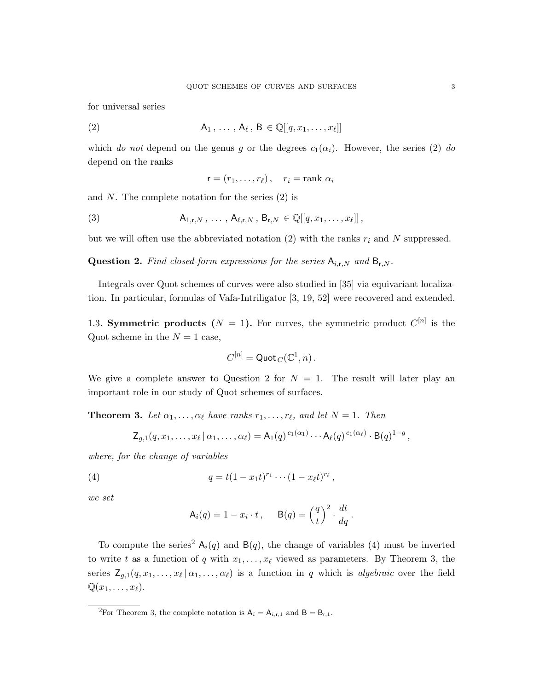for universal series

(2) 
$$
A_1, \ldots, A_\ell, B \in \mathbb{Q}[[q, x_1, \ldots, x_\ell]]
$$

which do not depend on the genus g or the degrees  $c_1(\alpha_i)$ . However, the series (2) do depend on the ranks

$$
\mathbf{r}=(r_1,\ldots,r_\ell)\,,\quad r_i=\mathrm{rank}\,\,\alpha_i
$$

and N. The complete notation for the series  $(2)$  is

(3) 
$$
A_{1,r,N}, \ldots, A_{\ell,r,N}, B_{r,N} \in \mathbb{Q}[[q, x_1, \ldots, x_\ell]],
$$

but we will often use the abbreviated notation  $(2)$  with the ranks  $r_i$  and N suppressed.

**Question 2.** Find closed-form expressions for the series  $A_{i,r,N}$  and  $B_{r,N}$ .

Integrals over Quot schemes of curves were also studied in [35] via equivariant localization. In particular, formulas of Vafa-Intriligator [3, 19, 52] were recovered and extended.

1.3. Symmetric products  $(N = 1)$ . For curves, the symmetric product  $C^{[n]}$  is the Quot scheme in the  $N = 1$  case,

$$
C^{[n]}=\mathsf{Quot}_C(\mathbb{C}^1,n)\,.
$$

We give a complete answer to Question 2 for  $N = 1$ . The result will later play an important role in our study of Quot schemes of surfaces.

**Theorem 3.** Let  $\alpha_1, \ldots, \alpha_\ell$  have ranks  $r_1, \ldots, r_\ell$ , and let  $N = 1$ . Then

$$
\mathsf{Z}_{g,1}(q,x_1,\ldots,x_\ell\,|\,\alpha_1,\ldots,\alpha_\ell) = \mathsf{A}_1(q)^{c_1(\alpha_1)}\cdots\mathsf{A}_\ell(q)^{c_1(\alpha_\ell)}\cdot\mathsf{B}(q)^{1-g}\,,
$$

where, for the change of variables

(4) 
$$
q = t(1-x_1t)^{r_1}\cdots(1-x_\ell t)^{r_\ell},
$$

we set

$$
\mathsf{A}_i(q) = 1 - x_i \cdot t, \quad \mathsf{B}(q) = \left(\frac{q}{t}\right)^2 \cdot \frac{dt}{dq}.
$$

To compute the series<sup>2</sup>  $A_i(q)$  and  $B(q)$ , the change of variables (4) must be inverted to write t as a function of q with  $x_1, \ldots, x_\ell$  viewed as parameters. By Theorem 3, the series  $\mathsf{Z}_{g,1}(q,x_1,\ldots,x_\ell\,|\,\alpha_1,\ldots,\alpha_\ell)$  is a function in q which is algebraic over the field  $\mathbb{Q}(x_1,\ldots,x_\ell).$ 

<sup>&</sup>lt;sup>2</sup>For Theorem 3, the complete notation is  $A_i = A_{i,r,1}$  and  $B = B_{r,1}$ .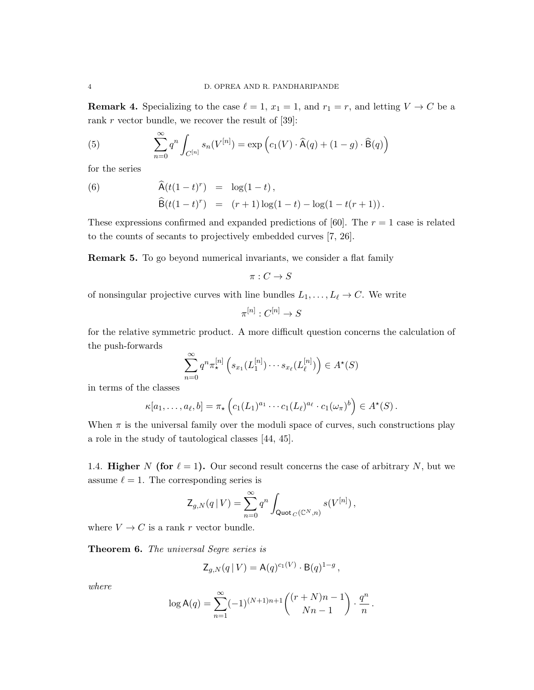**Remark 4.** Specializing to the case  $\ell = 1, x_1 = 1$ , and  $r_1 = r$ , and letting  $V \to C$  be a rank  $r$  vector bundle, we recover the result of [39]:

(5) 
$$
\sum_{n=0}^{\infty} q^n \int_{C^{[n]}} s_n(V^{[n]}) = \exp\left(c_1(V) \cdot \widehat{A}(q) + (1-g) \cdot \widehat{B}(q)\right)
$$

for the series

(6) 
$$
\widehat{A}(t(1-t)^r) = \log(1-t), \n\widehat{B}(t(1-t)^r) = (r+1)\log(1-t) - \log(1-t(r+1)).
$$

These expressions confirmed and expanded predictions of [60]. The  $r = 1$  case is related to the counts of secants to projectively embedded curves [7, 26].

Remark 5. To go beyond numerical invariants, we consider a flat family

 $\pi: C \to S$ 

of nonsingular projective curves with line bundles  $L_1, \ldots, L_\ell \to C$ . We write

 $\pi^{[n]}:C^{[n]}\rightarrow S$ 

for the relative symmetric product. A more difficult question concerns the calculation of the push-forwards

$$
\sum_{n=0}^{\infty} q^n \pi_{\star}^{[n]} \left( s_{x_1}(L_1^{[n]}) \cdots s_{x_\ell}(L_\ell^{[n]}) \right) \in A^{\star}(S)
$$

in terms of the classes

$$
\kappa[a_1,\ldots,a_\ell,b]=\pi_\star\left(c_1(L_1)^{a_1}\cdots c_1(L_\ell)^{a_\ell}\cdot c_1(\omega_\pi)^b\right)\in A^\star(S).
$$

When  $\pi$  is the universal family over the moduli space of curves, such constructions play a role in the study of tautological classes [44, 45].

1.4. Higher N (for  $\ell = 1$ ). Our second result concerns the case of arbitrary N, but we assume  $\ell = 1$ . The corresponding series is

$$
\mathsf{Z}_{g,N}(q\,|\, V)=\sum_{n=0}^\infty q^n\int_{\mathsf{Quot\,}_C(\mathbb{C}^N,n)}s(V^{[n]})\,,
$$

where  $V \to C$  is a rank r vector bundle.

Theorem 6. The universal Segre series is

$$
\mathsf{Z}_{g,N}(q | V) = \mathsf{A}(q)^{c_1(V)} \cdot \mathsf{B}(q)^{1-g},
$$

where

$$
\log \mathsf{A}(q) = \sum_{n=1}^{\infty} (-1)^{(N+1)n+1} \binom{(r+N)n-1}{Nn-1} \cdot \frac{q^n}{n}.
$$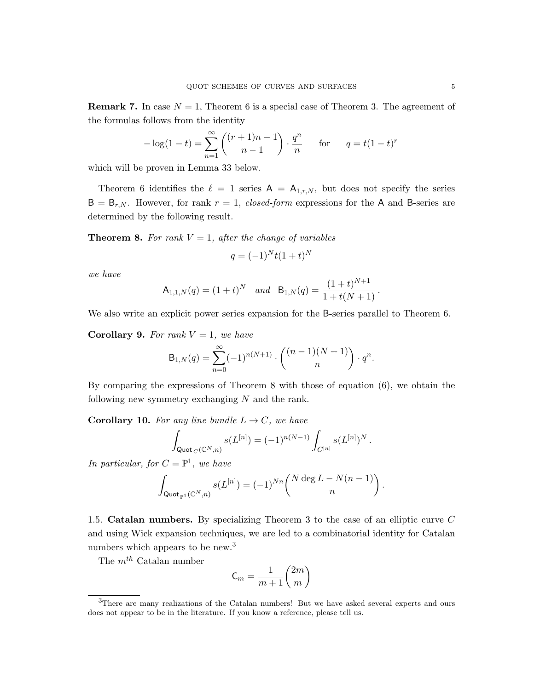**Remark 7.** In case  $N = 1$ , Theorem 6 is a special case of Theorem 3. The agreement of the formulas follows from the identity

$$
-\log(1-t) = \sum_{n=1}^{\infty} \binom{(r+1)n - 1}{n-1} \cdot \frac{q^n}{n} \quad \text{for} \quad q = t(1-t)^r
$$

which will be proven in Lemma 33 below.

Theorem 6 identifies the  $\ell = 1$  series  $A = A_{1,r,N}$ , but does not specify the series  $B = B_{r,N}$ . However, for rank  $r = 1$ , closed-form expressions for the A and B-series are determined by the following result.

**Theorem 8.** For rank  $V = 1$ , after the change of variables

$$
q = (-1)^N t (1 + t)^N
$$

we have

$$
\mathsf{A}_{1,1,N}(q) = (1+t)^N \quad \text{and} \quad \mathsf{B}_{1,N}(q) = \frac{(1+t)^{N+1}}{1+t(N+1)}\,.
$$

We also write an explicit power series expansion for the B-series parallel to Theorem 6.

Corollary 9. For rank  $V = 1$ , we have

$$
B_{1,N}(q) = \sum_{n=0}^{\infty} (-1)^{n(N+1)} \cdot \binom{(n-1)(N+1)}{n} \cdot q^n.
$$

By comparing the expressions of Theorem 8 with those of equation (6), we obtain the following new symmetry exchanging N and the rank.

**Corollary 10.** For any line bundle  $L \rightarrow C$ , we have

$$
\int_{\text{Quot}_C(\mathbb{C}^N,n)} s(L^{[n]}) = (-1)^{n(N-1)} \int_{C^{[n]}} s(L^{[n]})^N.
$$

In particular, for  $C = \mathbb{P}^1$ , we have

$$
\int_{\text{Quot}_{\mathbb{P}^1}(\mathbb{C}^N,n)} s(L^{[n]}) = (-1)^{Nn} {N \deg L - N(n-1) \choose n}.
$$

1.5. Catalan numbers. By specializing Theorem 3 to the case of an elliptic curve C and using Wick expansion techniques, we are led to a combinatorial identity for Catalan numbers which appears to be new.<sup>3</sup>

The  $m^{th}$  Catalan number

$$
\mathsf{C}_m = \frac{1}{m+1} \binom{2m}{m}
$$

<sup>&</sup>lt;sup>3</sup>There are many realizations of the Catalan numbers! But we have asked several experts and ours does not appear to be in the literature. If you know a reference, please tell us.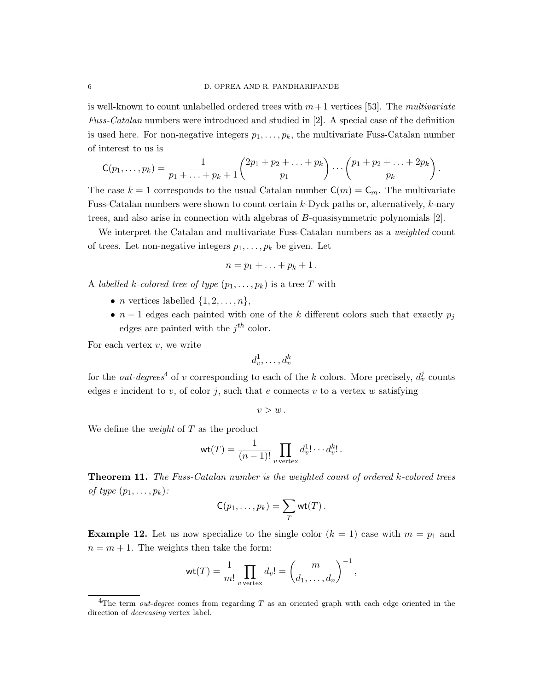is well-known to count unlabelled ordered trees with  $m+1$  vertices [53]. The multivariate Fuss-Catalan numbers were introduced and studied in [2]. A special case of the definition is used here. For non-negative integers  $p_1, \ldots, p_k$ , the multivariate Fuss-Catalan number of interest to us is

$$
C(p_1,\ldots,p_k) = \frac{1}{p_1 + \ldots + p_k + 1} {2p_1 + p_2 + \ldots + p_k \choose p_1} \cdots {p_1 + p_2 + \ldots + 2p_k \choose p_k}.
$$

The case  $k = 1$  corresponds to the usual Catalan number  $C(m) = C_m$ . The multivariate Fuss-Catalan numbers were shown to count certain k-Dyck paths or, alternatively, k-nary trees, and also arise in connection with algebras of B-quasisymmetric polynomials [2].

We interpret the Catalan and multivariate Fuss-Catalan numbers as a *weighted* count of trees. Let non-negative integers  $p_1, \ldots, p_k$  be given. Let

$$
n=p_1+\ldots+p_k+1.
$$

A labelled k-colored tree of type  $(p_1, \ldots, p_k)$  is a tree T with

- *n* vertices labelled  $\{1, 2, \ldots, n\},\$
- $n-1$  edges each painted with one of the k different colors such that exactly  $p_i$ edges are painted with the  $j^{th}$  color.

For each vertex  $v$ , we write

$$
d_v^1, \ldots, d_v^k
$$

for the *out-degrees*<sup>4</sup> of v corresponding to each of the k colors. More precisely,  $d_v^j$  counts edges e incident to v, of color j, such that e connects v to a vertex w satisfying

$$
v > w\,.
$$

We define the *weight* of  $T$  as the product

$$
\text{wt}(T) = \frac{1}{(n-1)!} \prod_{v \text{ vertex}} d_v^1! \cdots d_v^k!.
$$

Theorem 11. The Fuss-Catalan number is the weighted count of ordered k-colored trees of type  $(p_1, \ldots, p_k)$ :

$$
\mathsf{C}(p_1,\ldots,p_k)=\sum_T \mathsf{wt}(T)\,.
$$

**Example 12.** Let us now specialize to the single color  $(k = 1)$  case with  $m = p_1$  and  $n = m + 1$ . The weights then take the form:

$$
\operatorname{wt}(T) = \frac{1}{m!} \prod_{v \text{ vertex}} d_v! = \binom{m}{d_1, \dots, d_n}^{-1},
$$

<sup>&</sup>lt;sup>4</sup>The term *out-degree* comes from regarding T as an oriented graph with each edge oriented in the direction of decreasing vertex label.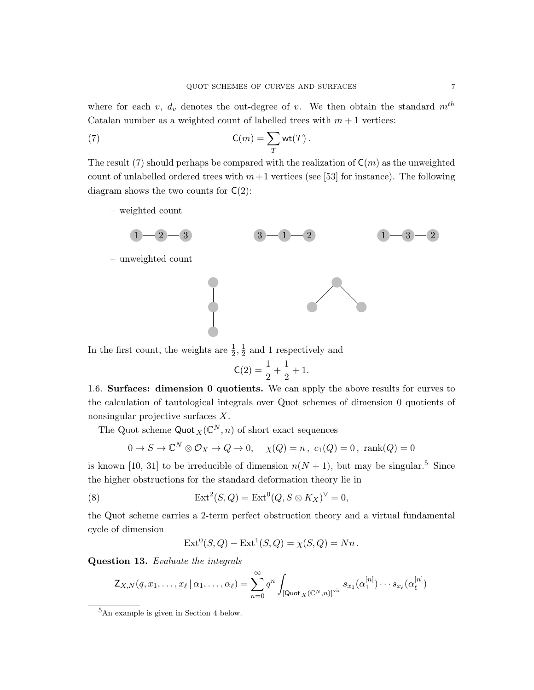where for each v,  $d_v$  denotes the out-degree of v. We then obtain the standard  $m^{th}$ Catalan number as a weighted count of labelled trees with  $m + 1$  vertices:

(7) 
$$
\mathsf{C}(m) = \sum_{T} \mathsf{wt}(T).
$$

The result (7) should perhaps be compared with the realization of  $C(m)$  as the unweighted count of unlabelled ordered trees with  $m+1$  vertices (see [53] for instance). The following diagram shows the two counts for  $C(2)$ :

– weighted count



In the first count, the weights are  $\frac{1}{2}$ ,  $\frac{1}{2}$  $\frac{1}{2}$  and 1 respectively and

$$
\mathsf{C}(2) = \frac{1}{2} + \frac{1}{2} + 1.
$$

1.6. Surfaces: dimension 0 quotients. We can apply the above results for curves to the calculation of tautological integrals over Quot schemes of dimension 0 quotients of nonsingular projective surfaces X.

The Quot scheme  $\text{Quot}_X(\mathbb{C}^N,n)$  of short exact sequences

$$
0 \to S \to \mathbb{C}^N \otimes \mathcal{O}_X \to Q \to 0, \quad \chi(Q) = n, \ c_1(Q) = 0, \ \text{rank}(Q) = 0
$$

is known [10, 31] to be irreducible of dimension  $n(N + 1)$ , but may be singular.<sup>5</sup> Since the higher obstructions for the standard deformation theory lie in

(8) 
$$
\operatorname{Ext}^2(S,Q) = \operatorname{Ext}^0(Q, S \otimes K_X)^{\vee} = 0,
$$

the Quot scheme carries a 2-term perfect obstruction theory and a virtual fundamental cycle of dimension

$$
Ext^{0}(S, Q) - Ext^{1}(S, Q) = \chi(S, Q) = Nn.
$$

Question 13. Evaluate the integrals

$$
\mathsf{Z}_{X,N}(q,x_1,\ldots,x_\ell\,|\,\alpha_1,\ldots,\alpha_\ell) = \sum_{n=0}^\infty q^n \int_{\left[\mathsf{Quot}_X(\mathbb{C}^N,n)\right]^{\text{vir}}} s_{x_1}(\alpha_1^{[n]})\cdots s_{x_\ell}(\alpha_\ell^{[n]})
$$

<sup>5</sup>An example is given in Section 4 below.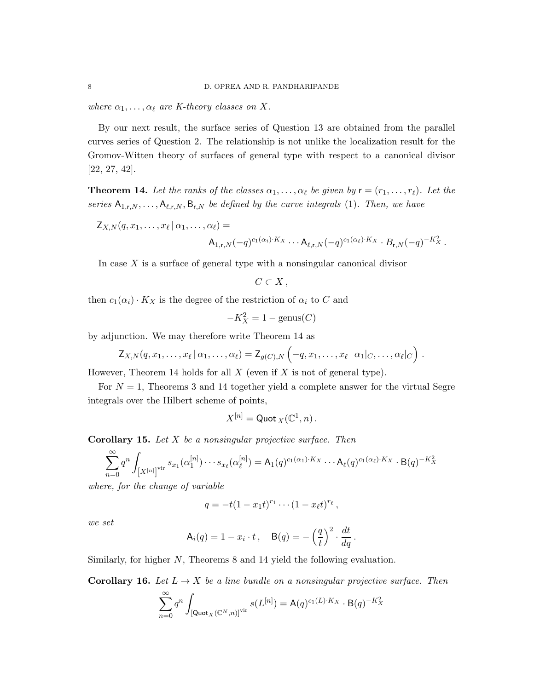where  $\alpha_1, \ldots, \alpha_\ell$  are K-theory classes on X.

By our next result, the surface series of Question 13 are obtained from the parallel curves series of Question 2. The relationship is not unlike the localization result for the Gromov-Witten theory of surfaces of general type with respect to a canonical divisor [22, 27, 42].

**Theorem 14.** Let the ranks of the classes  $\alpha_1, \ldots, \alpha_\ell$  be given by  $\mathbf{r} = (r_1, \ldots, r_\ell)$ . Let the series  $A_{1,r,N}, \ldots, A_{\ell,r,N}, B_{r,N}$  be defined by the curve integrals (1). Then, we have

$$
\mathsf{Z}_{X,N}(q,x_1,\ldots,x_\ell\,|\,\alpha_1,\ldots,\alpha_\ell) =
$$

$$
\mathsf{A}_{1,\mathsf{r},N}(-q)^{c_1(\alpha_i)\cdot K_X}\cdots \mathsf{A}_{\ell,\mathsf{r},N}(-q)^{c_1(\alpha_\ell)\cdot K_X}\cdot B_{\mathsf{r},N}(-q)^{-K_X^2}.
$$

In case  $X$  is a surface of general type with a nonsingular canonical divisor

$$
C\subset X\,,
$$

then  $c_1(\alpha_i) \cdot K_X$  is the degree of the restriction of  $\alpha_i$  to C and

$$
-K_X^2 = 1 - \text{genus}(C)
$$

by adjunction. We may therefore write Theorem 14 as

$$
\mathsf{Z}_{X,N}(q,x_1,\ldots,x_\ell\,|\,\alpha_1,\ldots,\alpha_\ell)=\mathsf{Z}_{g(C),N}\left(-q,x_1,\ldots,x_\ell\,\big|\,\alpha_1\,|_C,\ldots,\alpha_\ell\,|_C\right)\,.
$$

However, Theorem 14 holds for all  $X$  (even if  $X$  is not of general type).

For  $N = 1$ , Theorems 3 and 14 together yield a complete answer for the virtual Segre integrals over the Hilbert scheme of points,

$$
X^{[n]}=\mathsf{Quot}_X(\mathbb{C}^1,n)\,.
$$

**Corollary 15.** Let  $X$  be a nonsingular projective surface. Then

$$
\sum_{n=0}^{\infty} q^n \int_{[X^{[n]}]^{\text{vir}}} s_{x_1}(\alpha_1^{[n]}) \cdots s_{x_\ell}(\alpha_\ell^{[n]}) = A_1(q)^{c_1(\alpha_1)\cdot K_X} \cdots A_\ell(q)^{c_1(\alpha_\ell)\cdot K_X} \cdot B(q)^{-K_X^2}
$$

where, for the change of variable

$$
q = -t(1-x_1t)^{r_1}\cdots(1-x_{\ell}t)^{r_{\ell}},
$$

we set

$$
\mathsf{A}_i(q) = 1 - x_i \cdot t, \quad \mathsf{B}(q) = -\left(\frac{q}{t}\right)^2 \cdot \frac{dt}{dq}.
$$

Similarly, for higher N, Theorems 8 and 14 yield the following evaluation.

**Corollary 16.** Let  $L \to X$  be a line bundle on a nonsingular projective surface. Then

$$
\sum_{n=0}^{\infty} q^n \int_{\left[\mathsf{Quot}_X(\mathbb{C}^N,n)\right]^{\text{vir}}} s(L^{[n]}) = \mathsf{A}(q)^{c_1(L)\cdot K_X} \cdot \mathsf{B}(q)^{-K_X^2}
$$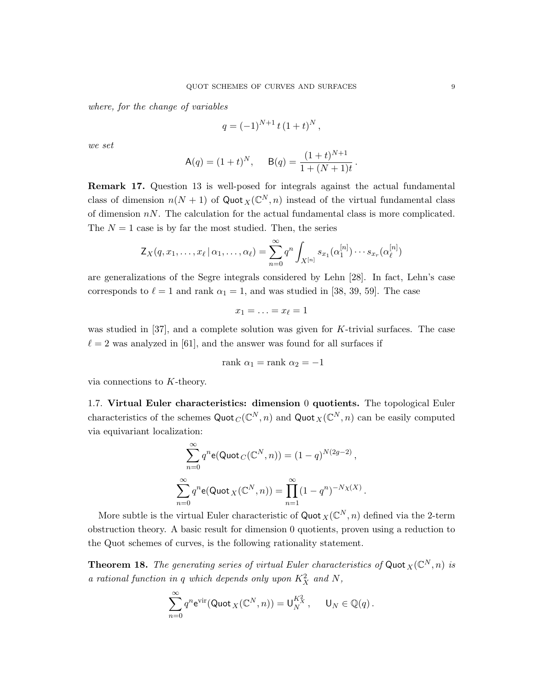where, for the change of variables

$$
q = (-1)^{N+1} t (1+t)^N,
$$

we set

$$
A(q) = (1+t)^N, \quad B(q) = \frac{(1+t)^{N+1}}{1 + (N+1)t}.
$$

Remark 17. Question 13 is well-posed for integrals against the actual fundamental class of dimension  $n(N + 1)$  of Quot  $_X(\mathbb{C}^N, n)$  instead of the virtual fundamental class of dimension  $nN$ . The calculation for the actual fundamental class is more complicated. The  $N = 1$  case is by far the most studied. Then, the series

$$
\mathsf{Z}_{X}(q,x_1,\ldots,x_\ell\,|\,\alpha_1,\ldots,\alpha_\ell)=\sum_{n=0}^\infty q^n\int_{X^{[n]}}s_{x_1}(\alpha_1^{[n]})\cdots s_{x_r}(\alpha_\ell^{[n]})
$$

are generalizations of the Segre integrals considered by Lehn [28]. In fact, Lehn's case corresponds to  $\ell = 1$  and rank  $\alpha_1 = 1$ , and was studied in [38, 39, 59]. The case

$$
x_1=\ldots=x_\ell=1
$$

was studied in [37], and a complete solution was given for K-trivial surfaces. The case  $\ell = 2$  was analyzed in [61], and the answer was found for all surfaces if

$$
rank \alpha_1 = rank \alpha_2 = -1
$$

via connections to K-theory.

1.7. Virtual Euler characteristics: dimension 0 quotients. The topological Euler characteristics of the schemes  $\text{Quot}_C(\mathbb{C}^N, n)$  and  $\text{Quot}_X(\mathbb{C}^N, n)$  can be easily computed via equivariant localization:

$$
\sum_{n=0}^{\infty} q^n \mathbf{e}(\text{Quot}_C(\mathbb{C}^N, n)) = (1 - q)^{N(2g - 2)},
$$
  

$$
\sum_{n=0}^{\infty} q^n \mathbf{e}(\text{Quot}_X(\mathbb{C}^N, n)) = \prod_{n=1}^{\infty} (1 - q^n)^{-N_X(X)}
$$

.

More subtle is the virtual Euler characteristic of  $\text{Quot}_X(\mathbb{C}^N, n)$  defined via the 2-term obstruction theory. A basic result for dimension 0 quotients, proven using a reduction to the Quot schemes of curves, is the following rationality statement.

**Theorem 18.** The generating series of virtual Euler characteristics of Quot  $_X(\mathbb{C}^N,n)$  is a rational function in q which depends only upon  $K_X^2$  and N,

$$
\sum_{n=0}^{\infty} q^n \mathrm{e}^{\mathrm{vir}}(\mathrm{Quot}_X(\mathbb{C}^N, n)) = \mathrm{U}_N^{K_X^2}, \quad \mathrm{U}_N \in \mathbb{Q}(q).
$$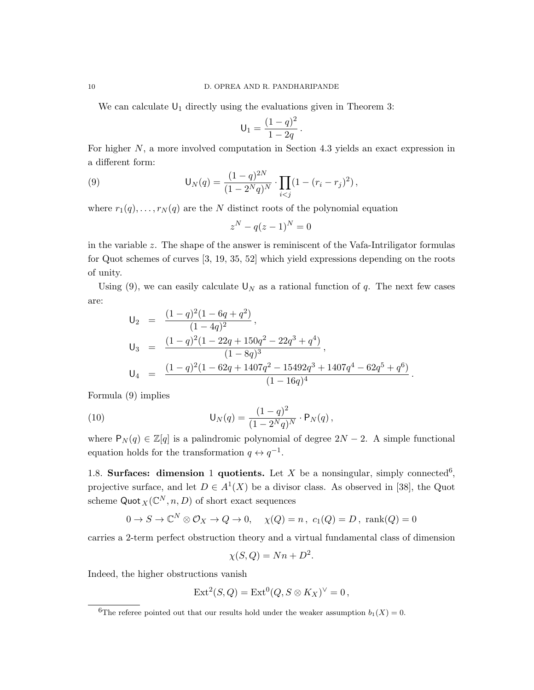We can calculate  $U_1$  directly using the evaluations given in Theorem 3:

$$
U_1 = \frac{(1-q)^2}{1-2q} \, .
$$

For higher N, a more involved computation in Section 4.3 yields an exact expression in a different form:

(9) 
$$
\mathsf{U}_N(q) = \frac{(1-q)^{2N}}{(1-2^Nq)^N} \cdot \prod_{i < j} (1-(r_i-r_j)^2),
$$

where  $r_1(q), \ldots, r_N(q)$  are the N distinct roots of the polynomial equation

$$
z^N - q(z-1)^N = 0
$$

in the variable z. The shape of the answer is reminiscent of the Vafa-Intriligator formulas for Quot schemes of curves [3, 19, 35, 52] which yield expressions depending on the roots of unity.

Using (9), we can easily calculate  $\mathsf{U}_N$  as a rational function of q. The next few cases are:

$$
U_2 = \frac{(1-q)^2(1-6q+q^2)}{(1-4q)^2},
$$
  
\n
$$
U_3 = \frac{(1-q)^2(1-22q+150q^2-22q^3+q^4)}{(1-8q)^3},
$$
  
\n
$$
U_4 = \frac{(1-q)^2(1-62q+1407q^2-15492q^3+1407q^4-62q^5+q^6)}{(1-16q)^4}
$$

.

Formula (9) implies

(10) 
$$
\mathsf{U}_N(q) = \frac{(1-q)^2}{(1-2^Nq)^N} \cdot \mathsf{P}_N(q),
$$

where  $P_N(q) \in \mathbb{Z}[q]$  is a palindromic polynomial of degree  $2N-2$ . A simple functional equation holds for the transformation  $q \leftrightarrow q^{-1}$ .

1.8. Surfaces: dimension 1 quotients. Let X be a nonsingular, simply connected<sup>6</sup>, projective surface, and let  $D \in A^1(X)$  be a divisor class. As observed in [38], the Quot scheme  $\mathsf{Quot}_X(\mathbb C^N, n, D)$  of short exact sequences

$$
0 \to S \to \mathbb{C}^N \otimes \mathcal{O}_X \to Q \to 0, \quad \chi(Q) = n, \ c_1(Q) = D, \ \text{rank}(Q) = 0
$$

carries a 2-term perfect obstruction theory and a virtual fundamental class of dimension

$$
\chi(S, Q) = Nn + D^2.
$$

Indeed, the higher obstructions vanish

$$
Ext^2(S,Q) = Ext^0(Q, S \otimes K_X)^{\vee} = 0,
$$

<sup>&</sup>lt;sup>6</sup>The referee pointed out that our results hold under the weaker assumption  $b_1(X) = 0$ .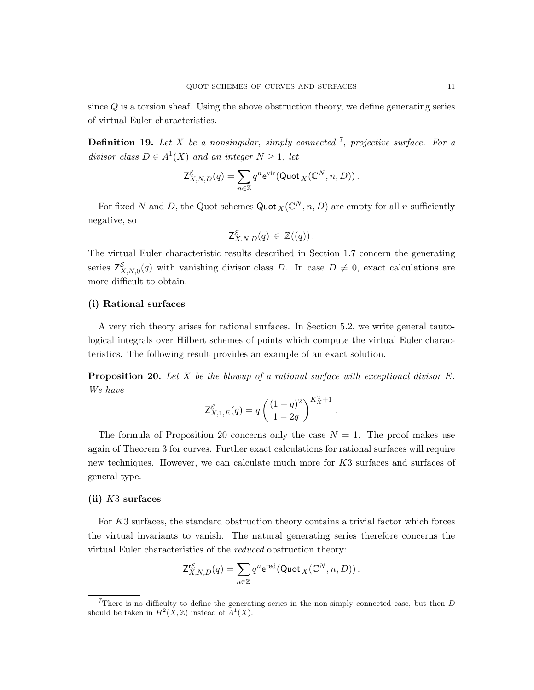since  $Q$  is a torsion sheaf. Using the above obstruction theory, we define generating series of virtual Euler characteristics.

**Definition 19.** Let X be a nonsingular, simply connected <sup>7</sup>, projective surface. For a divisor class  $D \in A^1(X)$  and an integer  $N \geq 1$ , let

$$
\mathsf{Z}^{\mathcal{E}}_{X,N,D}(q) = \sum_{n \in \mathbb{Z}} q^n \mathrm{e}^{\mathrm{vir}}(\mathsf{Quot}_{X}(\mathbb{C}^N,n,D))\,.
$$

For fixed N and D, the Quot schemes  $\text{Quot }_{X}(\mathbb{C}^N, n, D)$  are empty for all n sufficiently negative, so

$$
\mathsf{Z}^{\mathcal{E}}_{X,N,D}(q) \in \mathbb{Z}((q)).
$$

The virtual Euler characteristic results described in Section 1.7 concern the generating series  $\mathsf{Z}_{X,N,0}^{\mathcal{E}}(q)$  with vanishing divisor class D. In case  $D \neq 0$ , exact calculations are more difficult to obtain.

# (i) Rational surfaces

A very rich theory arises for rational surfaces. In Section 5.2, we write general tautological integrals over Hilbert schemes of points which compute the virtual Euler characteristics. The following result provides an example of an exact solution.

**Proposition 20.** Let X be the blowup of a rational surface with exceptional divisor  $E$ . We have

$$
\mathsf{Z}^{\mathcal{E}}_{X,1,E}(q) = q \left( \frac{(1-q)^2}{1-2q} \right)^{K_X^2+1}.
$$

The formula of Proposition 20 concerns only the case  $N = 1$ . The proof makes use again of Theorem 3 for curves. Further exact calculations for rational surfaces will require new techniques. However, we can calculate much more for K3 surfaces and surfaces of general type.

### $(ii)$  K<sub>3</sub> surfaces

For K3 surfaces, the standard obstruction theory contains a trivial factor which forces the virtual invariants to vanish. The natural generating series therefore concerns the virtual Euler characteristics of the reduced obstruction theory:

$$
\mathsf{Z}^{\mathsf{r}\mathcal{E}}_{X,N,D}(q) = \sum_{n \in \mathbb{Z}} q^n \mathrm{e}^{\mathrm{red}} (\mathsf{Quot}_X(\mathbb{C}^N,n,D)).
$$

There is no difficulty to define the generating series in the non-simply connected case, but then  $D$ should be taken in  $H^2(X,\mathbb{Z})$  instead of  $A^1(X)$ .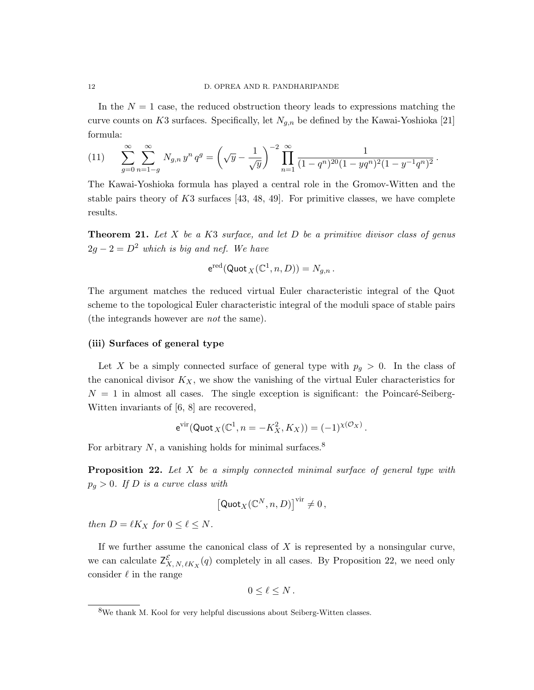In the  $N = 1$  case, the reduced obstruction theory leads to expressions matching the curve counts on K3 surfaces. Specifically, let  $N_{q,n}$  be defined by the Kawai-Yoshioka [21] formula:

(11) 
$$
\sum_{g=0}^{\infty} \sum_{n=1-g}^{\infty} N_{g,n} y^n q^g = \left(\sqrt{y} - \frac{1}{\sqrt{y}}\right)^{-2} \prod_{n=1}^{\infty} \frac{1}{(1-q^n)^{20}(1-yq^n)^2(1-y^{-1}q^n)^2}.
$$

The Kawai-Yoshioka formula has played a central role in the Gromov-Witten and the stable pairs theory of  $K3$  surfaces [43, 48, 49]. For primitive classes, we have complete results.

**Theorem 21.** Let X be a K3 surface, and let D be a primitive divisor class of genus  $2g - 2 = D<sup>2</sup>$  which is big and nef. We have

$$
e^{\mathrm{red}}(\mathrm{Quot}_X(\mathbb{C}^1,n,D))=N_{g,n}.
$$

The argument matches the reduced virtual Euler characteristic integral of the Quot scheme to the topological Euler characteristic integral of the moduli space of stable pairs (the integrands however are not the same).

## (iii) Surfaces of general type

Let X be a simply connected surface of general type with  $p_g > 0$ . In the class of the canonical divisor  $K_X$ , we show the vanishing of the virtual Euler characteristics for  $N = 1$  in almost all cases. The single exception is significant: the Poincaré-Seiberg-Witten invariants of [6, 8] are recovered,

$$
e^{\text{vir}}(\text{Quot}_X(\mathbb{C}^1, n = -K_X^2, K_X)) = (-1)^{\chi(\mathcal{O}_X)}.
$$

For arbitrary  $N$ , a vanishing holds for minimal surfaces.<sup>8</sup>

**Proposition 22.** Let  $X$  be a simply connected minimal surface of general type with  $p_q > 0$ . If D is a curve class with

$$
\left[\mathsf {Quot}_X(\mathbb{C}^N,n,D)\right]^{\mathop{\text{\rm vir}}}\neq 0\,,
$$

then  $D = \ell K_X$  for  $0 \leq \ell \leq N$ .

If we further assume the canonical class of  $X$  is represented by a nonsingular curve, we can calculate  $\mathsf{Z}_{X,N,\ell K_X}^{\mathcal{E}}(q)$  completely in all cases. By Proposition 22, we need only consider  $\ell$  in the range

$$
0\leq \ell\leq N\,.
$$

<sup>8</sup>We thank M. Kool for very helpful discussions about Seiberg-Witten classes.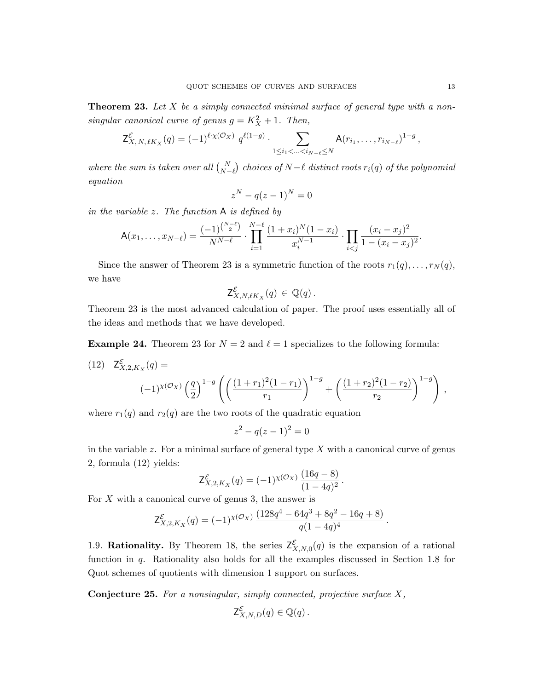**Theorem 23.** Let X be a simply connected minimal surface of general type with a nonsingular canonical curve of genus  $g = K_X^2 + 1$ . Then,

$$
\mathsf{Z}^{\mathcal{E}}_{X, N, \ell K_X}(q) = (-1)^{\ell \cdot \chi(\mathcal{O}_X)} q^{\ell(1-g)} \cdot \sum_{1 \leq i_1 < \ldots < i_{N-\ell} \leq N} \mathsf{A}(r_{i_1}, \ldots, r_{i_{N-\ell}})^{1-g},
$$

where the sum is taken over all  $\binom{N}{N-\ell}$  choices of  $N-\ell$  distinct roots  $r_i(q)$  of the polynomial equation

$$
z^N - q(z-1)^N = 0
$$

in the variable  $z$ . The function  $A$  is defined by

$$
\mathsf{A}(x_1,\ldots,x_{N-\ell})=\frac{(-1)^{\binom{N-\ell}{2}}}{N^{N-\ell}}\cdot\prod_{i=1}^{N-\ell}\frac{(1+x_i)^N(1-x_i)}{x_i^{N-1}}\cdot\prod_{i
$$

Since the answer of Theorem 23 is a symmetric function of the roots  $r_1(q), \ldots, r_N(q)$ , we have

$$
\mathsf{Z}^{\mathcal{E}}_{X,N,\ell K_X}(q) \in \mathbb{Q}(q)\,.
$$

Theorem 23 is the most advanced calculation of paper. The proof uses essentially all of the ideas and methods that we have developed.

**Example 24.** Theorem 23 for  $N = 2$  and  $\ell = 1$  specializes to the following formula:

(12) 
$$
\mathsf{Z}^{\mathcal{E}}_{X,2,K_X}(q) =
$$

$$
(-1)^{\chi(\mathcal{O}_X)} \left(\frac{q}{2}\right)^{1-g} \left( \left(\frac{(1+r_1)^2(1-r_1)}{r_1}\right)^{1-g} + \left(\frac{(1+r_2)^2(1-r_2)}{r_2}\right)^{1-g} \right),
$$

where  $r_1(q)$  and  $r_2(q)$  are the two roots of the quadratic equation

$$
z^2 - q(z - 1)^2 = 0
$$

in the variable z. For a minimal surface of general type  $X$  with a canonical curve of genus 2, formula (12) yields:

$$
\mathsf{Z}^{\mathcal{E}}_{X,2,K_X}(q) = (-1)^{\chi(\mathcal{O}_X)} \, \frac{(16q-8)}{(1-4q)^2} \, .
$$

For  $X$  with a canonical curve of genus 3, the answer is

$$
\mathsf{Z}^{\mathcal{E}}_{X,2,K_X}(q) = (-1)^{\chi(\mathcal{O}_X)} \frac{(128q^4 - 64q^3 + 8q^2 - 16q + 8)}{q(1 - 4q)^4}
$$

.

1.9. Rationality. By Theorem 18, the series  $Z^{\mathcal{E}}_{X,N,0}(q)$  is the expansion of a rational function in q. Rationality also holds for all the examples discussed in Section 1.8 for Quot schemes of quotients with dimension 1 support on surfaces.

**Conjecture 25.** For a nonsingular, simply connected, projective surface  $X$ ,

$$
\mathsf{Z}^{\mathcal{E}}_{X,N,D}(q) \in \mathbb{Q}(q) \, .
$$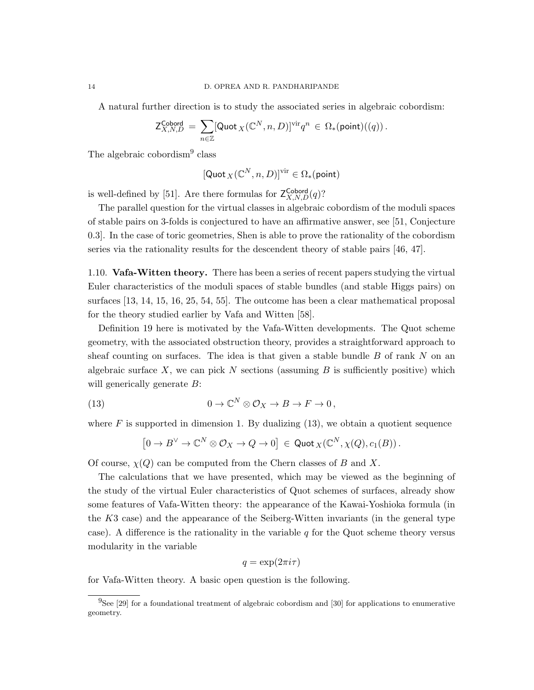A natural further direction is to study the associated series in algebraic cobordism:

$$
\mathsf{Z}^{\mathsf{Cobord}}_{X,N,D} \, = \, \sum_{n \in \mathbb{Z}} [\mathsf{Quot}_{\,X}(\mathbb{C}^N,n,D)]^{\mathsf{vir}} q^n \, \in \, \Omega_\ast(\mathsf{point})((q))\,.
$$

The algebraic cobordism<sup>9</sup> class

$$
[\mathsf{Quot}_X(\mathbb{C}^N,n,D)]^\mathrm{vir}\in\Omega_*(\mathsf{point})
$$

is well-defined by [51]. Are there formulas for  $\mathsf{Z}_{X,N,D}^{\mathsf{Cobord}}(q)$ ?

The parallel question for the virtual classes in algebraic cobordism of the moduli spaces of stable pairs on 3-folds is conjectured to have an affirmative answer, see [51, Conjecture 0.3]. In the case of toric geometries, Shen is able to prove the rationality of the cobordism series via the rationality results for the descendent theory of stable pairs [46, 47].

1.10. Vafa-Witten theory. There has been a series of recent papers studying the virtual Euler characteristics of the moduli spaces of stable bundles (and stable Higgs pairs) on surfaces [13, 14, 15, 16, 25, 54, 55]. The outcome has been a clear mathematical proposal for the theory studied earlier by Vafa and Witten [58].

Definition 19 here is motivated by the Vafa-Witten developments. The Quot scheme geometry, with the associated obstruction theory, provides a straightforward approach to sheaf counting on surfaces. The idea is that given a stable bundle  $B$  of rank  $N$  on an algebraic surface X, we can pick N sections (assuming  $B$  is sufficiently positive) which will generically generate  $B$ :

(13) 
$$
0 \to \mathbb{C}^N \otimes \mathcal{O}_X \to B \to F \to 0,
$$

where  $F$  is supported in dimension 1. By dualizing  $(13)$ , we obtain a quotient sequence

$$
\left[0 \to B^{\vee} \to \mathbb{C}^N \otimes \mathcal{O}_X \to Q \to 0\right] \,\in \, \text{Quot}_X(\mathbb{C}^N,\chi(Q),c_1(B))\,.
$$

Of course,  $\chi(Q)$  can be computed from the Chern classes of B and X.

The calculations that we have presented, which may be viewed as the beginning of the study of the virtual Euler characteristics of Quot schemes of surfaces, already show some features of Vafa-Witten theory: the appearance of the Kawai-Yoshioka formula (in the K3 case) and the appearance of the Seiberg-Witten invariants (in the general type case). A difference is the rationality in the variable q for the Quot scheme theory versus modularity in the variable

$$
q = \exp(2\pi i \tau)
$$

for Vafa-Witten theory. A basic open question is the following.

 $^{9}$ See [29] for a foundational treatment of algebraic cobordism and [30] for applications to enumerative geometry.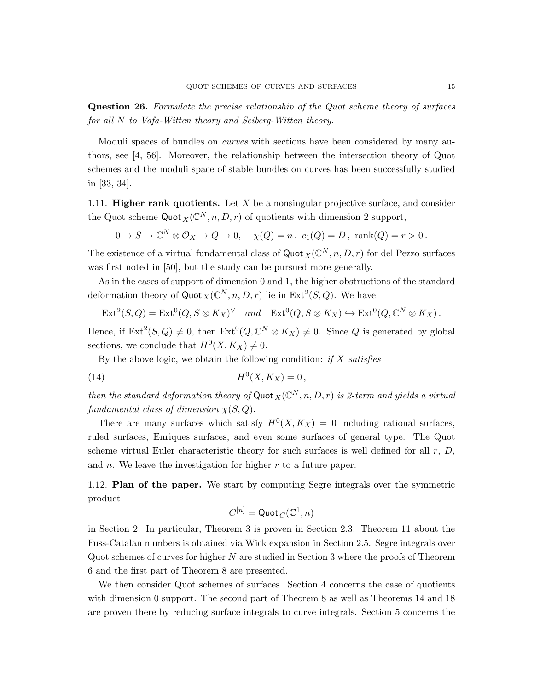Question 26. Formulate the precise relationship of the Quot scheme theory of surfaces for all N to Vafa-Witten theory and Seiberg-Witten theory.

Moduli spaces of bundles on *curves* with sections have been considered by many authors, see [4, 56]. Moreover, the relationship between the intersection theory of Quot schemes and the moduli space of stable bundles on curves has been successfully studied in [33, 34].

1.11. **Higher rank quotients.** Let  $X$  be a nonsingular projective surface, and consider the Quot scheme Quot  $_X(\mathbb{C}^N,n,D,r)$  of quotients with dimension 2 support,

$$
0 \to S \to \mathbb{C}^N \otimes \mathcal{O}_X \to Q \to 0, \quad \chi(Q) = n, \ c_1(Q) = D, \ \text{rank}(Q) = r > 0.
$$

The existence of a virtual fundamental class of  $\mathsf{Quot}_X(\mathbb{C}^N,n,D,r)$  for del Pezzo surfaces was first noted in [50], but the study can be pursued more generally.

As in the cases of support of dimension 0 and 1, the higher obstructions of the standard deformation theory of Quot  $_X(\mathbb{C}^N, n, D, r)$  lie in Ext<sup>2</sup> $(S, Q)$ . We have

$$
\operatorname{Ext}^2(S,Q) = \operatorname{Ext}^0(Q, S \otimes K_X)^{\vee} \quad and \quad \operatorname{Ext}^0(Q, S \otimes K_X) \hookrightarrow \operatorname{Ext}^0(Q, \mathbb{C}^N \otimes K_X).
$$

Hence, if  $\text{Ext}^2(S, Q) \neq 0$ , then  $\text{Ext}^0(Q, \mathbb{C}^N \otimes K_X) \neq 0$ . Since Q is generated by global sections, we conclude that  $H^0(X, K_X) \neq 0$ .

By the above logic, we obtain the following condition: if  $X$  satisfies

(14) 
$$
H^{0}(X, K_{X}) = 0,
$$

then the standard deformation theory of Quot  $_X(\mathbb{C}^N,n,D,r)$  is 2-term and yields a virtual fundamental class of dimension  $\chi(S, Q)$ .

There are many surfaces which satisfy  $H^0(X, K_X) = 0$  including rational surfaces, ruled surfaces, Enriques surfaces, and even some surfaces of general type. The Quot scheme virtual Euler characteristic theory for such surfaces is well defined for all  $r$ ,  $D$ , and  $n$ . We leave the investigation for higher  $r$  to a future paper.

1.12. Plan of the paper. We start by computing Segre integrals over the symmetric product

$$
C^{[n]}=\mathsf{Quot}_C(\mathbb{C}^1,n)
$$

in Section 2. In particular, Theorem 3 is proven in Section 2.3. Theorem 11 about the Fuss-Catalan numbers is obtained via Wick expansion in Section 2.5. Segre integrals over Quot schemes of curves for higher N are studied in Section 3 where the proofs of Theorem 6 and the first part of Theorem 8 are presented.

We then consider Quot schemes of surfaces. Section 4 concerns the case of quotients with dimension 0 support. The second part of Theorem 8 as well as Theorems 14 and 18 are proven there by reducing surface integrals to curve integrals. Section 5 concerns the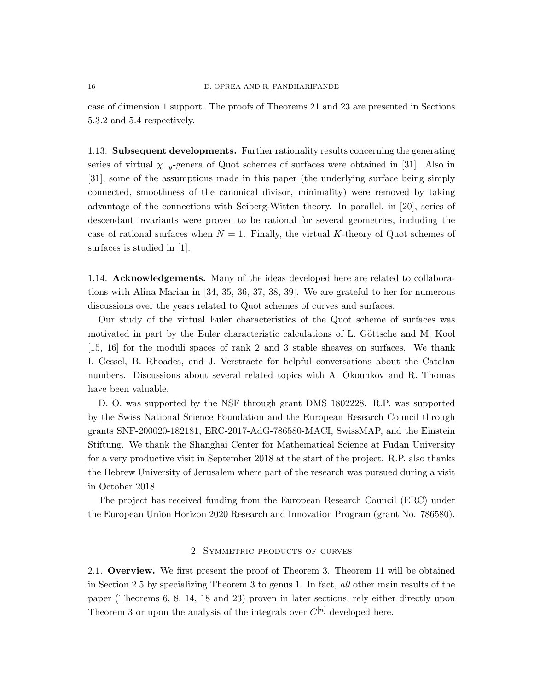case of dimension 1 support. The proofs of Theorems 21 and 23 are presented in Sections 5.3.2 and 5.4 respectively.

1.13. Subsequent developments. Further rationality results concerning the generating series of virtual  $\chi_{-y}$ -genera of Quot schemes of surfaces were obtained in [31]. Also in [31], some of the assumptions made in this paper (the underlying surface being simply connected, smoothness of the canonical divisor, minimality) were removed by taking advantage of the connections with Seiberg-Witten theory. In parallel, in [20], series of descendant invariants were proven to be rational for several geometries, including the case of rational surfaces when  $N = 1$ . Finally, the virtual K-theory of Quot schemes of surfaces is studied in [1].

1.14. Acknowledgements. Many of the ideas developed here are related to collaborations with Alina Marian in [34, 35, 36, 37, 38, 39]. We are grateful to her for numerous discussions over the years related to Quot schemes of curves and surfaces.

Our study of the virtual Euler characteristics of the Quot scheme of surfaces was motivated in part by the Euler characteristic calculations of L. Göttsche and M. Kool [15, 16] for the moduli spaces of rank 2 and 3 stable sheaves on surfaces. We thank I. Gessel, B. Rhoades, and J. Verstraete for helpful conversations about the Catalan numbers. Discussions about several related topics with A. Okounkov and R. Thomas have been valuable.

D. O. was supported by the NSF through grant DMS 1802228. R.P. was supported by the Swiss National Science Foundation and the European Research Council through grants SNF-200020-182181, ERC-2017-AdG-786580-MACI, SwissMAP, and the Einstein Stiftung. We thank the Shanghai Center for Mathematical Science at Fudan University for a very productive visit in September 2018 at the start of the project. R.P. also thanks the Hebrew University of Jerusalem where part of the research was pursued during a visit in October 2018.

The project has received funding from the European Research Council (ERC) under the European Union Horizon 2020 Research and Innovation Program (grant No. 786580).

# 2. Symmetric products of curves

2.1. Overview. We first present the proof of Theorem 3. Theorem 11 will be obtained in Section 2.5 by specializing Theorem 3 to genus 1. In fact, all other main results of the paper (Theorems 6, 8, 14, 18 and 23) proven in later sections, rely either directly upon Theorem 3 or upon the analysis of the integrals over  $C^{[n]}$  developed here.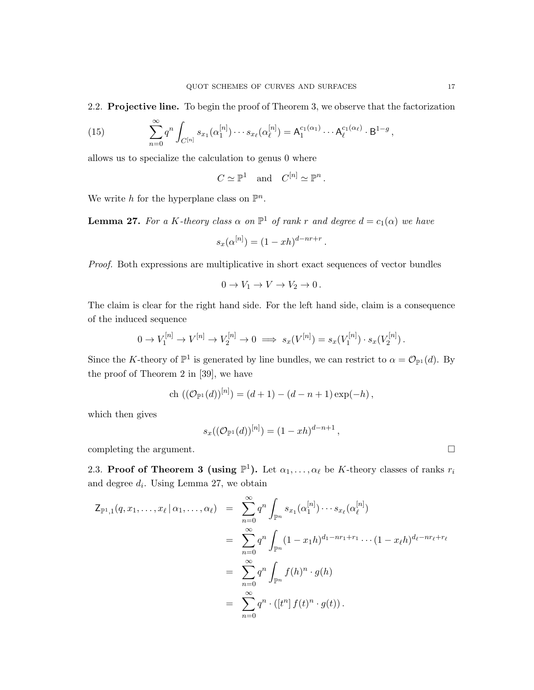2.2. Projective line. To begin the proof of Theorem 3, we observe that the factorization

(15) 
$$
\sum_{n=0}^{\infty} q^n \int_{C^{[n]}} s_{x_1}(\alpha_1^{[n]}) \cdots s_{x_\ell}(\alpha_\ell^{[n]}) = A_1^{c_1(\alpha_1)} \cdots A_\ell^{c_1(\alpha_\ell)} \cdot B^{1-g}
$$

allows us to specialize the calculation to genus 0 where

$$
C \simeq \mathbb{P}^1
$$
 and  $C^{[n]} \simeq \mathbb{P}^n$ .

We write h for the hyperplane class on  $\mathbb{P}^n$ .

**Lemma 27.** For a K-theory class  $\alpha$  on  $\mathbb{P}^1$  of rank r and degree  $d = c_1(\alpha)$  we have

$$
s_x(\alpha^{[n]}) = (1 - xh)^{d - nr + r}.
$$

Proof. Both expressions are multiplicative in short exact sequences of vector bundles

$$
0 \to V_1 \to V \to V_2 \to 0.
$$

The claim is clear for the right hand side. For the left hand side, claim is a consequence of the induced sequence

$$
0 \to V_1^{[n]} \to V^{[n]} \to V_2^{[n]} \to 0 \implies s_x(V^{[n]}) = s_x(V_1^{[n]}) \cdot s_x(V_2^{[n]}).
$$

Since the K-theory of  $\mathbb{P}^1$  is generated by line bundles, we can restrict to  $\alpha = \mathcal{O}_{\mathbb{P}^1}(d)$ . By the proof of Theorem 2 in [39], we have

$$
ch ((\mathcal{O}_{\mathbb{P}^1}(d))^{[n]}) = (d+1) - (d-n+1) \exp(-h),
$$

which then gives

$$
s_x(({\mathcal O}_{{\mathbb P}^1}(d))^{[n]})=(1-xh)^{d-n+1}
$$

,

completing the argument.

2.3. Proof of Theorem 3 (using  $\mathbb{P}^1$ ). Let  $\alpha_1, \ldots, \alpha_\ell$  be K-theory classes of ranks  $r_i$ and degree  $d_i$ . Using Lemma 27, we obtain

$$
Z_{\mathbb{P}^{1},1}(q,x_{1},...,x_{\ell} | \alpha_{1},..., \alpha_{\ell}) = \sum_{n=0}^{\infty} q^{n} \int_{\mathbb{P}^{n}} s_{x_{1}}(\alpha_{1}^{[n]}) \cdots s_{x_{\ell}}(\alpha_{\ell}^{[n]})
$$
  
\n
$$
= \sum_{n=0}^{\infty} q^{n} \int_{\mathbb{P}^{n}} (1-x_{1}h)^{d_{1}-nr_{1}+r_{1}} \cdots (1-x_{\ell}h)^{d_{\ell}-nr_{\ell}+r_{\ell}}
$$
  
\n
$$
= \sum_{n=0}^{\infty} q^{n} \int_{\mathbb{P}^{n}} f(h)^{n} \cdot g(h)
$$
  
\n
$$
= \sum_{n=0}^{\infty} q^{n} \cdot ([t^{n}] f(t)^{n} \cdot g(t)).
$$

,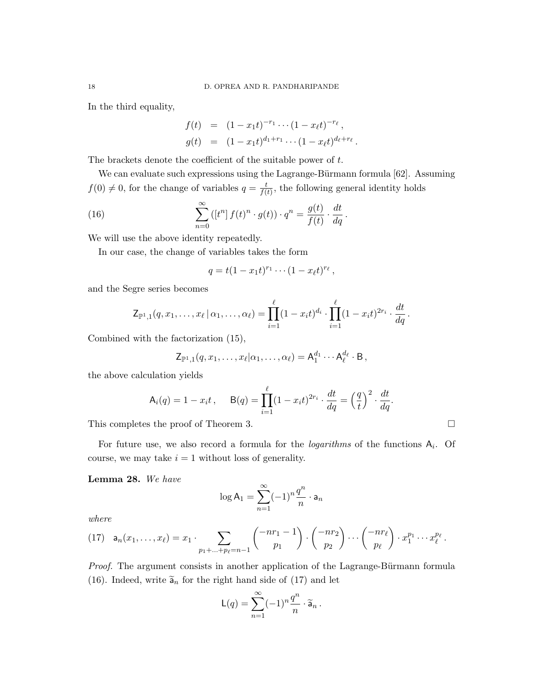In the third equality,

$$
f(t) = (1 - x_1 t)^{-r_1} \cdots (1 - x_\ell t)^{-r_\ell},
$$
  
\n
$$
g(t) = (1 - x_1 t)^{d_1 + r_1} \cdots (1 - x_\ell t)^{d_\ell + r_\ell}.
$$

The brackets denote the coefficient of the suitable power of t.

We can evaluate such expressions using the Lagrange-Bürmann formula  $[62]$ . Assuming  $f(0) \neq 0$ , for the change of variables  $q = \frac{t}{f(t)}$  $\frac{t}{f(t)}$ , the following general identity holds

(16) 
$$
\sum_{n=0}^{\infty} ([t^n] f(t)^n \cdot g(t)) \cdot q^n = \frac{g(t)}{f(t)} \cdot \frac{dt}{dq}.
$$

We will use the above identity repeatedly.

In our case, the change of variables takes the form

$$
q = t(1 - x_1t)^{r_1} \cdots (1 - x_{\ell}t)^{r_{\ell}},
$$

and the Segre series becomes

$$
\mathsf{Z}_{\mathbb{P}^{1},1}(q,x_{1},\ldots,x_{\ell} | \alpha_{1},\ldots,\alpha_{\ell}) = \prod_{i=1}^{\ell} (1-x_{i}t)^{d_{i}} \cdot \prod_{i=1}^{\ell} (1-x_{i}t)^{2r_{i}} \cdot \frac{dt}{dq}.
$$

Combined with the factorization (15),

$$
\mathsf{Z}_{\mathbb{P}^1,1}(q,x_1,\ldots,x_\ell|\alpha_1,\ldots,\alpha_\ell)=\mathsf{A}_1^{d_1}\cdots\mathsf{A}_\ell^{d_\ell}\cdot\mathsf{B}\,,
$$

the above calculation yields

$$
\mathsf{A}_i(q) = 1 - x_i t, \quad \mathsf{B}(q) = \prod_{i=1}^{\ell} (1 - x_i t)^{2r_i} \cdot \frac{dt}{dq} = \left(\frac{q}{t}\right)^2 \cdot \frac{dt}{dq}.
$$

This completes the proof of Theorem 3.

For future use, we also record a formula for the *logarithms* of the functions  $A_i$ . Of course, we may take  $i = 1$  without loss of generality.

# Lemma 28. We have

$$
\log A_1 = \sum_{n=1}^{\infty} (-1)^n \frac{q^n}{n} \cdot a_n
$$

where

$$
(17) \quad \mathsf{a}_n(x_1,\ldots,x_\ell) = x_1 \cdot \sum_{p_1+\ldots+p_\ell=n-1} \binom{-nr_1-1}{p_1} \cdot \binom{-nr_2}{p_2} \cdots \binom{-nr_\ell}{p_\ell} \cdot x_1^{p_1} \cdots x_\ell^{p_\ell}.
$$

Proof. The argument consists in another application of the Lagrange-Bürmann formula (16). Indeed, write  $\tilde{a}_n$  for the right hand side of (17) and let

$$
\mathsf{L}(q) = \sum_{n=1}^{\infty} (-1)^n \frac{q^n}{n} \cdot \widetilde{\mathsf{a}}_n \, .
$$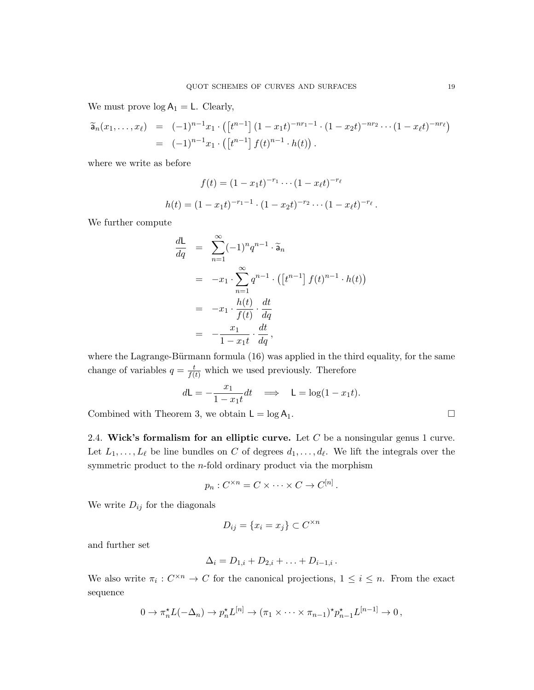We must prove  $log A_1 = L$ . Clearly,

$$
\widetilde{a}_n(x_1,\ldots,x_\ell) = (-1)^{n-1} x_1 \cdot ([t^{n-1}] (1-x_1t)^{-nr_1-1} \cdot (1-x_2t)^{-nr_2} \cdots (1-x_\ell t)^{-nr_\ell})
$$
  
= 
$$
(-1)^{n-1} x_1 \cdot ([t^{n-1}] f(t)^{n-1} \cdot h(t)).
$$

where we write as before

$$
f(t) = (1 - x_1 t)^{-r_1} \cdots (1 - x_\ell t)^{-r_\ell}
$$

$$
h(t) = (1 - x_1 t)^{-r_1 - 1} \cdot (1 - x_2 t)^{-r_2} \cdots (1 - x_\ell t)^{-r_\ell}.
$$

We further compute

$$
\frac{dL}{dq} = \sum_{n=1}^{\infty} (-1)^n q^{n-1} \cdot \widetilde{a}_n
$$
  
\n
$$
= -x_1 \cdot \sum_{n=1}^{\infty} q^{n-1} \cdot ([t^{n-1}] f(t)^{n-1} \cdot h(t))
$$
  
\n
$$
= -x_1 \cdot \frac{h(t)}{f(t)} \cdot \frac{dt}{dq}
$$
  
\n
$$
= -\frac{x_1}{1 - x_1 t} \cdot \frac{dt}{dq},
$$

where the Lagrange-Bürmann formula  $(16)$  was applied in the third equality, for the same change of variables  $q = \frac{t}{f(t)}$  which we used previously. Therefore

$$
d\mathsf{L} = -\frac{x_1}{1 - x_1 t} dt \quad \Longrightarrow \quad \mathsf{L} = \log(1 - x_1 t).
$$

Combined with Theorem 3, we obtain  $L = \log A_1$ .

2.4. Wick's formalism for an elliptic curve. Let  $C$  be a nonsingular genus 1 curve. Let  $L_1, \ldots, L_\ell$  be line bundles on C of degrees  $d_1, \ldots, d_\ell$ . We lift the integrals over the symmetric product to the n-fold ordinary product via the morphism

$$
p_n: C^{\times n} = C \times \cdots \times C \to C^{[n]}.
$$

We write  $D_{ij}$  for the diagonals

$$
D_{ij} = \{x_i = x_j\} \subset C^{\times n}
$$

and further set

$$
\Delta_i = D_{1,i} + D_{2,i} + \ldots + D_{i-1,i} \, .
$$

We also write  $\pi_i: C^{\times n} \to C$  for the canonical projections,  $1 \leq i \leq n$ . From the exact sequence

$$
0 \to \pi_n^{\star} L(-\Delta_n) \to p_n^{\star} L^{[n]} \to (\pi_1 \times \cdots \times \pi_{n-1})^{\star} p_{n-1}^{\star} L^{[n-1]} \to 0,
$$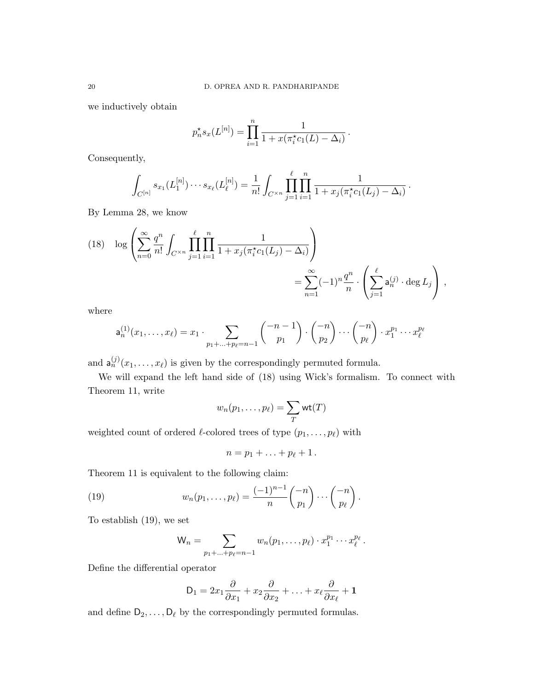we inductively obtain

$$
p_n^{\star} s_x(L^{[n]}) = \prod_{i=1}^n \frac{1}{1 + x(\pi_i^{\star} c_1(L) - \Delta_i)}.
$$

Consequently,

$$
\int_{C^{[n]}} s_{x_1}(L_1^{[n]}) \cdots s_{x_\ell}(L_\ell^{[n]}) = \frac{1}{n!} \int_{C^{\times n}} \prod_{j=1}^\ell \prod_{i=1}^n \frac{1}{1 + x_j(\pi_i^* c_1(L_j) - \Delta_i)}.
$$

By Lemma 28, we know

(18) 
$$
\log \left( \sum_{n=0}^{\infty} \frac{q^n}{n!} \int_{C^{\times n}} \prod_{j=1}^{\ell} \prod_{i=1}^n \frac{1}{1 + x_j (\pi_i^* c_1(L_j) - \Delta_i)} \right) = \sum_{n=1}^{\infty} (-1)^n \frac{q^n}{n} \cdot \left( \sum_{j=1}^{\ell} a_n^{(j)} \cdot \deg L_j \right),
$$

where

$$
\mathsf{a}_n^{(1)}(x_1,\ldots,x_\ell) = x_1 \cdot \sum_{p_1 + \ldots + p_\ell = n-1} \binom{-n-1}{p_1} \cdot \binom{-n}{p_2} \cdots \binom{-n}{p_\ell} \cdot x_1^{p_1} \cdots x_\ell^{p_\ell}
$$

and  $\mathsf{a}_n^{(j)}(x_1,\ldots,x_\ell)$  is given by the correspondingly permuted formula.

We will expand the left hand side of (18) using Wick's formalism. To connect with Theorem 11, write

$$
w_n(p_1,\ldots,p_\ell)=\sum_T \mathsf{wt}(T)
$$

weighted count of ordered  $\ell$ -colored trees of type  $(p_1, \ldots, p_\ell)$  with

$$
n=p_1+\ldots+p_\ell+1\,.
$$

Theorem 11 is equivalent to the following claim:

(19) 
$$
w_n(p_1,\ldots,p_\ell)=\frac{(-1)^{n-1}}{n}\binom{-n}{p_1}\cdots\binom{-n}{p_\ell}.
$$

To establish (19), we set

$$
\mathsf{W}_n = \sum_{p_1 + \ldots + p_\ell = n-1} w_n(p_1, \ldots, p_\ell) \cdot x_1^{p_1} \cdots x_\ell^{p_\ell}.
$$

Define the differential operator

$$
\mathsf{D}_1 = 2x_1\frac{\partial}{\partial x_1} + x_2\frac{\partial}{\partial x_2} + \ldots + x_\ell\frac{\partial}{\partial x_\ell} + \mathbf{1}
$$

and define  $D_2, \ldots, D_\ell$  by the correspondingly permuted formulas.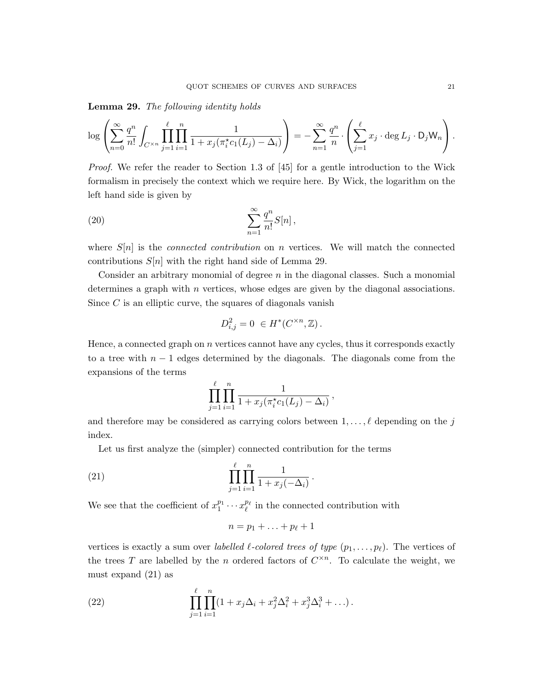Lemma 29. The following identity holds

$$
\log \left( \sum_{n=0}^{\infty} \frac{q^n}{n!} \int_{C^{\times n}} \prod_{j=1}^{\ell} \prod_{i=1}^n \frac{1}{1 + x_j(\pi_i^* c_1(L_j) - \Delta_i)} \right) = - \sum_{n=1}^{\infty} \frac{q^n}{n} \cdot \left( \sum_{j=1}^{\ell} x_j \cdot \deg L_j \cdot D_j W_n \right).
$$

Proof. We refer the reader to Section 1.3 of [45] for a gentle introduction to the Wick formalism in precisely the context which we require here. By Wick, the logarithm on the left hand side is given by

(20) 
$$
\sum_{n=1}^{\infty} \frac{q^n}{n!} S[n],
$$

where  $S[n]$  is the *connected contribution* on n vertices. We will match the connected contributions  $S[n]$  with the right hand side of Lemma 29.

Consider an arbitrary monomial of degree  $n$  in the diagonal classes. Such a monomial determines a graph with  $n$  vertices, whose edges are given by the diagonal associations. Since  $C$  is an elliptic curve, the squares of diagonals vanish

$$
D_{i,j}^2 = 0 \in H^*(C^{\times n}, \mathbb{Z}).
$$

Hence, a connected graph on n vertices cannot have any cycles, thus it corresponds exactly to a tree with  $n-1$  edges determined by the diagonals. The diagonals come from the expansions of the terms

$$
\prod_{j=1}^{\ell} \prod_{i=1}^{n} \frac{1}{1 + x_j(\pi_i^* c_1(L_j) - \Delta_i)},
$$

and therefore may be considered as carrying colors between  $1, \ldots, \ell$  depending on the j index.

Let us first analyze the (simpler) connected contribution for the terms

(21) 
$$
\prod_{j=1}^{\ell} \prod_{i=1}^{n} \frac{1}{1 + x_j(-\Delta_i)}.
$$

We see that the coefficient of  $x_1^{p_1} \cdots x_\ell^{p_\ell}$  in the connected contribution with

$$
n=p_1+\ldots+p_\ell+1
$$

vertices is exactly a sum over labelled  $\ell$ -colored trees of type  $(p_1, \ldots, p_\ell)$ . The vertices of the trees T are labelled by the n ordered factors of  $C^{\times n}$ . To calculate the weight, we must expand (21) as

(22) 
$$
\prod_{j=1}^{\ell} \prod_{i=1}^{n} (1 + x_j \Delta_i + x_j^2 \Delta_i^2 + x_j^3 \Delta_i^3 + \ldots).
$$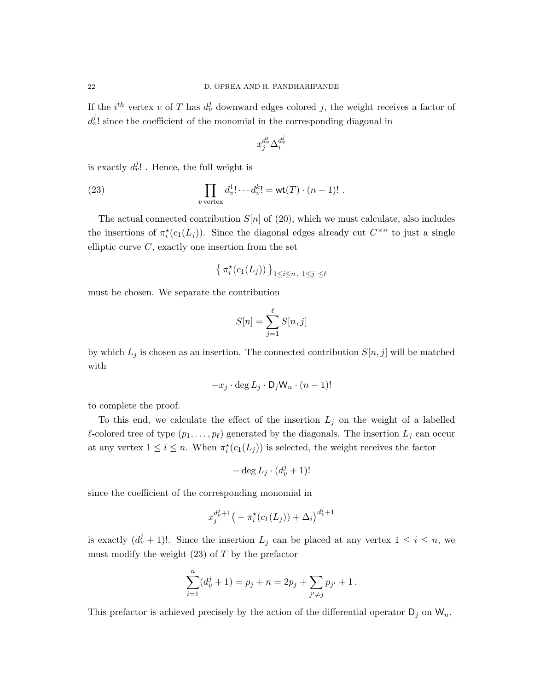If the  $i^{th}$  vertex v of T has  $d_v^j$  downward edges colored j, the weight receives a factor of  $d_v^j$ ! since the coefficient of the monomial in the corresponding diagonal in

$$
x_ j^{d_v^j} \Delta_i^{d_v^j}
$$

is exactly  $d_v^j$ ! . Hence, the full weight is

(23) 
$$
\prod_{v \text{ vertex}} d_v^1! \cdots d_v^k! = \text{wt}(T) \cdot (n-1)! .
$$

The actual connected contribution  $S[n]$  of (20), which we must calculate, also includes the insertions of  $\pi_i^*(c_1(L_j))$ . Since the diagonal edges already cut  $C^{\times n}$  to just a single elliptic curve  $C$ , exactly one insertion from the set

$$
\left\{ \pi_i^{\star}(c_1(L_j)) \right\}_{1 \le i \le n, 1 \le j \le \ell}
$$

must be chosen. We separate the contribution

$$
S[n] = \sum_{j=1}^{\ell} S[n, j]
$$

by which  $L_j$  is chosen as an insertion. The connected contribution  $S[n, j]$  will be matched with

$$
-x_j \cdot \deg L_j \cdot D_j W_n \cdot (n-1)!
$$

to complete the proof.

To this end, we calculate the effect of the insertion  $L_j$  on the weight of a labelled  $\ell$ -colored tree of type  $(p_1, \ldots, p_\ell)$  generated by the diagonals. The insertion  $L_j$  can occur at any vertex  $1 \leq i \leq n$ . When  $\pi_i^*(c_1(L_j))$  is selected, the weight receives the factor

$$
-\deg L_j\cdot(d_v^j+1)!
$$

since the coefficient of the corresponding monomial in

$$
x_j^{d_v^j+1}(-\pi_i^*(c_1(L_j)) + \Delta_i)^{d_v^j+1}
$$

is exactly  $(d_v^j + 1)!$ . Since the insertion  $L_j$  can be placed at any vertex  $1 \leq i \leq n$ , we must modify the weight  $(23)$  of T by the prefactor

$$
\sum_{i=1}^{n} (d_v^j + 1) = p_j + n = 2p_j + \sum_{j' \neq j} p_{j'} + 1.
$$

This prefactor is achieved precisely by the action of the differential operator  $D_j$  on  $W_n$ .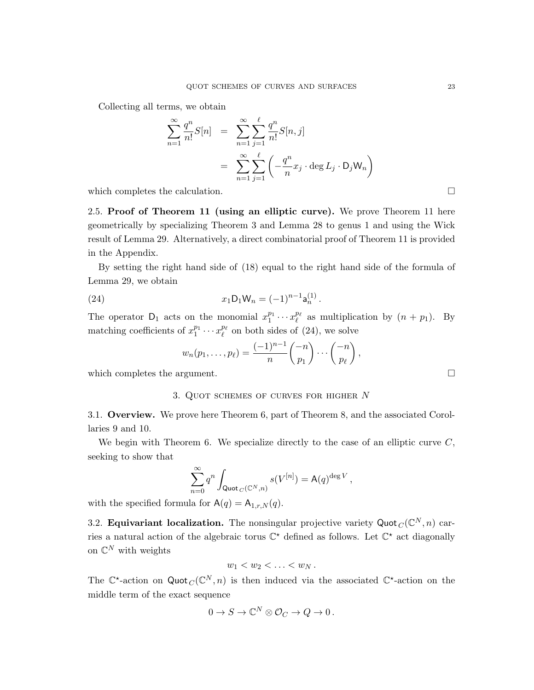Collecting all terms, we obtain

$$
\sum_{n=1}^{\infty} \frac{q^n}{n!} S[n] = \sum_{n=1}^{\infty} \sum_{j=1}^{\ell} \frac{q^n}{n!} S[n, j]
$$

$$
= \sum_{n=1}^{\infty} \sum_{j=1}^{\ell} \left( -\frac{q^n}{n} x_j \cdot \deg L_j \cdot D_j W_n \right)
$$

which completes the calculation.

2.5. Proof of Theorem 11 (using an elliptic curve). We prove Theorem 11 here geometrically by specializing Theorem 3 and Lemma 28 to genus 1 and using the Wick result of Lemma 29. Alternatively, a direct combinatorial proof of Theorem 11 is provided in the Appendix.

By setting the right hand side of (18) equal to the right hand side of the formula of Lemma 29, we obtain

(24) 
$$
x_1 \mathsf{D}_1 \mathsf{W}_n = (-1)^{n-1} \mathsf{a}_n^{(1)}.
$$

The operator  $D_1$  acts on the monomial  $x_1^{p_1} \cdots x_\ell^{p_\ell}$  as multiplication by  $(n + p_1)$ . By matching coefficients of  $x_1^{p_1} \cdots x_\ell^{p_\ell}$  on both sides of (24), we solve

$$
w_n(p_1,\ldots,p_\ell)=\frac{(-1)^{n-1}}{n}\binom{-n}{p_1}\cdots\binom{-n}{p_\ell},
$$

which completes the argument.

#### 3. Quot schemes of curves for higher N

3.1. Overview. We prove here Theorem 6, part of Theorem 8, and the associated Corollaries 9 and 10.

We begin with Theorem 6. We specialize directly to the case of an elliptic curve  $C$ , seeking to show that

$$
\sum_{n=0}^{\infty} q^n \int_{\mathsf{Quot}_C(\mathbb{C}^N,n)} s(V^{[n]}) = \mathsf{A}(q)^{\deg V},
$$

with the specified formula for  $A(q) = A_{1,r,N}(q)$ .

3.2. Equivariant localization. The nonsingular projective variety Quot  $_C(\mathbb{C}^N, n)$  carries a natural action of the algebraic torus  $\mathbb{C}^*$  defined as follows. Let  $\mathbb{C}^*$  act diagonally on  $\mathbb{C}^N$  with weights

$$
w_1 < w_2 < \ldots < w_N.
$$

The  $\mathbb{C}^*$ -action on Quot  $_C(\mathbb{C}^N,n)$  is then induced via the associated  $\mathbb{C}^*$ -action on the middle term of the exact sequence

$$
0 \to S \to \mathbb{C}^N \otimes \mathcal{O}_C \to Q \to 0 \, .
$$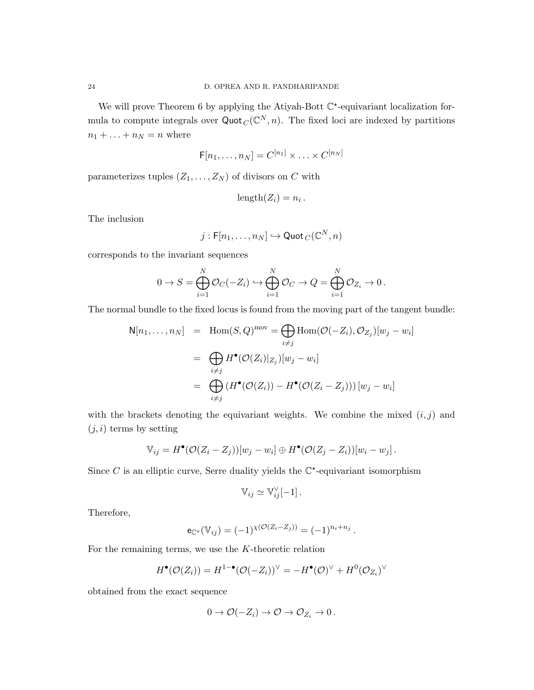We will prove Theorem 6 by applying the Atiyah-Bott  $\mathbb{C}^*$ -equivariant localization formula to compute integrals over  $\text{Quot}_C(\mathbb{C}^N, n)$ . The fixed loci are indexed by partitions  $n_1 + \ldots + n_N = n$  where

$$
\mathsf{F}[n_1,\ldots,n_N]=C^{[n_1]}\times \ldots \times C^{[n_N]}
$$

parameterizes tuples  $(Z_1, \ldots, Z_N)$  of divisors on C with

$$
length(Z_i) = n_i.
$$

The inclusion

$$
j: \mathsf{F}[n_1,\ldots,n_N] \hookrightarrow \mathsf{Quot}_C(\mathbb{C}^N,n)
$$

corresponds to the invariant sequences

$$
0 \to S = \bigoplus_{i=1}^N \mathcal{O}_C(-Z_i) \hookrightarrow \bigoplus_{i=1}^N \mathcal{O}_C \to Q = \bigoplus_{i=1}^N \mathcal{O}_{Z_i} \to 0.
$$

The normal bundle to the fixed locus is found from the moving part of the tangent bundle:

$$
N[n_1, ..., n_N] = \text{Hom}(S, Q)^{\text{mov}} = \bigoplus_{i \neq j} \text{Hom}(\mathcal{O}(-Z_i), \mathcal{O}_{Z_j})[w_j - w_i]
$$

$$
= \bigoplus_{i \neq j} H^{\bullet}(\mathcal{O}(Z_i)|_{Z_j})[w_j - w_i]
$$

$$
= \bigoplus_{i \neq j} (H^{\bullet}(\mathcal{O}(Z_i)) - H^{\bullet}(\mathcal{O}(Z_i - Z_j))) [w_j - w_i]
$$

with the brackets denoting the equivariant weights. We combine the mixed  $(i, j)$  and  $(j, i)$  terms by setting

$$
\mathbb{V}_{ij} = H^{\bullet}(\mathcal{O}(Z_i - Z_j))[w_j - w_i] \oplus H^{\bullet}(\mathcal{O}(Z_j - Z_i))[w_i - w_j].
$$

Since C is an elliptic curve, Serre duality yields the  $\mathbb{C}^*$ -equivariant isomorphism

$$
\mathbb{V}_{ij} \simeq \mathbb{V}_{ij}^{\vee}[-1].
$$

Therefore,

$$
e_{\mathbb{C}^*}(\mathbb{V}_{ij}) = (-1)^{\chi(\mathcal{O}(Z_i - Z_j))} = (-1)^{n_i + n_j}.
$$

For the remaining terms, we use the  $K$ -theoretic relation

$$
H^{\bullet}(\mathcal{O}(Z_i)) = H^{1-\bullet}(\mathcal{O}(-Z_i))^{\vee} = -H^{\bullet}(\mathcal{O})^{\vee} + H^0(\mathcal{O}_{Z_i})^{\vee}
$$

obtained from the exact sequence

$$
0 \to \mathcal{O}(-Z_i) \to \mathcal{O} \to \mathcal{O}_{Z_i} \to 0.
$$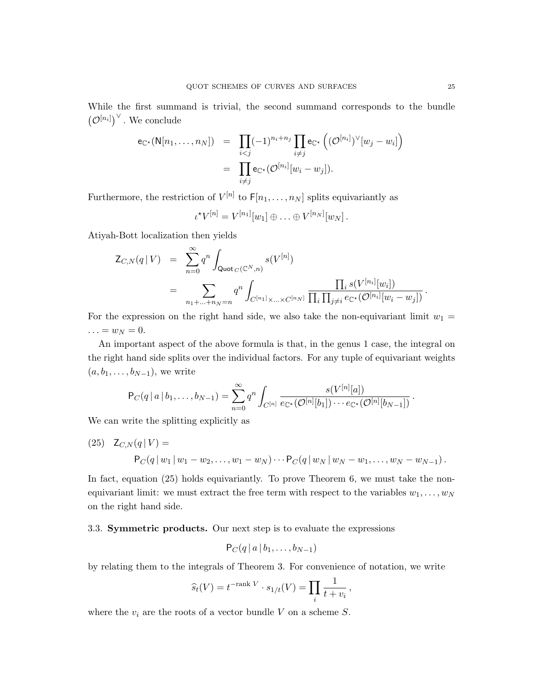While the first summand is trivial, the second summand corresponds to the bundle  $(\mathcal{O}^{[n_i]})^{\vee}$ . We conclude

$$
e_{\mathbb{C}^{\star}}(N[n_1,\ldots,n_N]) = \prod_{i
$$
= \prod_{i\neq j}e_{\mathbb{C}^{\star}}(\mathcal{O}^{[n_i]}[w_i-w_j]).
$$
$$

Furthermore, the restriction of  $V^{[n]}$  to  $F[n_1, \ldots, n_N]$  splits equivariantly as

$$
\iota^{\star}V^{[n]} = V^{[n_1]}[w_1] \oplus \ldots \oplus V^{[n_N]}[w_N].
$$

Atiyah-Bott localization then yields

$$
\begin{array}{lcl} \mathsf{Z}_{C,N}(q\,|\,V) & = & \displaystyle \sum_{n=0}^{\infty} q^n \int_{\mathsf{Quot}_C(\mathbb{C}^N,n)} s(V^{[n]}) \\ \\ & = & \displaystyle \sum_{n_1+\ldots+n_N=n} q^n \int_{C^{[n_1]}\times \ldots \times C^{[n_N]}} \frac{\prod_i s(V^{[n_i]}[w_i])}{\prod_i \prod_{j\neq i} e_{\mathbb{C}^{\star}}(\mathcal{O}^{[n_i]}[w_i-w_j])} \, . \end{array}
$$

For the expression on the right hand side, we also take the non-equivariant limit  $w_1 =$  $\ldots = w_N = 0.$ 

An important aspect of the above formula is that, in the genus 1 case, the integral on the right hand side splits over the individual factors. For any tuple of equivariant weights  $(a, b_1, \ldots, b_{N-1}),$  we write

$$
P_C(q | a | b_1, ..., b_{N-1}) = \sum_{n=0}^{\infty} q^n \int_{C^{[n]}} \frac{s(V^{[n]}[a])}{e_{\mathbb{C}^{\star}}(\mathcal{O}^{[n]}[b_1]) \cdots e_{\mathbb{C}^{\star}}(\mathcal{O}^{[n]}[b_{N-1}])}.
$$

We can write the splitting explicitly as

(25) 
$$
Z_{C,N}(q|V) =
$$

$$
P_C(q|w_1|w_1-w_2,...,w_1-w_N)\cdots P_C(q|w_N|w_N-w_1,...,w_N-w_{N-1}).
$$

In fact, equation (25) holds equivariantly. To prove Theorem 6, we must take the nonequivariant limit: we must extract the free term with respect to the variables  $w_1, \ldots, w_N$ on the right hand side.

#### 3.3. Symmetric products. Our next step is to evaluate the expressions

$$
P_C(q \,|\, a \,|\, b_1,\ldots,b_{N-1})
$$

by relating them to the integrals of Theorem 3. For convenience of notation, we write

$$
\widehat{s}_t(V) = t^{-\text{rank }V} \cdot s_{1/t}(V) = \prod_i \frac{1}{t+v_i},
$$

where the  $v_i$  are the roots of a vector bundle V on a scheme S.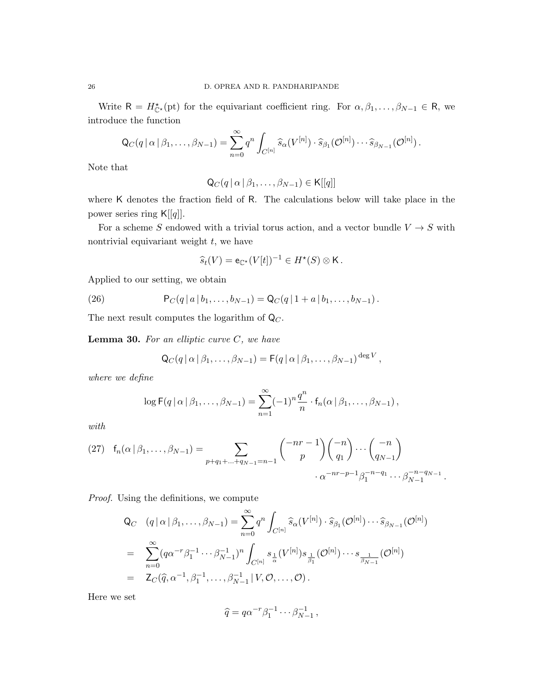Write  $R = H_{\mathbb{C}^*}^{\star}(\text{pt})$  for the equivariant coefficient ring. For  $\alpha, \beta_1, \ldots, \beta_{N-1} \in \mathbb{R}$ , we introduce the function

$$
\mathsf{Q}_C(q\,|\,\alpha\,|\,\beta_1,\ldots,\beta_{N-1})=\sum_{n=0}^\infty q^n\int_{C^{[n]}}\widehat{s}_\alpha(V^{[n]})\cdot\widehat{s}_{\beta_1}(\mathcal{O}^{[n]})\cdots\widehat{s}_{\beta_{N-1}}(\mathcal{O}^{[n]})\,.
$$

Note that

$$
\mathsf{Q}_C(q \,|\, \alpha \,|\, \beta_1,\ldots,\beta_{N-1}) \in \mathsf{K}[[q]]
$$

where K denotes the fraction field of R. The calculations below will take place in the power series ring  $\mathsf{K}[[q]]$ .

For a scheme S endowed with a trivial torus action, and a vector bundle  $V \to S$  with nontrivial equivariant weight  $t$ , we have

$$
\widehat{s}_t(V) = \mathsf{e}_{\mathbb{C}^\star}(V[t])^{-1} \in H^\star(S) \otimes \mathsf{K}.
$$

Applied to our setting, we obtain

(26) 
$$
P_C(q \mid a \mid b_1, \ldots, b_{N-1}) = Q_C(q \mid 1 + a \mid b_1, \ldots, b_{N-1}).
$$

The next result computes the logarithm of  $\mathsf{Q}_C$ .

**Lemma 30.** For an elliptic curve  $C$ , we have

$$
Q_C(q \mid \alpha \mid \beta_1, \ldots, \beta_{N-1}) = F(q \mid \alpha \mid \beta_1, \ldots, \beta_{N-1})^{\deg V},
$$

where we define

$$
\log \mathsf{F}(q \mid \alpha \mid \beta_1, \ldots, \beta_{N-1}) = \sum_{n=1}^{\infty} (-1)^n \frac{q^n}{n} \cdot \mathsf{f}_n(\alpha \mid \beta_1, \ldots, \beta_{N-1}),
$$

with

(27) 
$$
f_n(\alpha | \beta_1, ..., \beta_{N-1}) = \sum_{p+q_1+...+q_{N-1}=n-1} { -nr-1 \choose p} { -n \choose q_1} ... { -n \choose q_{N-1}}
$$
  
 $\cdot \alpha^{-nr-p-1} \beta_1^{-n-q_1} ... \beta_{N-1}^{-n-q_{N-1}}$ .

Proof. Using the definitions, we compute

$$
Q_C \quad (q \mid \alpha \mid \beta_1, \dots, \beta_{N-1}) = \sum_{n=0}^{\infty} q^n \int_{C^{[n]}} \hat{s}_{\alpha}(V^{[n]}) \cdot \hat{s}_{\beta_1}(\mathcal{O}^{[n]}) \cdots \hat{s}_{\beta_{N-1}}(\mathcal{O}^{[n]})
$$
  
\n
$$
= \sum_{n=0}^{\infty} (q \alpha^{-r} \beta_1^{-1} \cdots \beta_{N-1}^{-1})^n \int_{C^{[n]}} s_{\frac{1}{\alpha}}(V^{[n]}) s_{\frac{1}{\beta_1}}(\mathcal{O}^{[n]}) \cdots s_{\frac{1}{\beta_{N-1}}}(\mathcal{O}^{[n]})
$$
  
\n
$$
= Z_C(\hat{q}, \alpha^{-1}, \beta_1^{-1}, \dots, \beta_{N-1}^{-1} \mid V, \mathcal{O}, \dots, \mathcal{O}).
$$

Here we set

$$
\widehat{q} = q\alpha^{-r}\beta_1^{-1}\cdots\beta_{N-1}^{-1},
$$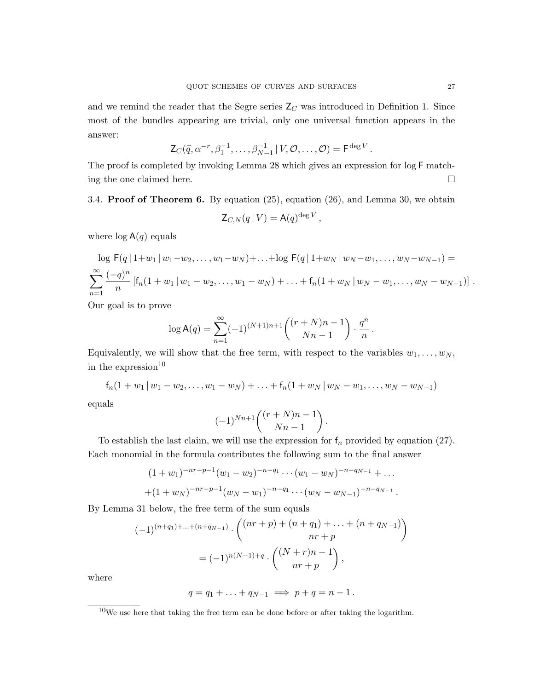and we remind the reader that the Segre series  $Z_C$  was introduced in Definition 1. Since most of the bundles appearing are trivial, only one universal function appears in the answer:

$$
\mathsf{Z}_{C}(\widehat{q}, \alpha^{-r}, \beta_1^{-1}, \dots, \beta_{N-1}^{-1} \mid V, \mathcal{O}, \dots, \mathcal{O}) = \mathsf{F}^{\deg V}
$$

The proof is completed by invoking Lemma 28 which gives an expression for log F matching the one claimed here.

3.4. **Proof of Theorem 6.** By equation  $(25)$ , equation  $(26)$ , and Lemma 30, we obtain

$$
\mathsf{Z}_{C,N}(q\,|\,V)=\mathsf{A}(q)^{\deg V},
$$

where  $\log A(q)$  equals

$$
\log F(q | 1+w_1 | w_1-w_2,\ldots,w_1-w_N)+\ldots+\log F(q | 1+w_N | w_N-w_1,\ldots,w_N-w_{N-1}) =
$$
  

$$
\sum_{n=1}^{\infty} \frac{(-q)^n}{n} [f_n(1+w_1 | w_1-w_2,\ldots,w_1-w_N)+\ldots+f_n(1+w_N | w_N-w_1,\ldots,w_N-w_{N-1})].
$$

Our goal is to prove

$$
\log \mathsf{A}(q) = \sum_{n=1}^{\infty} (-1)^{(N+1)n+1} \binom{(r+N)n-1}{Nn-1} \cdot \frac{q^n}{n}.
$$

Equivalently, we will show that the free term, with respect to the variables  $w_1, \ldots, w_N$ , in the expression $10$ 

$$
f_n(1 + w_1 | w_1 - w_2, ..., w_1 - w_N) + ... + f_n(1 + w_N | w_N - w_1, ..., w_N - w_{N-1})
$$

equals

$$
(-1)^{Nn+1}\binom{(r+N)n-1}{Nn-1}.
$$

To establish the last claim, we will use the expression for  $f_n$  provided by equation (27). Each monomial in the formula contributes the following sum to the final answer

$$
(1+w_1)^{-nr-p-1}(w_1-w_2)^{-n-q_1}\cdots(w_1-w_N)^{-n-q_{N-1}}+\cdots
$$
  
+(1+w\_N)^{-nr-p-1}(w\_N-w\_1)^{-n-q\_1}\cdots(w\_N-w\_{N-1})^{-n-q\_{N-1}}.

By Lemma 31 below, the free term of the sum equals

$$
(-1)^{(n+q_1)+\dots+(n+q_{N-1})} \cdot \binom{(nr+p)+(n+q_1)+\dots+(n+q_{N-1})}{nr+p}
$$
  
=  $(-1)^{n(N-1)+q} \cdot \binom{(N+r)n-1}{nr+p}$ ,

where

$$
q=q_1+\ldots+q_{N-1} \implies p+q=n-1.
$$

.

 $^{10}\mathrm{We}$  use here that taking the free term can be done before or after taking the logarithm.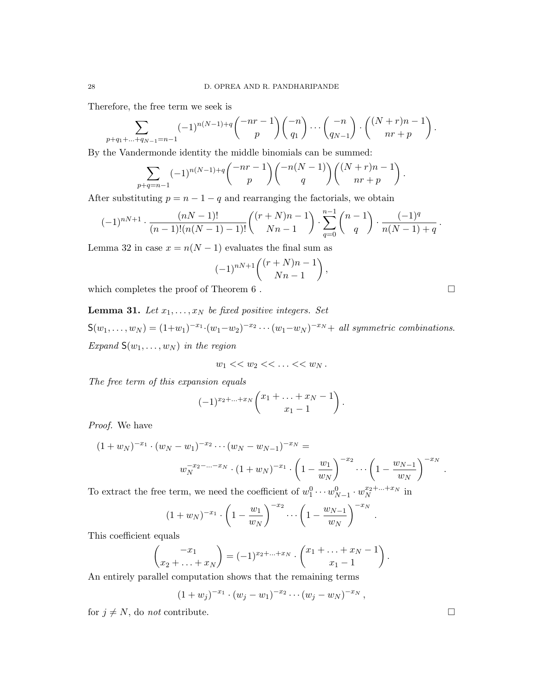Therefore, the free term we seek is

$$
\sum_{p+q_1+\ldots+q_{N-1}=n-1} (-1)^{n(N-1)+q} \binom{-nr-1}{p} \binom{-n}{q_1} \cdots \binom{-n}{q_{N-1}} \cdot \binom{(N+r)n-1}{nr+p}.
$$

By the Vandermonde identity the middle binomials can be summed:

$$
\sum_{p+q=n-1} (-1)^{n(N-1)+q} \binom{-nr-1}{p} \binom{-n(N-1)}{q} \binom{(N+r)n-1}{nr+p}.
$$

After substituting  $p = n - 1 - q$  and rearranging the factorials, we obtain

$$
(-1)^{nN+1} \cdot \frac{(nN-1)!}{(n-1)!(n(N-1)-1)!} \binom{(r+N)n-1}{Nn-1} \cdot \sum_{q=0}^{n-1} \binom{n-1}{q} \cdot \frac{(-1)^q}{n(N-1)+q}.
$$

Lemma 32 in case  $x = n(N - 1)$  evaluates the final sum as

$$
(-1)^{nN+1}\binom{(r+N)n-1}{Nn-1}
$$

,

which completes the proof of Theorem 6.

**Lemma 31.** Let  $x_1, \ldots, x_N$  be fixed positive integers. Set  $S(w_1,...,w_N) = (1+w_1)^{-x_1} \cdot (w_1-w_2)^{-x_2} \cdots (w_1-w_N)^{-x_N} + \text{ all symmetric combinations.}$ Expand  $S(w_1, \ldots, w_N)$  in the region

$$
w_1<< w_2<< \ldots << w_N.
$$

The free term of this expansion equals

$$
(-1)^{x_2+\ldots+x_N}\binom{x_1+\ldots+x_N-1}{x_1-1}
$$
.

Proof. We have

$$
(1 + w_N)^{-x_1} \cdot (w_N - w_1)^{-x_2} \cdots (w_N - w_{N-1})^{-x_N} =
$$
  

$$
w_N^{-x_2 - \cdots - x_N} \cdot (1 + w_N)^{-x_1} \cdot \left(1 - \frac{w_1}{w_N}\right)^{-x_2} \cdots \left(1 - \frac{w_{N-1}}{w_N}\right)^{-x_N}.
$$

To extract the free term, we need the coefficient of  $w_1^0 \cdots w_{N-1}^0 \cdot w_N^{x_2 + \dots + x_N}$  in

$$
(1 + w_N)^{-x_1} \cdot \left(1 - \frac{w_1}{w_N}\right)^{-x_2} \cdots \left(1 - \frac{w_{N-1}}{w_N}\right)^{-x_N}.
$$

This coefficient equals

$$
\begin{pmatrix} -x_1 \\ x_2 + \ldots + x_N \end{pmatrix} = (-1)^{x_2 + \ldots + x_N} \cdot \begin{pmatrix} x_1 + \ldots + x_N - 1 \\ x_1 - 1 \end{pmatrix}.
$$

An entirely parallel computation shows that the remaining terms

$$
(1+w_j)^{-x_1} \cdot (w_j-w_1)^{-x_2} \cdots (w_j-w_N)^{-x_N},
$$

for  $j \neq N$ , do not contribute.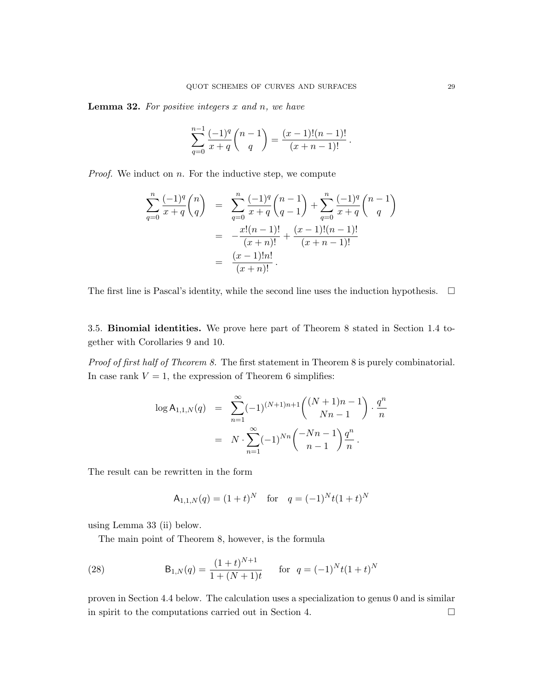**Lemma 32.** For positive integers  $x$  and  $n$ , we have

$$
\sum_{q=0}^{n-1} \frac{(-1)^q}{x+q} \binom{n-1}{q} = \frac{(x-1)!(n-1)!}{(x+n-1)!}.
$$

*Proof.* We induct on  $n$ . For the inductive step, we compute

$$
\sum_{q=0}^{n} \frac{(-1)^q}{x+q} \binom{n}{q} = \sum_{q=0}^{n} \frac{(-1)^q}{x+q} \binom{n-1}{q-1} + \sum_{q=0}^{n} \frac{(-1)^q}{x+q} \binom{n-1}{q}
$$

$$
= -\frac{x!(n-1)!}{(x+n)!} + \frac{(x-1)!(n-1)!}{(x+n-1)!}
$$

$$
= \frac{(x-1)!n!}{(x+n)!}.
$$

The first line is Pascal's identity, while the second line uses the induction hypothesis.  $\Box$ 

3.5. Binomial identities. We prove here part of Theorem 8 stated in Section 1.4 together with Corollaries 9 and 10.

Proof of first half of Theorem 8. The first statement in Theorem 8 is purely combinatorial. In case rank  $V = 1$ , the expression of Theorem 6 simplifies:

$$
\log A_{1,1,N}(q) = \sum_{n=1}^{\infty} (-1)^{(N+1)n+1} \binom{(N+1)n-1}{Nn-1} \cdot \frac{q^n}{n}
$$

$$
= N \cdot \sum_{n=1}^{\infty} (-1)^{Nn} \binom{-Nn-1}{n-1} \frac{q^n}{n}.
$$

The result can be rewritten in the form

$$
A_{1,1,N}(q) = (1+t)^N \quad \text{for} \quad q = (-1)^N t (1+t)^N
$$

using Lemma 33 (ii) below.

The main point of Theorem 8, however, is the formula

(28) 
$$
B_{1,N}(q) = \frac{(1+t)^{N+1}}{1+(N+1)t} \quad \text{for } q = (-1)^N t (1+t)^N
$$

proven in Section 4.4 below. The calculation uses a specialization to genus 0 and is similar in spirit to the computations carried out in Section 4.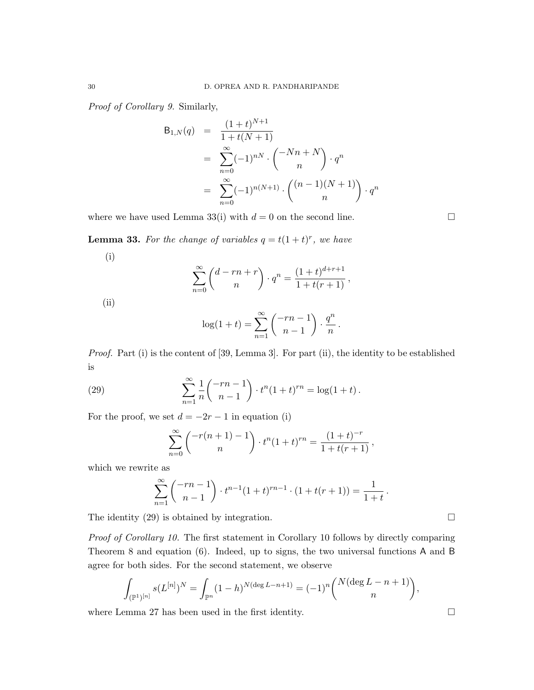Proof of Corollary 9. Similarly,

$$
B_{1,N}(q) = \frac{(1+t)^{N+1}}{1+t(N+1)}
$$
  
= 
$$
\sum_{n=0}^{\infty} (-1)^{nN} \cdot \binom{-Nn+N}{n} \cdot q^n
$$
  
= 
$$
\sum_{n=0}^{\infty} (-1)^{n(N+1)} \cdot \binom{(n-1)(N+1)}{n} \cdot q^n
$$

where we have used Lemma 33(i) with  $d = 0$  on the second line.

**Lemma 33.** For the change of variables  $q = t(1 + t)^r$ , we have

$$
\rm(i)
$$

$$
\sum_{n=0}^{\infty} {d-rn+r \choose n} \cdot q^n = \frac{(1+t)^{d+r+1}}{1+t(r+1)},
$$

(ii)

$$
\log(1+t) = \sum_{n=1}^{\infty} \binom{-rn-1}{n-1} \cdot \frac{q^n}{n}.
$$

Proof. Part (i) is the content of [39, Lemma 3]. For part (ii), the identity to be established is

(29) 
$$
\sum_{n=1}^{\infty} \frac{1}{n} \binom{-rn-1}{n-1} \cdot t^n (1+t)^{rn} = \log(1+t).
$$

For the proof, we set  $d = -2r - 1$  in equation (i)

$$
\sum_{n=0}^{\infty} {\binom{-r(n+1)-1}{n}} \cdot t^n (1+t)^{rn} = \frac{(1+t)^{-r}}{1+t(r+1)},
$$

which we rewrite as

$$
\sum_{n=1}^{\infty} \binom{-rn-1}{n-1} \cdot t^{n-1} (1+t)^{rn-1} \cdot (1+t(r+1)) = \frac{1}{1+t}.
$$

The identity  $(29)$  is obtained by integration.

Proof of Corollary 10. The first statement in Corollary 10 follows by directly comparing Theorem 8 and equation (6). Indeed, up to signs, the two universal functions A and B agree for both sides. For the second statement, we observe

$$
\int_{(\mathbb{P}^1)^{[n]}} s(L^{[n]})^N = \int_{\mathbb{P}^n} (1-h)^{N(\deg L - n + 1)} = (-1)^n {N(\deg L - n + 1) \choose n},
$$

where Lemma 27 has been used in the first identity.  $\Box$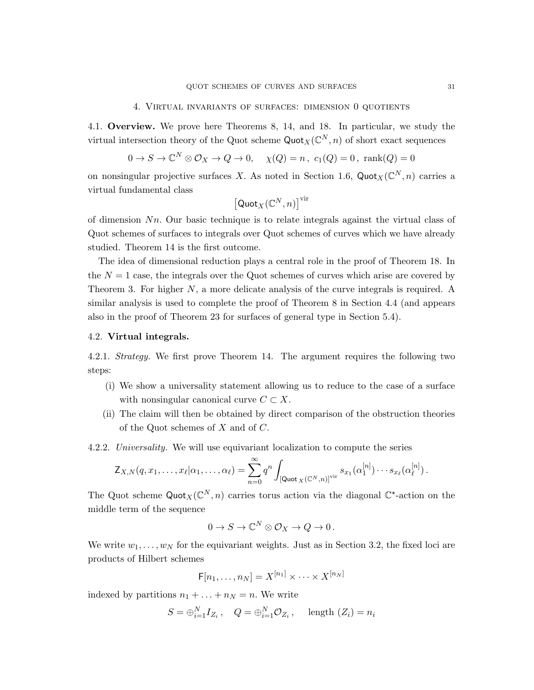#### 4. Virtual invariants of surfaces: dimension 0 quotients

4.1. Overview. We prove here Theorems 8, 14, and 18. In particular, we study the virtual intersection theory of the Quot scheme  $\text{Quot}_X(\mathbb{C}^N, n)$  of short exact sequences

$$
0 \to S \to \mathbb{C}^N \otimes \mathcal{O}_X \to Q \to 0, \quad \chi(Q) = n, \ c_1(Q) = 0, \ \text{rank}(Q) = 0
$$

on nonsingular projective surfaces X. As noted in Section 1.6, Quot $_X(\mathbb{C}^N, n)$  carries a virtual fundamental class

$$
\left[\mathsf {Quot}_X(\mathbb{C}^N,n)\right]^{\mathop{\text{\rm vir}}}
$$

of dimension  $Nn$ . Our basic technique is to relate integrals against the virtual class of Quot schemes of surfaces to integrals over Quot schemes of curves which we have already studied. Theorem 14 is the first outcome.

The idea of dimensional reduction plays a central role in the proof of Theorem 18. In the  $N = 1$  case, the integrals over the Quot schemes of curves which arise are covered by Theorem 3. For higher N, a more delicate analysis of the curve integrals is required. A similar analysis is used to complete the proof of Theorem 8 in Section 4.4 (and appears also in the proof of Theorem 23 for surfaces of general type in Section 5.4).

# 4.2. Virtual integrals.

4.2.1. Strategy. We first prove Theorem 14. The argument requires the following two steps:

- (i) We show a universality statement allowing us to reduce to the case of a surface with nonsingular canonical curve  $C \subset X$ .
- (ii) The claim will then be obtained by direct comparison of the obstruction theories of the Quot schemes of X and of C.
- 4.2.2. Universality. We will use equivariant localization to compute the series

$$
\mathsf{Z}_{X,N}(q,x_1,\ldots,x_\ell|\alpha_1,\ldots,\alpha_\ell)=\sum_{n=0}^\infty q^n\int_{\left[\mathsf{Quot}_X(\mathbb{C}^N,n)\right]^{\text{vir}}} s_{x_1}(\alpha_1^{[n]})\cdots s_{x_\ell}(\alpha_\ell^{[n]})\,.
$$

The Quot scheme  $\text{Quot}_X(\mathbb{C}^N, n)$  carries torus action via the diagonal  $\mathbb{C}^*$ -action on the middle term of the sequence

$$
0 \to S \to \mathbb{C}^N \otimes \mathcal{O}_X \to Q \to 0 \, .
$$

We write  $w_1, \ldots, w_N$  for the equivariant weights. Just as in Section 3.2, the fixed loci are products of Hilbert schemes

$$
\mathsf{F}[n_1,\ldots,n_N] = X^{[n_1]} \times \cdots \times X^{[n_N]}
$$

indexed by partitions  $n_1 + \ldots + n_N = n$ . We write

$$
S = \bigoplus_{i=1}^{N} I_{Z_i}, \quad Q = \bigoplus_{i=1}^{N} \mathcal{O}_{Z_i}, \quad \text{length } (Z_i) = n_i
$$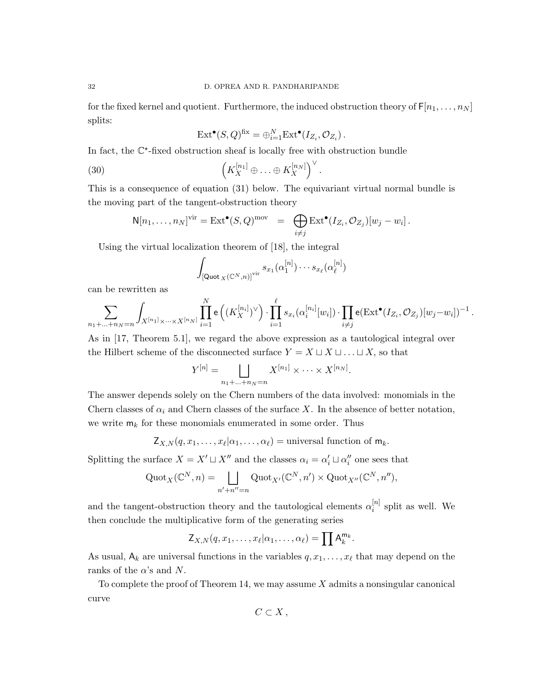for the fixed kernel and quotient. Furthermore, the induced obstruction theory of  $F[n_1, \ldots, n_N]$ splits:

$$
\mathrm{Ext}^{\bullet}(S,Q)^{\mathrm{fix}} = \bigoplus_{i=1}^{N} \mathrm{Ext}^{\bullet}(I_{Z_i}, \mathcal{O}_{Z_i}).
$$

In fact, the  $\mathbb{C}^*$ -fixed obstruction sheaf is locally free with obstruction bundle

(30) 
$$
\left(K_X^{[n_1]}\oplus\ldots\oplus K_X^{[n_N]}\right)^{\vee}.
$$

This is a consequence of equation (31) below. The equivariant virtual normal bundle is the moving part of the tangent-obstruction theory

$$
\mathsf{N}[n_1,\ldots,n_N]^{\text{vir}} = \text{Ext}^{\bullet}(S,Q)^{\text{mov}} = \bigoplus_{i \neq j} \text{Ext}^{\bullet}(I_{Z_i}, \mathcal{O}_{Z_j})[w_j - w_i].
$$

Using the virtual localization theorem of [18], the integral

$$
\int_{\left[\mathsf{Quot}_X(\mathbb{C}^N,n)\right]^{\text{vir}}} s_{x_1}(\alpha_1^{[n]}) \cdots s_{x_\ell}(\alpha_\ell^{[n]})
$$

can be rewritten as

$$
\sum_{n_1 + ... + n_N = n} \int_{X^{[n_1]} \times ... \times X^{[n_N]}} \prod_{i=1}^N e\left( (K_X^{[n_i]})^{\vee} \right) \cdot \prod_{i=1}^{\ell} s_{x_i}(\alpha_i^{[n_i]}[w_i]) \cdot \prod_{i \neq j} e(\text{Ext}^{\bullet}(I_{Z_i}, \mathcal{O}_{Z_j})[w_j - w_i])^{-1}.
$$

As in [17, Theorem 5.1], we regard the above expression as a tautological integral over the Hilbert scheme of the disconnected surface  $Y = X \sqcup X \sqcup ... \sqcup X$ , so that

$$
Y^{[n]} = \bigsqcup_{n_1 + \ldots + n_N = n} X^{[n_1]} \times \cdots \times X^{[n_N]}.
$$

The answer depends solely on the Chern numbers of the data involved: monomials in the Chern classes of  $\alpha_i$  and Chern classes of the surface X. In the absence of better notation, we write  $m_k$  for these monomials enumerated in some order. Thus

$$
Z_{X,N}(q, x_1, \ldots, x_\ell | \alpha_1, \ldots, \alpha_\ell)
$$
 = universal function of  $m_k$ .

Splitting the surface  $X = X' \sqcup X''$  and the classes  $\alpha_i = \alpha'_i \sqcup \alpha''_i$  one sees that

$$
\operatorname{Quot}_X(\mathbb{C}^N,n)=\bigsqcup_{n'+n''=n}\operatorname{Quot}_{X'}(\mathbb{C}^N,n')\times\operatorname{Quot}_{X''}(\mathbb{C}^N,n''),
$$

and the tangent-obstruction theory and the tautological elements  $\alpha_i^{[n]}$  $i^{[n]}$  split as well. We then conclude the multiplicative form of the generating series

$$
\mathsf{Z}_{X,N}(q,x_1,\ldots,x_\ell|\alpha_1,\ldots,\alpha_\ell)=\prod \mathsf{A}_k^{\mathsf{m}_k}.
$$

As usual,  $A_k$  are universal functions in the variables  $q, x_1, \ldots, x_\ell$  that may depend on the ranks of the  $\alpha$ 's and N.

To complete the proof of Theorem 14, we may assume  $X$  admits a nonsingular canonical curve

$$
C\subset X\,,
$$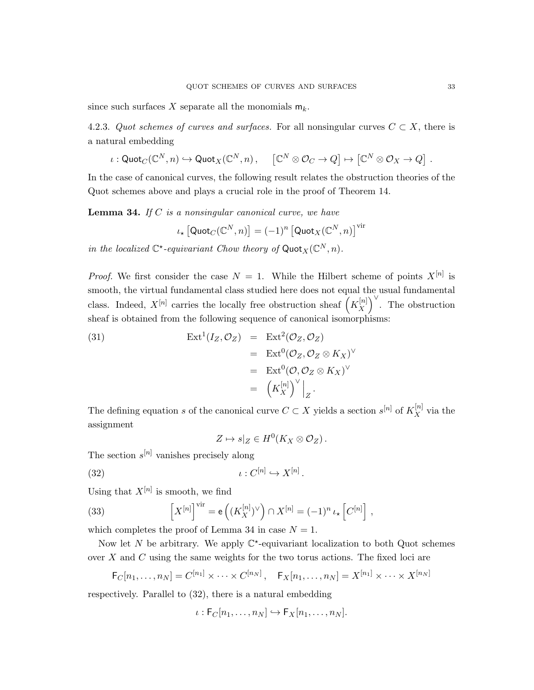since such surfaces X separate all the monomials  $m_k$ .

4.2.3. Quot schemes of curves and surfaces. For all nonsingular curves  $C \subset X$ , there is a natural embedding

$$
\iota: \operatorname{Quot}_C(\mathbb{C}^N, n) \hookrightarrow \operatorname{Quot}_X(\mathbb{C}^N, n), \quad [\mathbb{C}^N \otimes \mathcal{O}_C \to Q] \mapsto [\mathbb{C}^N \otimes \mathcal{O}_X \to Q] .
$$

In the case of canonical curves, the following result relates the obstruction theories of the Quot schemes above and plays a crucial role in the proof of Theorem 14.

**Lemma 34.** If  $C$  is a nonsingular canonical curve, we have

$$
\iota_\star\left[\mathsf{Quot}_{C}(\mathbb{C}^N,n)\right]=(-1)^n\left[\mathsf{Quot}_{X}(\mathbb{C}^N,n)\right]^{\operatorname{vir}}
$$

in the localized  $\mathbb{C}^*$ -equivariant Chow theory of Quot $_X(\mathbb{C}^N, n)$ .

*Proof.* We first consider the case  $N = 1$ . While the Hilbert scheme of points  $X^{[n]}$  is smooth, the virtual fundamental class studied here does not equal the usual fundamental class. Indeed,  $X^{[n]}$  carries the locally free obstruction sheaf  $\left(K_X^{[n]}\right)$  $\begin{bmatrix} [n] \ X \end{bmatrix}^{\vee}$ . The obstruction sheaf is obtained from the following sequence of canonical isomorphisms:

(31) 
$$
\operatorname{Ext}^1(I_Z, \mathcal{O}_Z) = \operatorname{Ext}^2(\mathcal{O}_Z, \mathcal{O}_Z) \n= \operatorname{Ext}^0(\mathcal{O}_Z, \mathcal{O}_Z \otimes K_X)^\vee \n= \operatorname{Ext}^0(\mathcal{O}, \mathcal{O}_Z \otimes K_X)^\vee \n= \left. \left( K_X^{[n]} \right)^\vee \right|_Z.
$$

The defining equation s of the canonical curve  $C \subset X$  yields a section  $s^{[n]}$  of  $K_X^{[n]}$  via the assignment

 $Z \mapsto s|_Z \in H^0(K_X \otimes \mathcal{O}_Z).$ 

The section  $s^{[n]}$  vanishes precisely along

(32) ι : C [n] ,→ X[n] .

Using that  $X^{[n]}$  is smooth, we find

(33) 
$$
\left[X^{[n]}\right]^{\text{vir}} = \mathbf{e}\left((K_X^{[n]})^{\vee}\right) \cap X^{[n]} = (-1)^n \iota_{\star} \left[C^{[n]}\right],
$$

which completes the proof of Lemma 34 in case  $N = 1$ .

Now let N be arbitrary. We apply  $\mathbb{C}^*$ -equivariant localization to both Quot schemes over X and C using the same weights for the two torus actions. The fixed loci are

$$
F_C[n_1,...,n_N] = C^{[n_1]} \times \cdots \times C^{[n_N]}, \quad F_X[n_1,...,n_N] = X^{[n_1]} \times \cdots \times X^{[n_N]}
$$

respectively. Parallel to (32), there is a natural embedding

$$
\iota: \mathsf{F}_C[n_1,\ldots,n_N] \hookrightarrow \mathsf{F}_X[n_1,\ldots,n_N].
$$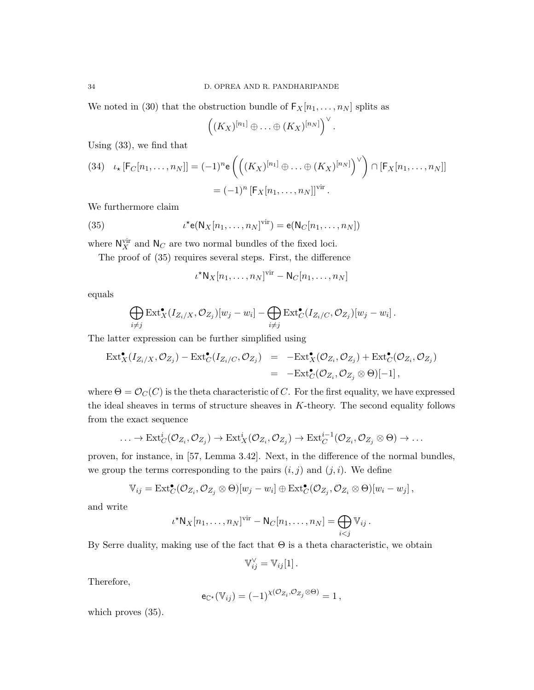We noted in (30) that the obstruction bundle of  $F_X[n_1, \ldots, n_N]$  splits as

$$
((K_X)^{[n_1]}\oplus\ldots\oplus (K_X)^{[n_N]})^{\vee}.
$$

Using (33), we find that

(34) 
$$
\iota_{\star}[\mathsf{F}_C[n_1,\ldots,n_N]] = (-1)^n \mathsf{e}\left(\left((K_X)^{[n_1]} \oplus \ldots \oplus (K_X)^{[n_N]}\right)^{\vee}\right) \cap [\mathsf{F}_X[n_1,\ldots,n_N]]
$$

$$
= (-1)^n [\mathsf{F}_X[n_1,\ldots,n_N]]^{\text{vir}}.
$$

We furthermore claim

(35) 
$$
\iota^{\star}e(N_X[n_1,\ldots,n_N]^{\text{vir}})=e(N_C[n_1,\ldots,n_N])
$$

where  $N_X^{\text{vir}}$  and  $N_C$  are two normal bundles of the fixed loci.

The proof of (35) requires several steps. First, the difference

$$
\iota^{\star} N_X[n_1,\ldots,n_N]^{\mathrm{vir}} - N_C[n_1,\ldots,n_N]
$$

equals

$$
\bigoplus_{i \neq j} \text{Ext}^{\bullet}_{X}(I_{Z_{i}/X}, \mathcal{O}_{Z_{j}})[w_{j}-w_{i}] - \bigoplus_{i \neq j} \text{Ext}^{\bullet}_{C}(I_{Z_{i}/C}, \mathcal{O}_{Z_{j}})[w_{j}-w_{i}].
$$

The latter expression can be further simplified using

$$
\operatorname{Ext}^{\bullet}_X(I_{Z_i/X}, \mathcal{O}_{Z_j}) - \operatorname{Ext}^{\bullet}_C(I_{Z_i/C}, \mathcal{O}_{Z_j}) = -\operatorname{Ext}^{\bullet}_X(\mathcal{O}_{Z_i}, \mathcal{O}_{Z_j}) + \operatorname{Ext}^{\bullet}_C(\mathcal{O}_{Z_i}, \mathcal{O}_{Z_j})
$$
  
= -\operatorname{Ext}^{\bullet}\_C(\mathcal{O}\_{Z\_i}, \mathcal{O}\_{Z\_j} \otimes \Theta)[-1],

where  $\Theta = \mathcal{O}_C(C)$  is the theta characteristic of C. For the first equality, we have expressed the ideal sheaves in terms of structure sheaves in  $K$ -theory. The second equality follows from the exact sequence

$$
\ldots \to \mathrm{Ext}^i_C(\mathcal{O}_{Z_i}, \mathcal{O}_{Z_j}) \to \mathrm{Ext}^i_X(\mathcal{O}_{Z_i}, \mathcal{O}_{Z_j}) \to \mathrm{Ext}^{i-1}_C(\mathcal{O}_{Z_i}, \mathcal{O}_{Z_j} \otimes \Theta) \to \ldots
$$

proven, for instance, in [57, Lemma 3.42]. Next, in the difference of the normal bundles, we group the terms corresponding to the pairs  $(i, j)$  and  $(j, i)$ . We define

$$
\mathbb{V}_{ij} = \text{Ext}^{\bullet}_{\mathcal{C}}(\mathcal{O}_{Z_i}, \mathcal{O}_{Z_j} \otimes \Theta)[w_j - w_i] \oplus \text{Ext}^{\bullet}_{\mathcal{C}}(\mathcal{O}_{Z_j}, \mathcal{O}_{Z_i} \otimes \Theta)[w_i - w_j],
$$

and write

$$
\iota^{\star} \mathsf{N}_X[n_1,\ldots,n_N]^{\mathrm{vir}} - \mathsf{N}_C[n_1,\ldots,n_N] = \bigoplus_{i < j} \mathbb{V}_{ij}.
$$

By Serre duality, making use of the fact that  $\Theta$  is a theta characteristic, we obtain

$$
\mathbb{V}_{ij}^{\vee} = \mathbb{V}_{ij}[1].
$$

Therefore,

$$
\mathsf{e}_{\mathbb{C}^\star}(\mathbb{V}_{ij}) = (-1)^{\chi(\mathcal{O}_{Z_i}, \mathcal{O}_{Z_j} \otimes \Theta)} = 1,
$$

which proves  $(35)$ .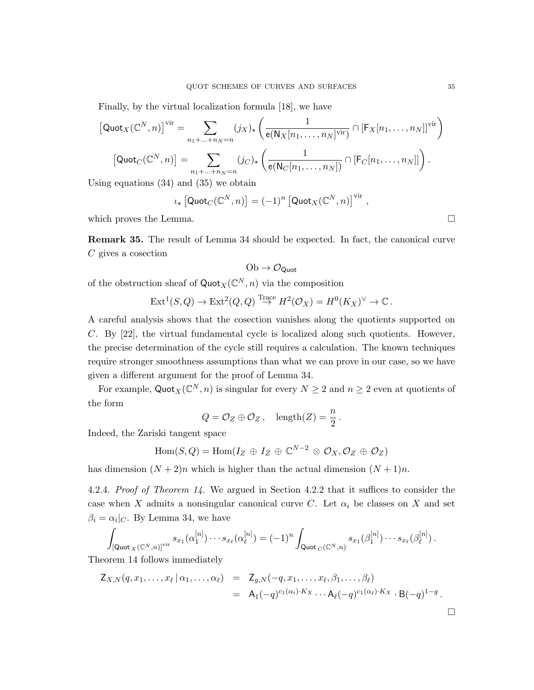Finally, by the virtual localization formula [18], we have

$$
[\text{Quot}_X(\mathbb{C}^N, n)]^{\text{vir}} = \sum_{n_1 + \dots + n_N = n} (j_X)_* \left( \frac{1}{\mathbf{e}(N_X[n_1, \dots, n_N]^{\text{vir}})} \cap [\mathsf{F}_X[n_1, \dots, n_N]]^{\text{vir}} \right)
$$

$$
[\text{Quot}_C(\mathbb{C}^N, n)] = \sum_{n_1 + \dots + n_N = n} (j_C)_* \left( \frac{1}{\mathbf{e}(N_C[n_1, \dots, n_N])} \cap [\mathsf{F}_C[n_1, \dots, n_N]] \right).
$$

Using equations (34) and (35) we obtain

$$
\iota_{\star}\left[\mathsf{Quot}_{C}(\mathbb{C}^{N},n)\right] = (-1)^{n}\left[\mathsf{Quot}_{X}(\mathbb{C}^{N},n)\right]^{\mathrm{vir}}
$$

which proves the Lemma.  $\Box$ 

Remark 35. The result of Lemma 34 should be expected. In fact, the canonical curve  $C$  gives a cosection

$$
\mathrm{Ob} \to \mathcal{O}_{\mathsf{Quot}}
$$

of the obstruction sheaf of  $\text{Quot}_X(\mathbb{C}^N, n)$  via the composition

$$
\operatorname{Ext}^1(S,Q) \to \operatorname{Ext}^2(Q,Q) \stackrel{\text{Trace}}{\to} H^2(\mathcal{O}_X) = H^0(K_X)^{\vee} \to \mathbb{C}.
$$

A careful analysis shows that the cosection vanishes along the quotients supported on C. By [22], the virtual fundamental cycle is localized along such quotients. However, the precise determination of the cycle still requires a calculation. The known techniques require stronger smoothness assumptions than what we can prove in our case, so we have given a different argument for the proof of Lemma 34.

For example,  $\text{Quot}_X(\mathbb{C}^N, n)$  is singular for every  $N \geq 2$  and  $n \geq 2$  even at quotients of the form

$$
Q = \mathcal{O}_Z \oplus \mathcal{O}_Z
$$
,  $length(Z) = \frac{n}{2}$ .

Indeed, the Zariski tangent space

$$
\text{Hom}(S,Q) = \text{Hom}(I_Z \oplus I_Z \oplus \mathbb{C}^{N-2} \otimes \mathcal{O}_X, \mathcal{O}_Z \oplus \mathcal{O}_Z)
$$

has dimension  $(N + 2)n$  which is higher than the actual dimension  $(N + 1)n$ .

4.2.4. Proof of Theorem 14. We argued in Section 4.2.2 that it suffices to consider the case when X admits a nonsingular canonical curve C. Let  $\alpha_i$  be classes on X and set  $\beta_i = \alpha_i|_C$ . By Lemma 34, we have

$$
\int_{\left[\mathsf{Quot}_X(\mathbb{C}^N,n)\right]^{\text{vir}}} s_{x_1}(\alpha_1^{[n]})\cdots s_{x_\ell}(\alpha_\ell^{[n]}) = (-1)^n \int_{\mathsf{Quot}_C(\mathbb{C}^N,n)} s_{x_1}(\beta_1^{[n]})\cdots s_{x_\ell}(\beta_\ell^{[n]}) .
$$

Theorem 14 follows immediately

$$
Z_{X,N}(q,x_1,\ldots,x_\ell \,|\, \alpha_1,\ldots,\alpha_\ell) = Z_{g,N}(-q,x_1,\ldots,x_\ell,\beta_1,\ldots,\beta_\ell)
$$
  
=  $A_1(-q)^{c_1(\alpha_i)\cdot K_X}\cdots A_\ell(-q)^{c_1(\alpha_\ell)\cdot K_X}\cdot B(-q)^{1-g}$ .

,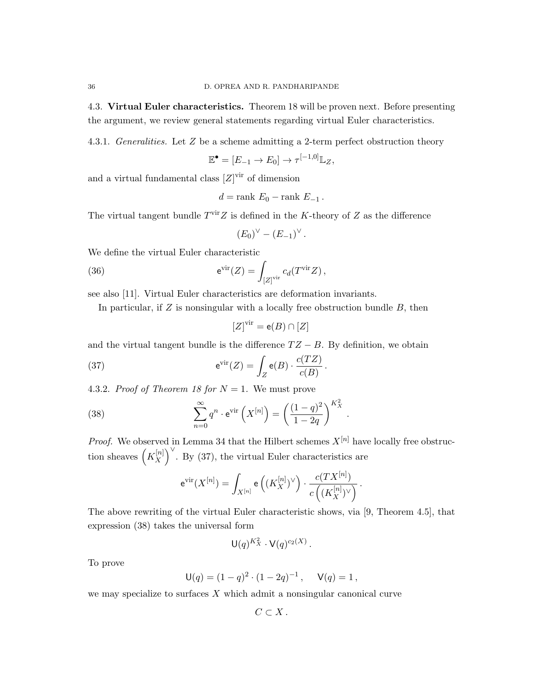4.3. Virtual Euler characteristics. Theorem 18 will be proven next. Before presenting the argument, we review general statements regarding virtual Euler characteristics.

4.3.1. Generalities. Let Z be a scheme admitting a 2-term perfect obstruction theory

$$
\mathbb{E}^{\bullet} = [E_{-1} \to E_0] \to \tau^{[-1,0]} \mathbb{L}_Z,
$$

and a virtual fundamental class  $[Z]^\text{vir}$  of dimension

$$
d = \text{rank } E_0 - \text{rank } E_{-1} \, .
$$

The virtual tangent bundle  $T^{\text{vir}}Z$  is defined in the K-theory of Z as the difference

$$
(E_0)^{\vee} - (E_{-1})^{\vee}.
$$

We define the virtual Euler characteristic

(36) 
$$
e^{\text{vir}}(Z) = \int_{[Z]^{\text{vir}}} c_d(T^{\text{vir}} Z),
$$

see also [11]. Virtual Euler characteristics are deformation invariants.

In particular, if  $Z$  is nonsingular with a locally free obstruction bundle  $B$ , then

$$
[Z]^\mathrm{vir} = \mathrm{e}(B) \cap [Z]
$$

and the virtual tangent bundle is the difference  $TZ - B$ . By definition, we obtain

(37) 
$$
e^{\text{vir}}(Z) = \int_Z e(B) \cdot \frac{c(TZ)}{c(B)}.
$$

4.3.2. Proof of Theorem 18 for  $N = 1$ . We must prove

(38) 
$$
\sum_{n=0}^{\infty} q^n \cdot e^{\text{vir}} \left( X^{[n]} \right) = \left( \frac{(1-q)^2}{1-2q} \right)^{K_X^2}.
$$

*Proof.* We observed in Lemma 34 that the Hilbert schemes  $X^{[n]}$  have locally free obstruction sheaves  $\left(K_X^{[n]}\right)$  $\begin{bmatrix} [n] \ X \end{bmatrix}^{\vee}$ . By (37), the virtual Euler characteristics are

$$
\mathrm{e}^{\mathrm{vir}}(X^{[n]}) = \int_{X^{[n]}} \mathrm{e}\left((K_X^{[n]})^{\vee}\right) \cdot \frac{c(TX^{[n]})}{c\left((K_X^{[n]})^{\vee}\right)}\,.
$$

The above rewriting of the virtual Euler characteristic shows, via [9, Theorem 4.5], that expression (38) takes the universal form

$$
\mathsf{U}(q)^{K_X^2} \cdot \mathsf{V}(q)^{c_2(X)}
$$

.

To prove

$$
\mathsf{U}(q) = (1-q)^2 \cdot (1-2q)^{-1}, \quad \mathsf{V}(q) = 1,
$$

we may specialize to surfaces  $X$  which admit a nonsingular canonical curve

$$
C\subset X\,.
$$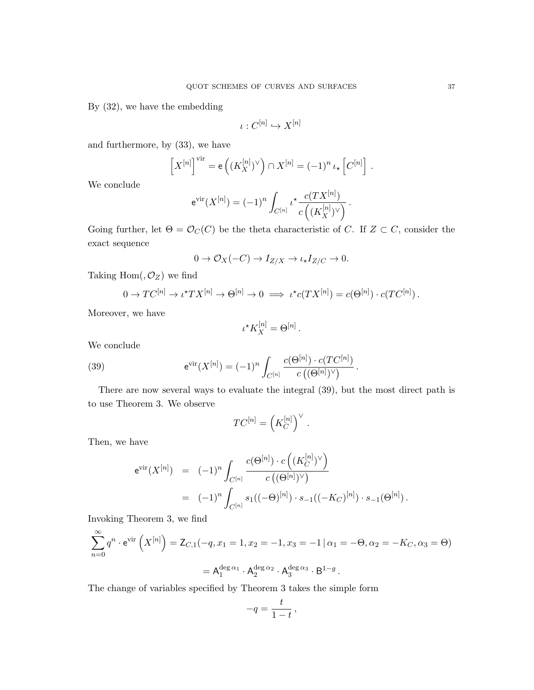By (32), we have the embedding

$$
\iota:C^{[n]}\hookrightarrow X^{[n]}
$$

and furthermore, by (33), we have

$$
\left[X^{[n]}\right]^{\text{vir}} = \mathsf{e}\left((K_X^{[n]})^{\vee}\right) \cap X^{[n]} = (-1)^n \iota_* \left[C^{[n]}\right].
$$

We conclude

$$
e^{\text{vir}}(X^{[n]}) = (-1)^n \int_{C^{[n]}} \iota^* \frac{c(TX^{[n]})}{c((K_X^{[n]})^{\vee})}.
$$

Going further, let  $\Theta = \mathcal{O}_C(C)$  be the theta characteristic of C. If  $Z \subset C$ , consider the exact sequence

$$
0 \to \mathcal{O}_X(-C) \to I_{Z/X} \to \iota_{\star}I_{Z/C} \to 0.
$$

Taking  $Hom($ ,  $\mathcal{O}_Z)$  we find

$$
0 \to TC^{[n]} \to \iota^{\star} TX^{[n]} \to \Theta^{[n]} \to 0 \implies \iota^{\star} c(TX^{[n]}) = c(\Theta^{[n]}) \cdot c(TC^{[n]}).
$$

Moreover, we have

$$
\iota^* K_X^{[n]} = \Theta^{[n]}.
$$

We conclude

(39) 
$$
e^{\text{vir}}(X^{[n]}) = (-1)^n \int_{C^{[n]}} \frac{c(\Theta^{[n]}) \cdot c(TC^{[n]})}{c((\Theta^{[n]})^{\vee})}.
$$

There are now several ways to evaluate the integral (39), but the most direct path is to use Theorem 3. We observe

$$
TC^{[n]} = \left(K_C^{[n]}\right)^{\vee}.
$$

Then, we have

$$
e^{\text{vir}}(X^{[n]}) = (-1)^n \int_{C^{[n]}} \frac{c(\Theta^{[n]}) \cdot c\left((K_C^{[n]})^{\vee}\right)}{c\left((\Theta^{[n]})^{\vee}\right)}
$$
  
= 
$$
(-1)^n \int_{C^{[n]}} s_1((-\Theta)^{[n]}) \cdot s_{-1}((-K_C)^{[n]}) \cdot s_{-1}(\Theta^{[n]}).
$$

Invoking Theorem 3, we find

$$
\sum_{n=0}^{\infty} q^n \cdot e^{\text{vir}} \left( X^{[n]} \right) = \mathsf{Z}_{C,1}(-q, x_1 = 1, x_2 = -1, x_3 = -1 | \alpha_1 = -\Theta, \alpha_2 = -K_C, \alpha_3 = \Theta)
$$

$$
= \mathsf{A}_1^{\deg \alpha_1} \cdot \mathsf{A}_2^{\deg \alpha_2} \cdot \mathsf{A}_3^{\deg \alpha_3} \cdot \mathsf{B}^{1-g}.
$$

The change of variables specified by Theorem 3 takes the simple form

$$
-q = \frac{t}{1-t},
$$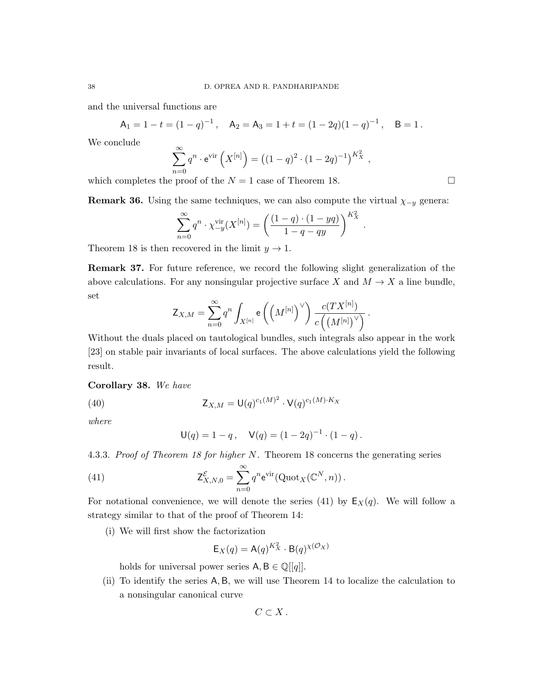and the universal functions are

$$
A_1 = 1 - t = (1 - q)^{-1}
$$
,  $A_2 = A_3 = 1 + t = (1 - 2q)(1 - q)^{-1}$ ,  $B = 1$ .

We conclude

$$
\sum_{n=0}^{\infty} q^n \cdot e^{\text{vir}} \left( X^{[n]} \right) = \left( (1-q)^2 \cdot (1-2q)^{-1} \right)^{K_X^2},
$$

which completes the proof of the  $N = 1$  case of Theorem 18.

**Remark 36.** Using the same techniques, we can also compute the virtual  $\chi_{-y}$  genera:

$$
\sum_{n=0}^{\infty} q^n \cdot \chi_{-y}^{\text{vir}}(X^{[n]}) = \left(\frac{(1-q) \cdot (1 - yq)}{1 - q - qy}\right)^{K_X^2}.
$$

Theorem 18 is then recovered in the limit  $y \to 1$ .

Remark 37. For future reference, we record the following slight generalization of the above calculations. For any nonsingular projective surface X and  $M \to X$  a line bundle, set

$$
\mathsf{Z}_{X,M} = \sum_{n=0}^\infty q^n \int_{X^{[n]}} \mathsf{e}\left(\left(M^{[n]}\right)^{\vee}\right) \frac{c(TX^{[n]})}{c\left(\left(M^{[n]}\right)^{\vee}\right)}\,.
$$

Without the duals placed on tautological bundles, such integrals also appear in the work [23] on stable pair invariants of local surfaces. The above calculations yield the following result.

#### Corollary 38. We have

(40) 
$$
Z_{X,M} = U(q)^{c_1(M)^2} \cdot V(q)^{c_1(M) \cdot K_X}
$$

where

$$
\mathsf{U}(q) = 1 - q \,, \quad \mathsf{V}(q) = (1 - 2q)^{-1} \cdot (1 - q) \,.
$$

4.3.3. Proof of Theorem 18 for higher N. Theorem 18 concerns the generating series

(41) 
$$
\mathsf{Z}^{\mathcal{E}}_{X,N,0} = \sum_{n=0}^{\infty} q^n \mathrm{e}^{\mathrm{vir}}(\mathrm{Quot}_X(\mathbb{C}^N,n)).
$$

For notational convenience, we will denote the series (41) by  $E_X(q)$ . We will follow a strategy similar to that of the proof of Theorem 14:

(i) We will first show the factorization

$$
\mathsf{E}_X(q) = \mathsf{A}(q)^{K_X^2} \cdot \mathsf{B}(q)^{\chi(\mathcal{O}_X)}
$$

holds for universal power series  $A, B \in \mathbb{Q}[[q]]$ .

(ii) To identify the series A, B, we will use Theorem 14 to localize the calculation to a nonsingular canonical curve

$$
C\subset X\,.
$$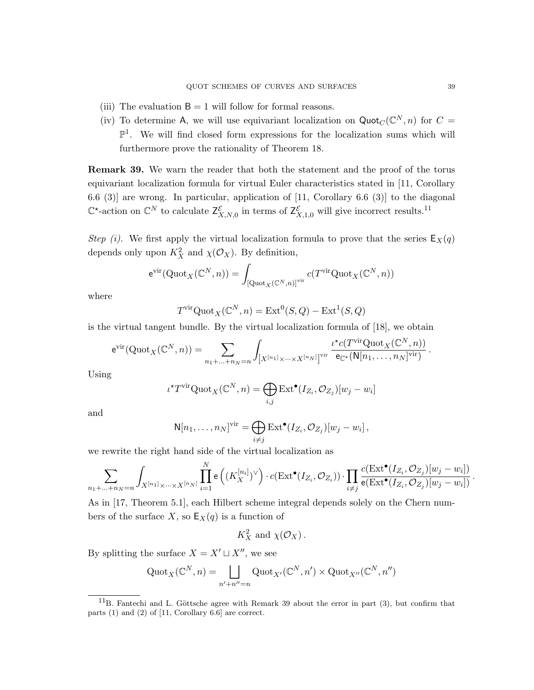- (iii) The evaluation  $B = 1$  will follow for formal reasons.
- (iv) To determine A, we will use equivariant localization on  $\text{Quot}_C(\mathbb{C}^N, n)$  for  $C =$  $\mathbb{P}^1$ . We will find closed form expressions for the localization sums which will furthermore prove the rationality of Theorem 18.

Remark 39. We warn the reader that both the statement and the proof of the torus equivariant localization formula for virtual Euler characteristics stated in [11, Corollary 6.6 (3)] are wrong. In particular, application of [11, Corollary 6.6 (3)] to the diagonal  $\mathbb{C}^*$ -action on  $\mathbb{C}^N$  to calculate  $\mathsf{Z}^{\mathcal{E}}_{X,N,0}$  in terms of  $\mathsf{Z}^{\mathcal{E}}_{X,1,0}$  will give incorrect results.<sup>11</sup>

Step (i). We first apply the virtual localization formula to prove that the series  $E_X(q)$ depends only upon  $K_X^2$  and  $\chi(\mathcal{O}_X)$ . By definition,

$$
e^{\mathrm{vir}}(\mathrm{Quot}_X(\mathbb{C}^N,n))=\int_{\left[\mathrm{Quot}_X(\mathbb{C}^N,n)\right]^{\mathrm{vir}}}c(T^{\mathrm{vir}}\mathrm{Quot}_X(\mathbb{C}^N,n))
$$

where

$$
T^{\text{vir}}\text{Quot}_X(\mathbb{C}^N, n) = \text{Ext}^0(S, Q) - \text{Ext}^1(S, Q)
$$

is the virtual tangent bundle. By the virtual localization formula of [18], we obtain

$$
\mathrm{e}^{\mathrm{vir}}(\mathrm{Quot}_X(\mathbb{C}^N,n))=\sum_{n_1+\ldots+n_N=n}\int_{\left[X^{[n_1]}\times\cdots\times X^{[n_N]}\right]^{\mathrm{vir}}}\frac{\iota^{\star}c(T^{\mathrm{vir}}\mathrm{Quot}_X(\mathbb{C}^N,n))}{\mathrm{e}_{\mathbb{C}^{\star}}(\mathrm{N}[n_1,\ldots,n_N]^{\mathrm{vir}})}\,.
$$

Using

$$
\iota^{\star}T^{\mathrm{vir}}\mathrm{Quot}_X(\mathbb{C}^N,n)=\bigoplus_{i,j}\mathrm{Ext}^\bullet(I_{Z_i},\mathcal{O}_{Z_j})[w_j-w_i]
$$

and

$$
N[n_1,\ldots,n_N]^{\text{vir}} = \bigoplus_{i\neq j} \text{Ext}^{\bullet}(I_{Z_i}, \mathcal{O}_{Z_j})[w_j - w_i],
$$

we rewrite the right hand side of the virtual localization as

$$
\sum_{n_1+\ldots+n_N=n}\int_{X^{[n_1]}\times\cdots\times X^{[n_N]}}\prod_{i=1}^N\mathsf{e}\left((K_X^{[n_i]})^\vee\right)\cdot c(\mathrm{Ext}^\bullet(I_{Z_i},\mathcal{O}_{Z_i}))\cdot \prod_{i\neq j}\frac{c(\mathrm{Ext}^\bullet(I_{Z_i},\mathcal{O}_{Z_j})[w_j-w_i])}{\mathsf{e}(\mathrm{Ext}^\bullet(I_{Z_i},\mathcal{O}_{Z_j})[w_j-w_i])}\,.
$$

As in [17, Theorem 5.1], each Hilbert scheme integral depends solely on the Chern numbers of the surface X, so  $\mathsf{E}_X(q)$  is a function of

$$
K_X^2 \text{ and } \chi(\mathcal{O}_X).
$$

By splitting the surface  $X = X' \sqcup X''$ , we see

$$
\mathrm{Quot}_X(\mathbb{C}^N, n) = \bigsqcup_{n'+n''=n} \mathrm{Quot}_{X'}(\mathbb{C}^N, n') \times \mathrm{Quot}_{X''}(\mathbb{C}^N, n'')
$$

 $11B$ . Fantechi and L. Göttsche agree with Remark 39 about the error in part (3), but confirm that parts (1) and (2) of [11, Corollary 6.6] are correct.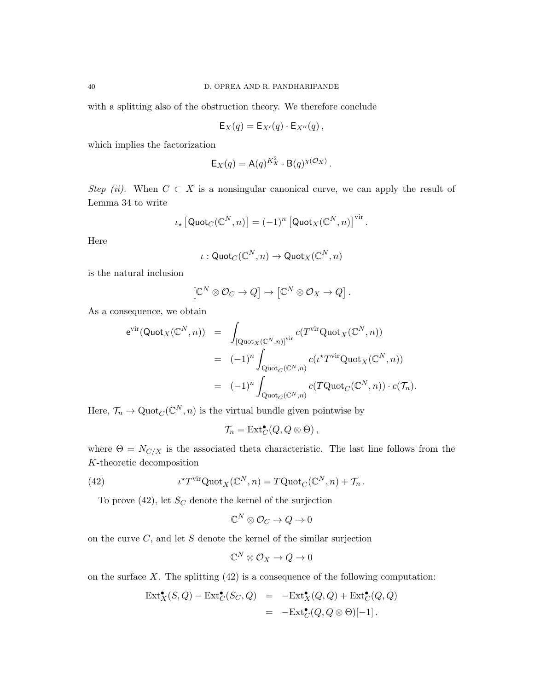with a splitting also of the obstruction theory. We therefore conclude

$$
\mathsf{E}_X(q) = \mathsf{E}_{X'}(q) \cdot \mathsf{E}_{X''}(q) ,
$$

which implies the factorization

$$
\mathsf{E}_X(q) = \mathsf{A}(q)^{K_X^2} \cdot \mathsf{B}(q)^{\chi(\mathcal{O}_X)}.
$$

Step (ii). When  $C \subset X$  is a nonsingular canonical curve, we can apply the result of Lemma 34 to write

$$
\iota_{\star}\left[\mathsf{Quot}_{C}(\mathbb{C}^N,n)\right] = (-1)^n \left[\mathsf{Quot}_{X}(\mathbb{C}^N,n)\right]^{\text{vir}}.
$$

Here

$$
\iota: {\sf Quot}_C(\mathbb{C}^N, n) \to {\sf Quot}_X(\mathbb{C}^N, n)
$$

is the natural inclusion

$$
\left[\mathbb{C}^N\otimes\mathcal{O}_C\to Q\right]\mapsto\left[\mathbb{C}^N\otimes\mathcal{O}_X\to Q\right].
$$

As a consequence, we obtain

$$
e^{\text{vir}}(\text{Quot}_X(\mathbb{C}^N,n)) = \int_{\left[\text{Quot}_X(\mathbb{C}^N,n)\right]^{\text{vir}}} c(T^{\text{vir}}\text{Quot}_X(\mathbb{C}^N,n))
$$
  

$$
= (-1)^n \int_{\text{Quot}_C(\mathbb{C}^N,n)} c(\iota^{\star}T^{\text{vir}}\text{Quot}_X(\mathbb{C}^N,n))
$$
  

$$
= (-1)^n \int_{\text{Quot}_C(\mathbb{C}^N,n)} c(T\text{Quot}_C(\mathbb{C}^N,n)) \cdot c(\mathcal{T}_n).
$$

Here,  $\mathcal{T}_n \to \mathrm{Quot}_C(\mathbb{C}^N, n)$  is the virtual bundle given pointwise by

$$
\mathcal{T}_n = \text{Ext}^{\bullet}_C(Q, Q \otimes \Theta) ,
$$

where  $\Theta = N_{C/X}$  is the associated theta characteristic. The last line follows from the K-theoretic decomposition

(42) 
$$
\iota^{\star} T^{\text{vir}} \text{Quot}_X(\mathbb{C}^N, n) = T \text{Quot}_C(\mathbb{C}^N, n) + \mathcal{T}_n.
$$

To prove  $(42)$ , let  $S_C$  denote the kernel of the surjection

$$
\mathbb{C}^N\otimes\mathcal{O}_C\to Q\to 0
$$

on the curve  $C$ , and let  $S$  denote the kernel of the similar surjection

$$
\mathbb{C}^N\otimes\mathcal{O}_X\to Q\to 0
$$

on the surface  $X$ . The splitting  $(42)$  is a consequence of the following computation:

$$
\operatorname{Ext}^{\bullet}_X(S, Q) - \operatorname{Ext}^{\bullet}_C(S_C, Q) = - \operatorname{Ext}^{\bullet}_X(Q, Q) + \operatorname{Ext}^{\bullet}_C(Q, Q)
$$
  
= - \operatorname{Ext}^{\bullet}\_C(Q, Q \otimes \Theta)[-1].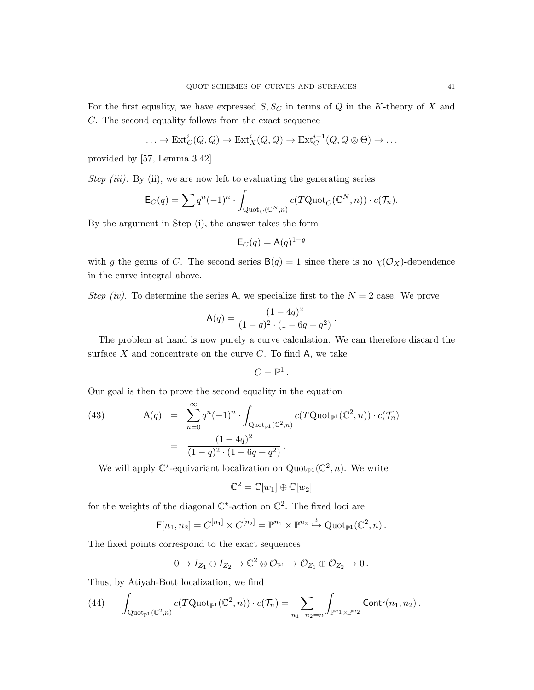For the first equality, we have expressed  $S, S_C$  in terms of Q in the K-theory of X and C. The second equality follows from the exact sequence

$$
\ldots \to \mathrm{Ext}^i_C(Q, Q) \to \mathrm{Ext}^i_X(Q, Q) \to \mathrm{Ext}^{i-1}_C(Q, Q \otimes \Theta) \to \ldots
$$

provided by [57, Lemma 3.42].

Step (iii). By (ii), we are now left to evaluating the generating series

$$
\mathsf{E}_C(q) = \sum q^n (-1)^n \cdot \int_{\mathrm{Quot}_C(\mathbb{C}^N, n)} c(T\mathrm{Quot}_C(\mathbb{C}^N, n)) \cdot c(\mathcal{T}_n).
$$

By the argument in Step (i), the answer takes the form

$$
\mathsf{E}_C(q) = \mathsf{A}(q)^{1-g}
$$

with g the genus of C. The second series  $B(q) = 1$  since there is no  $\chi(\mathcal{O}_X)$ -dependence in the curve integral above.

Step (iv). To determine the series A, we specialize first to the  $N = 2$  case. We prove

$$
\mathsf{A}(q) = \frac{(1-4q)^2}{(1-q)^2 \cdot (1-6q+q^2)}.
$$

The problem at hand is now purely a curve calculation. We can therefore discard the surface  $X$  and concentrate on the curve  $C$ . To find  $A$ , we take

$$
C=\mathbb{P}^1\,.
$$

Our goal is then to prove the second equality in the equation

(43) 
$$
A(q) = \sum_{n=0}^{\infty} q^n (-1)^n \cdot \int_{\text{Quot}_{\mathbb{P}^1}(\mathbb{C}^2, n)} c(T\text{Quot}_{\mathbb{P}^1}(\mathbb{C}^2, n)) \cdot c(\mathcal{T}_n)
$$

$$
= \frac{(1 - 4q)^2}{(1 - q)^2 \cdot (1 - 6q + q^2)}.
$$

We will apply  $\mathbb{C}^*$ -equivariant localization on Quot<sub> $\mathbb{P}^1(\mathbb{C}^2, n)$ . We write</sub>

 $\mathbb{C}^2 = \mathbb{C}[w_1] \oplus \mathbb{C}[w_2]$ 

for the weights of the diagonal  $\mathbb{C}^*$ -action on  $\mathbb{C}^2$ . The fixed loci are

$$
\mathsf{F}[n_1,n_2] = C^{[n_1]} \times C^{[n_2]} = \mathbb{P}^{n_1} \times \mathbb{P}^{n_2} \overset{\iota}{\hookrightarrow} \mathrm{Quot}_{\mathbb{P}^1}(\mathbb{C}^2,n) .
$$

The fixed points correspond to the exact sequences

$$
0 \to I_{Z_1} \oplus I_{Z_2} \to \mathbb{C}^2 \otimes \mathcal{O}_{\mathbb{P}^1} \to \mathcal{O}_{Z_1} \oplus \mathcal{O}_{Z_2} \to 0.
$$

Thus, by Atiyah-Bott localization, we find

(44) 
$$
\int_{\mathrm{Quot}_{\mathbb{P}^1}(\mathbb{C}^2,n)} c(T\mathrm{Quot}_{\mathbb{P}^1}(\mathbb{C}^2,n)) \cdot c(\mathcal{T}_n) = \sum_{n_1+n_2=n} \int_{\mathbb{P}^{n_1} \times \mathbb{P}^{n_2}} \mathrm{Contr}(n_1,n_2) \, .
$$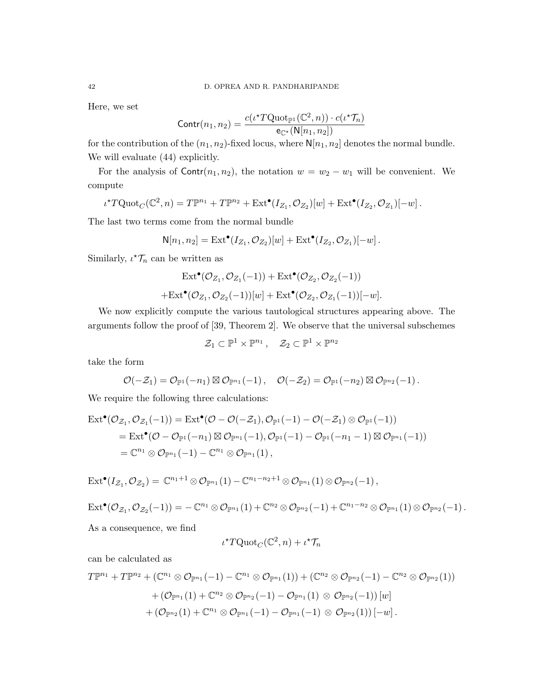Here, we set

$$
Contr(n_1, n_2) = \frac{c(\iota^{\star} TQ \text{uot}_{\mathbb{P}^1}(\mathbb{C}^2, n)) \cdot c(\iota^{\star} \mathcal{T}_n)}{e_{\mathbb{C}^{\star}}(N[n_1, n_2])}
$$

for the contribution of the  $(n_1, n_2)$ -fixed locus, where  $\mathbb{N}[n_1, n_2]$  denotes the normal bundle. We will evaluate (44) explicitly.

For the analysis of  $\text{Contr}(n_1, n_2)$ , the notation  $w = w_2 - w_1$  will be convenient. We compute

$$
\iota^{\star}T\mathrm{Quot}_{C}(\mathbb{C}^{2},n)=T\mathbb{P}^{n_{1}}+T\mathbb{P}^{n_{2}}+\mathrm{Ext}^{\bullet}(I_{Z_{1}},\mathcal{O}_{Z_{2}})[w]+\mathrm{Ext}^{\bullet}(I_{Z_{2}},\mathcal{O}_{Z_{1}})[-w].
$$

The last two terms come from the normal bundle

$$
\mathsf{N}[n_1,n_2] = \mathrm{Ext}^\bullet(I_{Z_1},\mathcal{O}_{Z_2})[w] + \mathrm{Ext}^\bullet(I_{Z_2},\mathcal{O}_{Z_1})[-w]\,.
$$

Similarly,  $\iota^{\star} \mathcal{T}_n$  can be written as

$$
\mathrm{Ext}^{\bullet}(\mathcal{O}_{Z_1}, \mathcal{O}_{Z_1}(-1)) + \mathrm{Ext}^{\bullet}(\mathcal{O}_{Z_2}, \mathcal{O}_{Z_2}(-1))
$$
  
+
$$
\mathrm{Ext}^{\bullet}(\mathcal{O}_{Z_1}, \mathcal{O}_{Z_2}(-1))[w] + \mathrm{Ext}^{\bullet}(\mathcal{O}_{Z_2}, \mathcal{O}_{Z_1}(-1))[-w].
$$

We now explicitly compute the various tautological structures appearing above. The arguments follow the proof of [39, Theorem 2]. We observe that the universal subschemes

$$
\mathcal{Z}_1 \subset \mathbb{P}^1 \times \mathbb{P}^{n_1} \,, \quad \mathcal{Z}_2 \subset \mathbb{P}^1 \times \mathbb{P}^{n_2}
$$

take the form

$$
\mathcal{O}(-\mathcal{Z}_1)=\mathcal{O}_{\mathbb{P}^1}(-n_1)\boxtimes\mathcal{O}_{\mathbb{P}^{n_1}}(-1)\,,\quad \mathcal{O}(-\mathcal{Z}_2)=\mathcal{O}_{\mathbb{P}^1}(-n_2)\boxtimes\mathcal{O}_{\mathbb{P}^{n_2}}(-1)\,.
$$

We require the following three calculations:

$$
\begin{aligned} \mathrm{Ext}^\bullet(\mathcal{O}_{\mathcal{Z}_1},\mathcal{O}_{\mathcal{Z}_1}(-1))&=\mathrm{Ext}^\bullet(\mathcal{O}-\mathcal{O}(-\mathcal{Z}_1),\mathcal{O}_{\mathbb{P}^1}(-1)-\mathcal{O}(-\mathcal{Z}_1)\otimes\mathcal{O}_{\mathbb{P}^1}(-1))\\ &=\mathrm{Ext}^\bullet(\mathcal{O}-\mathcal{O}_{\mathbb{P}^1}(-n_1)\boxtimes\mathcal{O}_{\mathbb{P}^{n_1}}(-1),\mathcal{O}_{\mathbb{P}^1}(-1)-\mathcal{O}_{\mathbb{P}^1}(-n_1-1)\boxtimes\mathcal{O}_{\mathbb{P}^{n_1}}(-1))\\ &=\mathbb{C}^{n_1}\otimes\mathcal{O}_{\mathbb{P}^{n_1}}(-1)-\mathbb{C}^{n_1}\otimes\mathcal{O}_{\mathbb{P}^{n_1}}(1)\,,\end{aligned}
$$

$$
\mathrm{Ext}^\bullet(I_{\mathcal{Z}_1},\mathcal{O}_{\mathcal{Z}_2})=\,\mathbb{C}^{n_1+1}\otimes \mathcal{O}_{\mathbb{P}^{n_1}}(1)-\mathbb{C}^{n_1-n_2+1}\otimes \mathcal{O}_{\mathbb{P}^{n_1}}(1)\otimes \mathcal{O}_{\mathbb{P}^{n_2}}(-1)\,,
$$

$$
\mathrm{Ext}^\bullet(\mathcal{O}_{\mathcal{Z}_1},\mathcal{O}_{\mathcal{Z}_2}(-1))=-\mathbb{C}^{n_1}\otimes \mathcal{O}_{\mathbb{P}^{n_1}}(1)+\mathbb{C}^{n_2}\otimes \mathcal{O}_{\mathbb{P}^{n_2}}(-1)+\mathbb{C}^{n_1-n_2}\otimes \mathcal{O}_{\mathbb{P}^{n_1}}(1)\otimes \mathcal{O}_{\mathbb{P}^{n_2}}(-1)\,.
$$

As a consequence, we find

$$
\iota^{\star} T\mathrm{Quot}_{C}(\mathbb{C}^{2},n) + \iota^{\star} \mathcal{T}_{n}
$$

can be calculated as

$$
\begin{aligned} T\mathbb{P}^{n_1}+T\mathbb{P}^{n_2}+\left(\mathbb{C}^{n_1}\otimes \mathcal{O}_{\mathbb{P}^{n_1}}(-1)-\mathbb{C}^{n_1}\otimes \mathcal{O}_{\mathbb{P}^{n_1}}(1)\right)+\left(\mathbb{C}^{n_2}\otimes \mathcal{O}_{\mathbb{P}^{n_2}}(-1)-\mathbb{C}^{n_2}\otimes \mathcal{O}_{\mathbb{P}^{n_2}}(1)\right)\\ &+\left(\mathcal{O}_{\mathbb{P}^{n_1}}(1)+\mathbb{C}^{n_2}\otimes \mathcal{O}_{\mathbb{P}^{n_2}}(-1)-\mathcal{O}_{\mathbb{P}^{n_1}}(1)\otimes \mathcal{O}_{\mathbb{P}^{n_2}}(-1)\right)[w]\\ &+\left(\mathcal{O}_{\mathbb{P}^{n_2}}(1)+\mathbb{C}^{n_1}\otimes \mathcal{O}_{\mathbb{P}^{n_1}}(-1)-\mathcal{O}_{\mathbb{P}^{n_1}}(-1)\otimes \mathcal{O}_{\mathbb{P}^{n_2}}(1)\right)[-w]\,. \end{aligned}
$$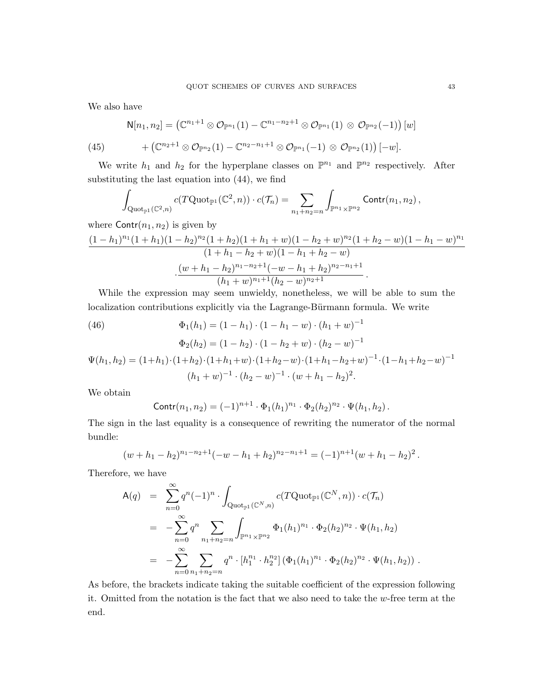We also have

$$
\mathsf{N}[n_1,n_2] = \left(\mathbb{C}^{n_1+1} \otimes \mathcal{O}_{\mathbb{P}^{n_1}}(1) - \mathbb{C}^{n_1-n_2+1} \otimes \mathcal{O}_{\mathbb{P}^{n_1}}(1) \otimes \mathcal{O}_{\mathbb{P}^{n_2}}(-1)\right)[w]
$$

(45) 
$$
+ \left(\mathbb{C}^{n_2+1} \otimes \mathcal{O}_{\mathbb{P}^{n_2}}(1) - \mathbb{C}^{n_2-n_1+1} \otimes \mathcal{O}_{\mathbb{P}^{n_1}}(-1) \otimes \mathcal{O}_{\mathbb{P}^{n_2}}(1)\right)[-w].
$$

We write  $h_1$  and  $h_2$  for the hyperplane classes on  $\mathbb{P}^{n_1}$  and  $\mathbb{P}^{n_2}$  respectively. After substituting the last equation into (44), we find

$$
\int_{\mathrm{Quot}_{\mathbb{P}^1}(\mathbb{C}^2,n)} c(T\mathrm{Quot}_{\mathbb{P}^1}(\mathbb{C}^2,n)) \cdot c(\mathcal{T}_n) = \sum_{n_1+n_2=n} \int_{\mathbb{P}^{n_1} \times \mathbb{P}^{n_2}} \mathrm{Contr}(n_1,n_2),
$$

where  $\text{Contr}(n_1, n_2)$  is given by

$$
\frac{(1-h_1)^{n_1}(1+h_1)(1-h_2)^{n_2}(1+h_2)(1+h_1+w)(1-h_2+w)^{n_2}(1+h_2-w)(1-h_1-w)^{n_1}}{(1+h_1-h_2+w)(1-h_1+h_2-w)}\cdot\frac{(w+h_1-h_2)^{n_1-n_2+1}(-w-h_1+h_2)^{n_2-n_1+1}}{(h_1+w)^{n_1+1}(h_2-w)^{n_2+1}}.
$$

While the expression may seem unwieldy, nonetheless, we will be able to sum the localization contributions explicitly via the Lagrange-Bürmann formula. We write

(46)  
\n
$$
\Phi_1(h_1) = (1 - h_1) \cdot (1 - h_1 - w) \cdot (h_1 + w)^{-1}
$$
\n
$$
\Phi_2(h_2) = (1 - h_2) \cdot (1 - h_2 + w) \cdot (h_2 - w)^{-1}
$$
\n
$$
\Psi(h_1, h_2) = (1 + h_1) \cdot (1 + h_2) \cdot (1 + h_1 + w) \cdot (1 + h_2 - w) \cdot (1 + h_1 - h_2 + w)^{-1} \cdot (1 - h_1 + h_2 - w)^{-1}
$$
\n
$$
(h_1 + w)^{-1} \cdot (h_2 - w)^{-1} \cdot (w + h_1 - h_2)^2.
$$

We obtain

$$
Contr(n_1, n_2) = (-1)^{n+1} \cdot \Phi_1(h_1)^{n_1} \cdot \Phi_2(h_2)^{n_2} \cdot \Psi(h_1, h_2).
$$

The sign in the last equality is a consequence of rewriting the numerator of the normal bundle:

$$
(w + h1 - h2)n1-n2+1(-w - h1 + h2)n2-n1+1 = (-1)n+1(w + h1 - h2)2.
$$

Therefore, we have

$$
A(q) = \sum_{n=0}^{\infty} q^n (-1)^n \cdot \int_{\text{Quot}_{\mathbb{P}^1}(\mathbb{C}^N, n)} c(T\text{Quot}_{\mathbb{P}^1}(\mathbb{C}^N, n)) \cdot c(\mathcal{T}_n)
$$
  
\n
$$
= -\sum_{n=0}^{\infty} q^n \sum_{n_1 + n_2 = n} \int_{\mathbb{P}^{n_1} \times \mathbb{P}^{n_2}} \Phi_1(h_1)^{n_1} \cdot \Phi_2(h_2)^{n_2} \cdot \Psi(h_1, h_2)
$$
  
\n
$$
= -\sum_{n=0}^{\infty} \sum_{n_1 + n_2 = n} q^n \cdot [h_1^{n_1} \cdot h_2^{n_2}] \left( \Phi_1(h_1)^{n_1} \cdot \Phi_2(h_2)^{n_2} \cdot \Psi(h_1, h_2) \right).
$$

As before, the brackets indicate taking the suitable coefficient of the expression following it. Omitted from the notation is the fact that we also need to take the w-free term at the end.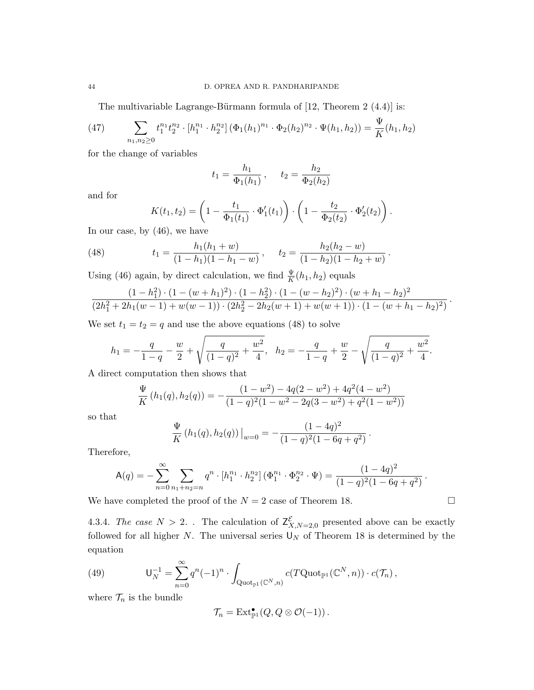The multivariable Lagrange-Bürmann formula of  $[12,$  Theorem  $2$   $(4.4)]$  is:

(47) 
$$
\sum_{n_1,n_2\geq 0} t_1^{n_1} t_2^{n_2} \cdot [h_1^{n_1} \cdot h_2^{n_2}] \left(\Phi_1(h_1)^{n_1} \cdot \Phi_2(h_2)^{n_2} \cdot \Psi(h_1,h_2)\right) = \frac{\Psi}{K}(h_1,h_2)
$$

for the change of variables

$$
t_1 = \frac{h_1}{\Phi_1(h_1)}, \quad t_2 = \frac{h_2}{\Phi_2(h_2)}
$$

and for

$$
K(t_1, t_2) = \left(1 - \frac{t_1}{\Phi_1(t_1)} \cdot \Phi_1'(t_1)\right) \cdot \left(1 - \frac{t_2}{\Phi_2(t_2)} \cdot \Phi_2'(t_2)\right).
$$
\n(46) we have

In our case, by (46), we have

(48) 
$$
t_1 = \frac{h_1(h_1 + w)}{(1 - h_1)(1 - h_1 - w)}, \quad t_2 = \frac{h_2(h_2 - w)}{(1 - h_2)(1 - h_2 + w)}.
$$

Using (46) again, by direct calculation, we find  $\frac{\Psi}{K}(h_1, h_2)$  equals

$$
\frac{(1-h_1^2)\cdot(1-(w+h_1)^2)\cdot(1-h_2^2)\cdot(1-(w-h_2)^2)\cdot(w+h_1-h_2)^2}{(2h_1^2+2h_1(w-1)+w(w-1))\cdot(2h_2^2-2h_2(w+1)+w(w+1))\cdot(1-(w+h_1-h_2)^2)}
$$

.

We set  $t_1 = t_2 = q$  and use the above equations (48) to solve

$$
h_1 = -\frac{q}{1-q} - \frac{w}{2} + \sqrt{\frac{q}{(1-q)^2} + \frac{w^2}{4}}, \quad h_2 = -\frac{q}{1-q} + \frac{w}{2} - \sqrt{\frac{q}{(1-q)^2} + \frac{w^2}{4}}.
$$

A direct computation then shows that

$$
\frac{\Psi}{K}(h_1(q), h_2(q)) = -\frac{(1-w^2) - 4q(2-w^2) + 4q^2(4-w^2)}{(1-q)^2(1-w^2 - 2q(3-w^2) + q^2(1-w^2))}
$$

so that

$$
\frac{\Psi}{K} (h_1(q), h_2(q))\Big|_{w=0} = -\frac{(1-4q)^2}{(1-q)^2(1-6q+q^2)}.
$$

Therefore,

$$
\mathsf{A}(q) = -\sum_{n=0}^{\infty} \sum_{n_1+n_2=n} q^n \cdot [h_1^{n_1} \cdot h_2^{n_2}] \left(\Phi_1^{n_1} \cdot \Phi_2^{n_2} \cdot \Psi\right) = \frac{(1-4q)^2}{(1-q)^2(1-6q+q^2)}.
$$

We have completed the proof of the  $N = 2$  case of Theorem 18.

4.3.4. The case  $N > 2$ . The calculation of  $\mathsf{Z}^{\mathcal{E}}_{X,N=2,0}$  presented above can be exactly followed for all higher N. The universal series  $\mathsf{U}_N$  of Theorem 18 is determined by the equation

(49) 
$$
\mathsf{U}_N^{-1} = \sum_{n=0}^{\infty} q^n (-1)^n \cdot \int_{\mathrm{Quot}_{\mathbb{P}^1}(\mathbb{C}^N,n)} c(T\mathrm{Quot}_{\mathbb{P}^1}(\mathbb{C}^N,n)) \cdot c(\mathcal{T}_n),
$$

where  $\mathcal{T}_n$  is the bundle

$$
\mathcal{T}_n = \mathrm{Ext}^{\bullet}_{\mathbb{P}^1}(Q, Q \otimes \mathcal{O}(-1)).
$$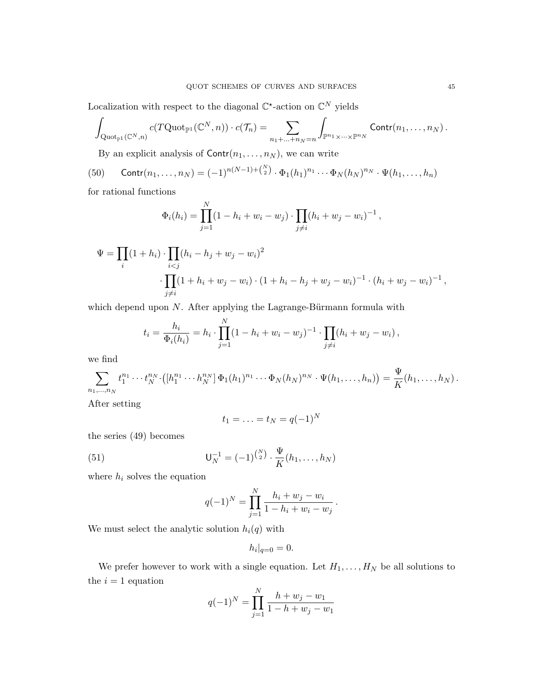Localization with respect to the diagonal  $\mathbb{C}^*$ -action on  $\mathbb{C}^N$  yields

$$
\int_{\mathrm{Quot}_{\mathbb{P}^1}(\mathbb{C}^N,n)} c(T\mathrm{Quot}_{\mathbb{P}^1}(\mathbb{C}^N,n)) \cdot c(\mathcal{T}_n) = \sum_{n_1+\ldots+n_N=n} \int_{\mathbb{P}^{n_1} \times \cdots \times \mathbb{P}^{n_N}} \mathrm{Contr}(n_1,\ldots,n_N) \, .
$$

By an explicit analysis of  $\text{Contr}(n_1, \ldots, n_N)$ , we can write

(50) 
$$
Contr(n_1, ..., n_N) = (-1)^{n(N-1)+\binom{N}{2}} \cdot \Phi_1(h_1)^{n_1} \cdots \Phi_N(h_N)^{n_N} \cdot \Psi(h_1, ..., h_n)
$$

for rational functions

$$
\Phi_i(h_i) = \prod_{j=1}^N (1 - h_i + w_i - w_j) \cdot \prod_{j \neq i} (h_i + w_j - w_i)^{-1},
$$

$$
\Psi = \prod_{i} (1 + h_i) \cdot \prod_{i < j} (h_i - h_j + w_j - w_i)^2
$$
\n
$$
\cdot \prod_{j \neq i} (1 + h_i + w_j - w_i) \cdot (1 + h_i - h_j + w_j - w_i)^{-1} \cdot (h_i + w_j - w_i)^{-1},
$$

which depend upon  $N$ . After applying the Lagrange-Bürmann formula with

$$
t_i = \frac{h_i}{\Phi_i(h_i)} = h_i \cdot \prod_{j=1}^N (1 - h_i + w_i - w_j)^{-1} \cdot \prod_{j \neq i} (h_i + w_j - w_i),
$$

we find

$$
\sum_{n_1,\dots,n_N} t_1^{n_1}\cdots t_N^{n_N} \cdot ([h_1^{n_1}\cdots h_N^{n_N}] \Phi_1(h_1)^{n_1}\cdots \Phi_N(h_N)^{n_N} \cdot \Psi(h_1,\dots,h_n)) = \frac{\Psi}{K}(h_1,\dots,h_N).
$$

After setting

$$
t_1=\ldots=t_N=q(-1)^N
$$

the series (49) becomes

(51) 
$$
\mathsf{U}_N^{-1} = (-1)^{\binom{N}{2}} \cdot \frac{\Psi}{K}(h_1, \dots, h_N)
$$

where  $h_i$  solves the equation

$$
q(-1)^N = \prod_{j=1}^N \frac{h_i + w_j - w_i}{1 - h_i + w_i - w_j}.
$$

We must select the analytic solution  $h_i(q)$  with

$$
h_i|_{q=0}=0.
$$

We prefer however to work with a single equation. Let  $H_1, \ldots, H_N$  be all solutions to the  $i = 1$  equation

$$
q(-1)^N = \prod_{j=1}^N \frac{h+w_j - w_1}{1 - h + w_j - w_1}
$$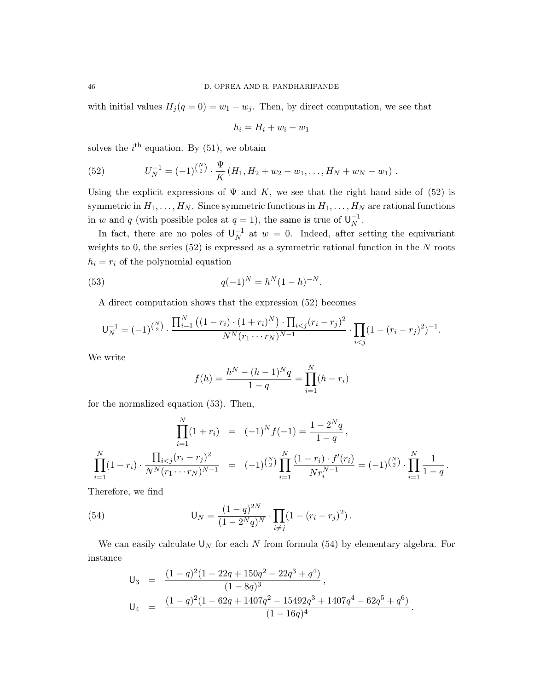with initial values  $H_j(q=0) = w_1 - w_j$ . Then, by direct computation, we see that

$$
h_i = H_i + w_i - w_1
$$

solves the  $i<sup>th</sup>$  equation. By (51), we obtain

(52) 
$$
U_N^{-1} = (-1)^{\binom{N}{2}} \cdot \frac{\Psi}{K} (H_1, H_2 + w_2 - w_1, \dots, H_N + w_N - w_1).
$$

Using the explicit expressions of  $\Psi$  and K, we see that the right hand side of (52) is symmetric in  $H_1, \ldots, H_N$ . Since symmetric functions in  $H_1, \ldots, H_N$  are rational functions in w and q (with possible poles at  $q = 1$ ), the same is true of  $\mathsf{U}_N^{-1}$  $\overline{N}^1$ .

In fact, there are no poles of  $\mathsf{U}_N^{-1}$  $N^{-1}$  at  $w = 0$ . Indeed, after setting the equivariant weights to 0, the series  $(52)$  is expressed as a symmetric rational function in the N roots  $h_i = r_i$  of the polynomial equation

(53) 
$$
q(-1)^N = h^N (1-h)^{-N}.
$$

A direct computation shows that the expression (52) becomes

$$
\mathsf{U}_N^{-1} = (-1)^{\binom{N}{2}} \cdot \frac{\prod_{i=1}^N \left( (1-r_i) \cdot (1+r_i)^N \right) \cdot \prod_{i < j} (r_i - r_j)^2}{N^N (r_1 \cdots r_N)^{N-1}} \cdot \prod_{i < j} (1-(r_i - r_j)^2)^{-1}.
$$

We write

$$
f(h) = \frac{h^N - (h-1)^N q}{1-q} = \prod_{i=1}^N (h - r_i)
$$

for the normalized equation (53). Then,

$$
\prod_{i=1}^{N} (1+r_i) = (-1)^N f(-1) = \frac{1-2^N q}{1-q},
$$
\n
$$
\prod_{i=1}^{N} (1-r_i) \cdot \frac{\prod_{i < j} (r_i - r_j)^2}{N^N (r_1 \cdots r_N)^{N-1}} = (-1)^{\binom{N}{2}} \prod_{i=1}^{N} \frac{(1-r_i) \cdot f'(r_i)}{N r_i^{N-1}} = (-1)^{\binom{N}{2}} \cdot \prod_{i=1}^{N} \frac{1}{1-q}.
$$

Therefore, we find

(54) 
$$
\mathsf{U}_N = \frac{(1-q)^{2N}}{(1-2^Nq)^N} \cdot \prod_{i \neq j} (1-(r_i-r_j)^2).
$$

We can easily calculate  $\mathsf{U}_N$  for each  $N$  from formula (54) by elementary algebra. For instance

$$
U_3 = \frac{(1-q)^2(1-22q+150q^2-22q^3+q^4)}{(1-8q)^3},
$$
  
\n
$$
U_4 = \frac{(1-q)^2(1-62q+1407q^2-15492q^3+1407q^4-62q^5+q^6)}{(1-16q)^4}.
$$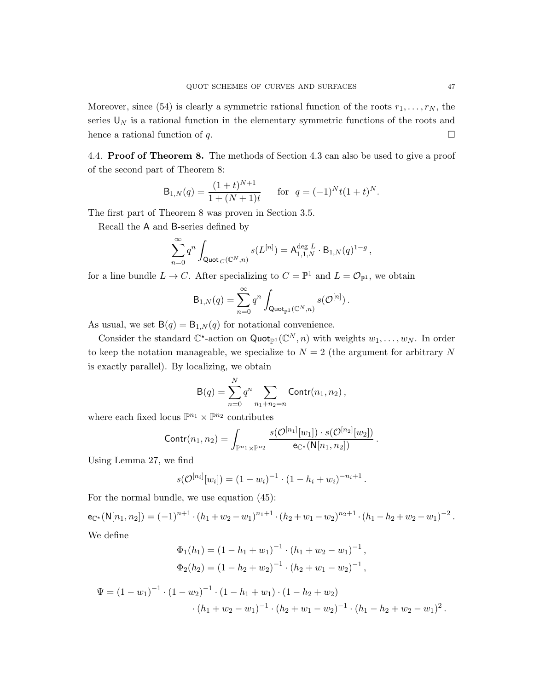Moreover, since (54) is clearly a symmetric rational function of the roots  $r_1, \ldots, r_N$ , the series  $\mathsf{U}_N$  is a rational function in the elementary symmetric functions of the roots and hence a rational function of q.  $\Box$ 

4.4. Proof of Theorem 8. The methods of Section 4.3 can also be used to give a proof of the second part of Theorem 8:

$$
B_{1,N}(q) = \frac{(1+t)^{N+1}}{1+(N+1)t}
$$
 for  $q = (-1)^N t (1+t)^N$ .

The first part of Theorem 8 was proven in Section 3.5.

Recall the A and B-series defined by

$$
\sum_{n=0}^\infty q^n\int_{\mathsf {Quot\,}_C({\mathbb C}^N,n)}s(L^{[n]})={\mathsf A}^{\deg\,L}_{1,1,N}\cdot{\mathsf B}_{1,N}(q)^{1-g}\,,
$$

for a line bundle  $L \to C$ . After specializing to  $C = \mathbb{P}^1$  and  $L = \mathcal{O}_{\mathbb{P}^1}$ , we obtain

$$
\mathsf{B}_{1,N}(q) = \sum_{n=0}^\infty q^n \int_{\mathsf{Quot}_{\mathbb{P}^1}(\mathbb{C}^N,n)} s(\mathcal{O}^{[n]})\,.
$$

As usual, we set  $B(q) = B_{1,N}(q)$  for notational convenience.

Consider the standard  $\mathbb{C}^*$ -action on Quot<sub>P1</sub> ( $\mathbb{C}^N$ , n) with weights  $w_1, \ldots, w_N$ . In order to keep the notation manageable, we specialize to  $N = 2$  (the argument for arbitrary N is exactly parallel). By localizing, we obtain

$$
B(q) = \sum_{n=0}^{N} q^n \sum_{n_1 + n_2 = n} \text{Contr}(n_1, n_2),
$$

where each fixed locus  $\mathbb{P}^{n_1} \times \mathbb{P}^{n_2}$  contributes

$$
Contr(n_1, n_2) = \int_{\mathbb{P}^{n_1} \times \mathbb{P}^{n_2}} \frac{s(\mathcal{O}^{[n_1]}[w_1]) \cdot s(\mathcal{O}^{[n_2]}[w_2])}{e_{\mathbb{C}^{\star}}(N[n_1, n_2])}.
$$

Using Lemma 27, we find

$$
s(\mathcal{O}^{[n_i]}[w_i]) = (1-w_i)^{-1} \cdot (1-h_i+w_i)^{-n_i+1}.
$$

For the normal bundle, we use equation (45):

 $e_{\mathbb{C}^{\star}}(N[n_1,n_2]) = (-1)^{n+1} \cdot (h_1 + w_2 - w_1)^{n_1+1} \cdot (h_2 + w_1 - w_2)^{n_2+1} \cdot (h_1 - h_2 + w_2 - w_1)^{-2}$ . We define

$$
\Phi_1(h_1) = (1 - h_1 + w_1)^{-1} \cdot (h_1 + w_2 - w_1)^{-1},
$$
  
\n
$$
\Phi_2(h_2) = (1 - h_2 + w_2)^{-1} \cdot (h_2 + w_1 - w_2)^{-1},
$$

$$
\Psi = (1 - w_1)^{-1} \cdot (1 - w_2)^{-1} \cdot (1 - h_1 + w_1) \cdot (1 - h_2 + w_2) \cdot (h_1 + w_2 - w_1)^{-1} \cdot (h_2 + w_1 - w_2)^{-1} \cdot (h_1 - h_2 + w_2 - w_1)^2.
$$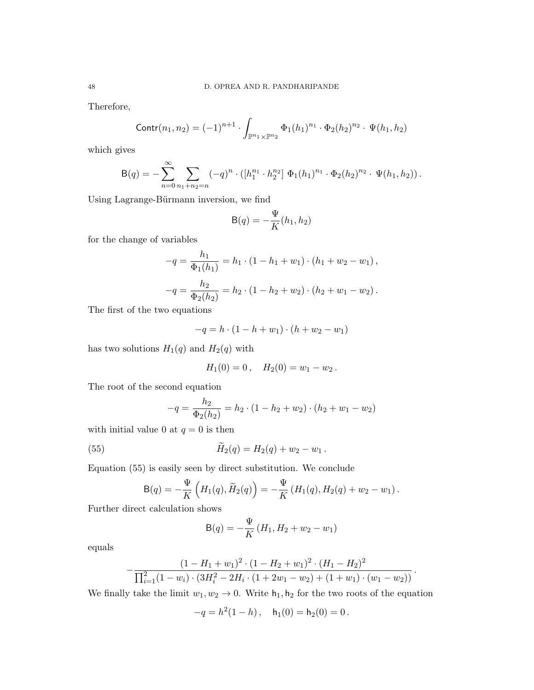Therefore,

$$
Contr(n_1, n_2) = (-1)^{n+1} \cdot \int_{\mathbb{P}^{n_1} \times \mathbb{P}^{n_2}} \Phi_1(h_1)^{n_1} \cdot \Phi_2(h_2)^{n_2} \cdot \Psi(h_1, h_2)
$$

which gives

$$
B(q) = -\sum_{n=0}^{\infty} \sum_{n_1+n_2=n} (-q)^n \cdot ([h_1^{n_1} \cdot h_2^{n_2}] \Phi_1(h_1)^{n_1} \cdot \Phi_2(h_2)^{n_2} \cdot \Psi(h_1, h_2)).
$$

Using Lagrange-Bürmann inversion, we find

$$
\mathsf{B}(q) = -\frac{\Psi}{K}(h_1, h_2)
$$

for the change of variables

$$
-q = \frac{h_1}{\Phi_1(h_1)} = h_1 \cdot (1 - h_1 + w_1) \cdot (h_1 + w_2 - w_1),
$$
  

$$
-q = \frac{h_2}{\Phi_2(h_2)} = h_2 \cdot (1 - h_2 + w_2) \cdot (h_2 + w_1 - w_2).
$$

The first of the two equations

$$
-q = h \cdot (1 - h + w_1) \cdot (h + w_2 - w_1)
$$

has two solutions  $H_1(q)$  and  $H_2(q)$  with

$$
H_1(0) = 0\,,\quad H_2(0) = w_1 - w_2\,.
$$

The root of the second equation

$$
-q = \frac{h_2}{\Phi_2(h_2)} = h_2 \cdot (1 - h_2 + w_2) \cdot (h_2 + w_1 - w_2)
$$

with initial value 0 at  $q = 0$  is then

(55) 
$$
\widetilde{H}_2(q) = H_2(q) + w_2 - w_1.
$$

 $\overline{a}$ 

Equation (55) is easily seen by direct substitution. We conclude

$$
B(q) = -\frac{\Psi}{K} \left( H_1(q), \widetilde{H}_2(q) \right) = -\frac{\Psi}{K} \left( H_1(q), H_2(q) + w_2 - w_1 \right).
$$

Further direct calculation shows

$$
B(q) = -\frac{\Psi}{K} (H_1, H_2 + w_2 - w_1)
$$

equals

$$
-\frac{(1-H_1+w_1)^2\cdot(1-H_2+w_1)^2\cdot(H_1-H_2)^2}{\prod_{i=1}^2(1-w_i)\cdot(3H_i^2-2H_i\cdot(1+2w_1-w_2)+(1+w_1)\cdot(w_1-w_2))}.
$$

We finally take the limit  $w_1, w_2 \to 0$ . Write  $h_1, h_2$  for the two roots of the equation

$$
-q = h^2(1 - h), \quad h_1(0) = h_2(0) = 0.
$$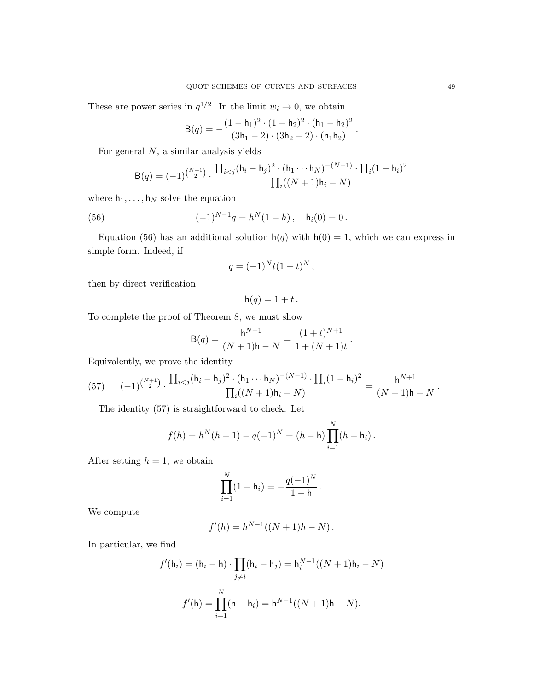These are power series in  $q^{1/2}$ . In the limit  $w_i \to 0$ , we obtain

$$
B(q) = -\frac{(1-h_1)^2 \cdot (1-h_2)^2 \cdot (h_1-h_2)^2}{(3h_1-2) \cdot (3h_2-2) \cdot (h_1h_2)}
$$

.

For general  $N$ , a similar analysis yields

$$
B(q) = (-1)^{\binom{N+1}{2}} \cdot \frac{\prod_{i < j} (h_i - h_j)^2 \cdot (h_1 \cdots h_N)^{-(N-1)} \cdot \prod_i (1 - h_i)^2}{\prod_i ((N+1)h_i - N)}
$$

where  $h_1, \ldots, h_N$  solve the equation

(56) 
$$
(-1)^{N-1}q = h^N(1-h), \quad h_i(0) = 0.
$$

Equation (56) has an additional solution  $h(q)$  with  $h(0) = 1$ , which we can express in simple form. Indeed, if

$$
q = (-1)^{N} t (1+t)^{N},
$$

then by direct verification

$$
h(q) = 1 + t.
$$

To complete the proof of Theorem 8, we must show

$$
B(q) = \frac{h^{N+1}}{(N+1)h - N} = \frac{(1+t)^{N+1}}{1 + (N+1)t}.
$$

Equivalently, we prove the identity

(57) 
$$
(-1)^{\binom{N+1}{2}} \cdot \frac{\prod_{i < j} (h_i - h_j)^2 \cdot (h_1 \cdots h_N)^{-(N-1)} \cdot \prod_i (1 - h_i)^2}{\prod_i ((N+1)h_i - N)} = \frac{h^{N+1}}{(N+1)h - N}.
$$

The identity (57) is straightforward to check. Let

$$
f(h) = h^{N}(h - 1) - q(-1)^{N} = (h - h) \prod_{i=1}^{N} (h - h_{i}).
$$

After setting  $h = 1$ , we obtain

$$
\prod_{i=1}^{N} (1 - h_i) = -\frac{q(-1)^N}{1 - h}.
$$

We compute

$$
f'(h) = h^{N-1}((N+1)h - N).
$$

In particular, we find

$$
f'(h_i) = (h_i - h) \cdot \prod_{j \neq i} (h_i - h_j) = h_i^{N-1}((N+1)h_i - N)
$$

$$
f'(h) = \prod_{i=1}^N (h - h_i) = h^{N-1}((N+1)h - N).
$$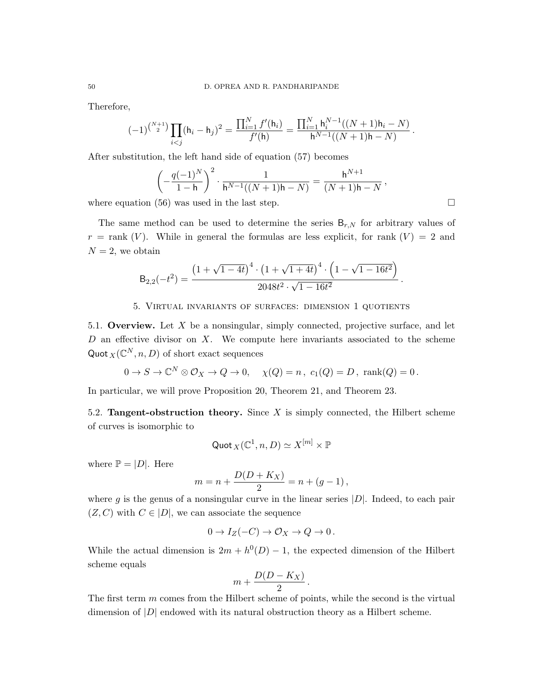Therefore,

$$
(-1)^{\binom{N+1}{2}}\prod_{i
$$

After substitution, the left hand side of equation (57) becomes

$$
\left(-\frac{q(-1)^N}{1-h}\right)^2 \cdot \frac{1}{h^{N-1}((N+1)h-N)} = \frac{h^{N+1}}{(N+1)h-N},
$$
\n(5.3, we need in the last step.)

where equation (56) was used in the last step.  $\Box$ 

The same method can be used to determine the series  $B_{r,N}$  for arbitrary values of  $r = \text{rank } (V)$ . While in general the formulas are less explicit, for rank  $(V) = 2$  and  $N = 2$ , we obtain

$$
\mathsf{B}_{2,2}(-t^2) = \frac{\left(1+\sqrt{1-4t}\right)^4 \cdot \left(1+\sqrt{1+4t}\right)^4 \cdot \left(1-\sqrt{1-16t^2}\right)}{2048t^2 \cdot \sqrt{1-16t^2}}\,.
$$

# 5. Virtual invariants of surfaces: dimension 1 quotients

5.1. Overview. Let  $X$  be a nonsingular, simply connected, projective surface, and let  $D$  an effective divisor on  $X$ . We compute here invariants associated to the scheme Quot  $_X(\mathbb{C}^N, n, D)$  of short exact sequences

$$
0 \to S \to \mathbb{C}^N \otimes \mathcal{O}_X \to Q \to 0, \quad \chi(Q) = n, \ c_1(Q) = D, \ \text{rank}(Q) = 0.
$$

In particular, we will prove Proposition 20, Theorem 21, and Theorem 23.

5.2. **Tangent-obstruction theory.** Since  $X$  is simply connected, the Hilbert scheme of curves is isomorphic to

$$
\mathsf{Quot}_X(\mathbb{C}^1,n,D)\simeq X^{[m]}\times\mathbb{P}
$$

where  $\mathbb{P} = |D|$ . Here

$$
m = n + \frac{D(D + K_X)}{2} = n + (g - 1),
$$

where g is the genus of a nonsingular curve in the linear series  $|D|$ . Indeed, to each pair  $(Z, C)$  with  $C \in |D|$ , we can associate the sequence

$$
0 \to I_Z(-C) \to \mathcal{O}_X \to Q \to 0 \, .
$$

While the actual dimension is  $2m + h^0(D) - 1$ , the expected dimension of the Hilbert scheme equals

$$
m+\frac{D(D-K_X)}{2}.
$$

The first term  $m$  comes from the Hilbert scheme of points, while the second is the virtual dimension of |D| endowed with its natural obstruction theory as a Hilbert scheme.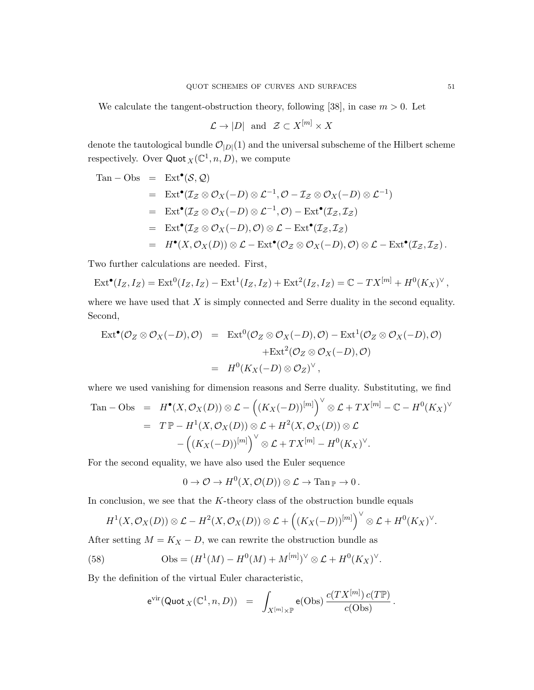We calculate the tangent-obstruction theory, following [38], in case  $m > 0$ . Let

$$
\mathcal{L} \to |D|
$$
 and  $\mathcal{Z} \subset X^{[m]} \times X$ 

denote the tautological bundle  $\mathcal{O}_{|D|}(1)$  and the universal subscheme of the Hilbert scheme respectively. Over  $\text{Quot}_X(\mathbb{C}^1, n, D)$ , we compute

Tan – Obs = Ext<sup>**e**</sup>(S, Q)  
\n= Ext<sup>**e**</sup>(
$$
\mathcal{I}_{\mathcal{Z}} \otimes \mathcal{O}_{X}(-D) \otimes \mathcal{L}^{-1}, \mathcal{O} - \mathcal{I}_{\mathcal{Z}} \otimes \mathcal{O}_{X}(-D) \otimes \mathcal{L}^{-1})
$$
  
\n= Ext<sup>**e**</sup>( $\mathcal{I}_{\mathcal{Z}} \otimes \mathcal{O}_{X}(-D) \otimes \mathcal{L}^{-1}, \mathcal{O}$ ) - Ext<sup>**e**</sup>( $\mathcal{I}_{\mathcal{Z}}, \mathcal{I}_{\mathcal{Z}}$ )  
\n= Ext<sup>**e**</sup>( $\mathcal{I}_{\mathcal{Z}} \otimes \mathcal{O}_{X}(-D), \mathcal{O}$ )  $\otimes \mathcal{L}$  - Ext<sup>**e**</sup>( $\mathcal{I}_{\mathcal{Z}}, \mathcal{I}_{\mathcal{Z}}$ )  
\n= H<sup>**e**</sup>(X,  $\mathcal{O}_{X}(D)$ )  $\otimes \mathcal{L}$  - Ext<sup>**e**</sup>( $\mathcal{O}_{\mathcal{Z}} \otimes \mathcal{O}_{X}(-D), \mathcal{O}$ )  $\otimes \mathcal{L}$  - Ext<sup>**e**</sup>( $\mathcal{I}_{\mathcal{Z}}, \mathcal{I}_{\mathcal{Z}}$ ).

Two further calculations are needed. First,

$$
Ext^{\bullet}(I_Z, I_Z) = Ext^0(I_Z, I_Z) - Ext^1(I_Z, I_Z) + Ext^2(I_Z, I_Z) = \mathbb{C} - TX^{[m]} + H^0(K_X)^{\vee},
$$

where we have used that  $X$  is simply connected and Serre duality in the second equality. Second,

$$
\operatorname{Ext}^{\bullet}(\mathcal{O}_{Z}\otimes\mathcal{O}_{X}(-D),\mathcal{O}) = \operatorname{Ext}^{0}(\mathcal{O}_{Z}\otimes\mathcal{O}_{X}(-D),\mathcal{O}) - \operatorname{Ext}^{1}(\mathcal{O}_{Z}\otimes\mathcal{O}_{X}(-D),\mathcal{O})
$$
  
+
$$
\operatorname{Ext}^{2}(\mathcal{O}_{Z}\otimes\mathcal{O}_{X}(-D),\mathcal{O})
$$
  
= 
$$
H^{0}(K_{X}(-D)\otimes\mathcal{O}_{Z})^{\vee},
$$

where we used vanishing for dimension reasons and Serre duality. Substituting, we find

Tan – Obs = 
$$
H^{\bullet}(X, \mathcal{O}_X(D)) \otimes \mathcal{L} - ((K_X(-D))^{[m]})^{\vee} \otimes \mathcal{L} + TX^{[m]} - \mathbb{C} - H^0(K_X)^{\vee}
$$
  
\n=  $T \mathbb{P} - H^1(X, \mathcal{O}_X(D)) \otimes \mathcal{L} + H^2(X, \mathcal{O}_X(D)) \otimes \mathcal{L}$   
\n $- ((K_X(-D))^{[m]})^{\vee} \otimes \mathcal{L} + TX^{[m]} - H^0(K_X)^{\vee}.$ 

For the second equality, we have also used the Euler sequence

$$
0 \to \mathcal{O} \to H^0(X, \mathcal{O}(D)) \otimes \mathcal{L} \to \text{Tan}_{\mathbb{P}} \to 0.
$$

In conclusion, we see that the  $K$ -theory class of the obstruction bundle equals

$$
H^1(X,\mathcal{O}_X(D))\otimes \mathcal{L}-H^2(X,\mathcal{O}_X(D))\otimes \mathcal{L}+\left((K_X(-D))^{[m]}\right)^{\vee}\otimes \mathcal{L}+H^0(K_X)^{\vee}.
$$

After setting  $M = K_X - D$ , we can rewrite the obstruction bundle as

(58) 
$$
\text{Obs} = (H^1(M) - H^0(M) + M^{[m]})^{\vee} \otimes \mathcal{L} + H^0(K_X)^{\vee}.
$$

By the definition of the virtual Euler characteristic,

$$
e^{\text{vir}}(\text{Quot}_X(\mathbb{C}^1,n,D)) = \int_{X^{[m]} \times \mathbb{P}} e(\text{Obs}) \, \frac{c(TX^{[m]}) \, c(T\mathbb{P})}{c(\text{Obs})} \, .
$$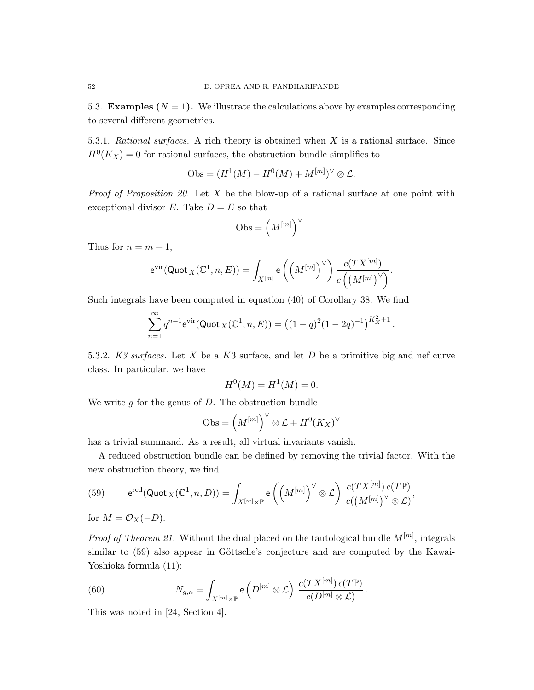5.3. **Examples**  $(N = 1)$ . We illustrate the calculations above by examples corresponding to several different geometries.

5.3.1. Rational surfaces. A rich theory is obtained when  $X$  is a rational surface. Since  $H^0(K_X) = 0$  for rational surfaces, the obstruction bundle simplifies to

$$
Obs = (H^1(M) - H^0(M) + M^{[m]})^{\vee} \otimes \mathcal{L}.
$$

*Proof of Proposition 20.* Let  $X$  be the blow-up of a rational surface at one point with exceptional divisor E. Take  $D = E$  so that

$$
\mathrm{Obs} = \left( M^{[m]} \right)^\vee.
$$

Thus for  $n = m + 1$ ,

$$
\mathrm{e}^{\mathrm{vir}}(\mathrm{Quot}_{\,X}(\mathbb{C}^1,n,E))=\int_{X^{[m]}}\mathrm{e}\left(\left(M^{[m]}\right)^{\vee}\right)\frac{c(TX^{[m]})}{c\left(\left(M^{[m]}\right)^{\vee}\right)}.
$$

Such integrals have been computed in equation (40) of Corollary 38. We find

$$
\sum_{n=1}^{\infty} q^{n-1} e^{\text{vir}} (\text{Quot}_X(\mathbb{C}^1, n, E)) = ((1-q)^2 (1-2q)^{-1})^{K_X^2+1}.
$$

5.3.2. K3 surfaces. Let X be a K3 surface, and let D be a primitive big and nef curve class. In particular, we have

$$
H^{0}(M) = H^{1}(M) = 0.
$$

We write  $q$  for the genus of  $D$ . The obstruction bundle

$$
\mathrm{Obs} = \left( M^{[m]} \right)^\vee \otimes \mathcal{L} + H^0(K_X)^\vee
$$

has a trivial summand. As a result, all virtual invariants vanish.

A reduced obstruction bundle can be defined by removing the trivial factor. With the new obstruction theory, we find

(59) 
$$
e^{\text{red}}(\text{Quot}_X(\mathbb{C}^1,n,D)) = \int_{X^{[m]} \times \mathbb{P}} e\left(\left(M^{[m]}\right)^{\vee} \otimes \mathcal{L}\right) \frac{c(TX^{[m]}) c(T\mathbb{P})}{c(\left(M^{[m]}\right)^{\vee} \otimes \mathcal{L})},
$$

for  $M = \mathcal{O}_X(-D)$ .

*Proof of Theorem 21.* Without the dual placed on the tautological bundle  $M^{[m]}$ , integrals similar to  $(59)$  also appear in Göttsche's conjecture and are computed by the Kawai-Yoshioka formula (11):

(60) 
$$
N_{g,n} = \int_{X^{[m]} \times \mathbb{P}} \mathsf{e}\left(D^{[m]} \otimes \mathcal{L}\right) \frac{c(TX^{[m]}) c(T\mathbb{P})}{c(D^{[m]} \otimes \mathcal{L})}.
$$

This was noted in [24, Section 4].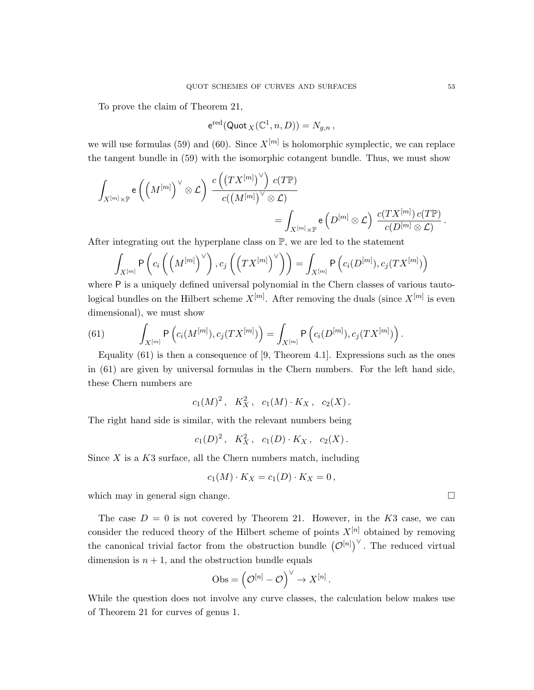To prove the claim of Theorem 21,

$$
{\rm e}^{\rm red}({\rm Quot}_X(\mathbb{C}^1,n,D))=N_{g,n}\,,
$$

we will use formulas (59) and (60). Since  $X^{[m]}$  is holomorphic symplectic, we can replace the tangent bundle in (59) with the isomorphic cotangent bundle. Thus, we must show

$$
\begin{aligned}\int_{X^{[m]}\times \mathbb{P}}\mathsf{e}\left(\left(M^{[m]}\right)^{\vee}\otimes \mathcal{L}\right) &\xrightarrow{c\left(\left(TX^{[m]}\right)^{\vee}\right)\, c(T\mathbb{P})} \\&= \int_{X^{[m]}\times \mathbb{P}}\mathsf{e}\left(D^{[m]}\otimes \mathcal{L}\right) ~\xrightarrow{c\left(TX^{[m]}\right)\, c(T\mathbb{P})}.\end{aligned}
$$

After integrating out the hyperplane class on  $\mathbb{P}$ , we are led to the statement

$$
\int_{X^{[m]}} \mathsf{P}\left(c_i\left(\left(M^{[m]}\right)^{\vee}\right), c_j\left(\left(TX^{[m]}\right)^{\vee}\right)\right) = \int_{X^{[m]}} \mathsf{P}\left(c_i(D^{[m]}), c_j(TX^{[m]})\right)
$$

where P is a uniquely defined universal polynomial in the Chern classes of various tautological bundles on the Hilbert scheme  $X^{[m]}$ . After removing the duals (since  $X^{[m]}$  is even dimensional), we must show

(61) 
$$
\int_{X^{[m]}} P\left(c_i(M^{[m]}), c_j(TX^{[m]})\right) = \int_{X^{[m]}} P\left(c_i(D^{[m]}), c_j(TX^{[m]})\right).
$$

Equality  $(61)$  is then a consequence of [9, Theorem 4.1]. Expressions such as the ones in (61) are given by universal formulas in the Chern numbers. For the left hand side, these Chern numbers are

$$
c_1(M)^2
$$
,  $K_X^2$ ,  $c_1(M) \cdot K_X$ ,  $c_2(X)$ .

The right hand side is similar, with the relevant numbers being

$$
c_1(D)^2
$$
,  $K_X^2$ ,  $c_1(D) \cdot K_X$ ,  $c_2(X)$ .

Since  $X$  is a  $K3$  surface, all the Chern numbers match, including

$$
c_1(M) \cdot K_X = c_1(D) \cdot K_X = 0,
$$

which may in general sign change.  $\Box$ 

The case  $D = 0$  is not covered by Theorem 21. However, in the K3 case, we can consider the reduced theory of the Hilbert scheme of points  $X^{[n]}$  obtained by removing the canonical trivial factor from the obstruction bundle  $({\cal O}^{[n]})^{\vee}$ . The reduced virtual dimension is  $n + 1$ , and the obstruction bundle equals

$$
\mathrm{Obs} = \left(\mathcal{O}^{[n]} - \mathcal{O}\right)^{\vee} \to X^{[n]}.
$$

While the question does not involve any curve classes, the calculation below makes use of Theorem 21 for curves of genus 1.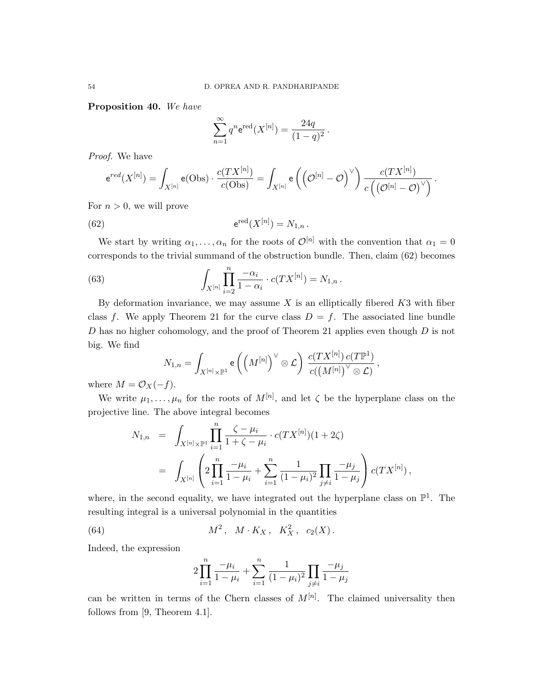Proposition 40. We have

$$
\sum_{n=1}^{\infty} q^n e^{\text{red}}(X^{[n]}) = \frac{24q}{(1-q)^2}.
$$

Proof. We have

$$
e^{red}(X^{[n]}) = \int_{X^{[n]}} e(\text{Obs}) \cdot \frac{c(TX^{[n]})}{c(\text{Obs})} = \int_{X^{[n]}} e\left(\left(\mathcal{O}^{[n]} - \mathcal{O}\right)^{\vee}\right) \frac{c(TX^{[n]})}{c\left(\left(\mathcal{O}^{[n]} - \mathcal{O}\right)^{\vee}\right)}.
$$

For  $n > 0$ , we will prove

(62) 
$$
e^{\text{red}}(X^{[n]}) = N_{1,n}.
$$

We start by writing  $\alpha_1, \ldots, \alpha_n$  for the roots of  $\mathcal{O}^{[n]}$  with the convention that  $\alpha_1 = 0$ corresponds to the trivial summand of the obstruction bundle. Then, claim (62) becomes

(63) 
$$
\int_{X^{[n]}} \prod_{i=2}^{n} \frac{-\alpha_i}{1-\alpha_i} \cdot c(TX^{[n]}) = N_{1,n}.
$$

By deformation invariance, we may assume  $X$  is an elliptically fibered  $K3$  with fiber class f. We apply Theorem 21 for the curve class  $D = f$ . The associated line bundle  $D$  has no higher cohomology, and the proof of Theorem 21 applies even though  $D$  is not big. We find

$$
N_{1,n} = \int_{X^{[n]} \times \mathbb{P}^1} e\left( \left( M^{[n]} \right)^{\vee} \otimes \mathcal{L} \right) \frac{c(TX^{[n]}) c(T\mathbb{P}^1)}{c((M^{[n]})^{\vee} \otimes \mathcal{L})},
$$

where  $M = \mathcal{O}_X(-f)$ .

We write  $\mu_1, \ldots, \mu_n$  for the roots of  $M^{[n]}$ , and let  $\zeta$  be the hyperplane class on the projective line. The above integral becomes

$$
N_{1,n} = \int_{X^{[n]} \times \mathbb{P}^1} \prod_{i=1}^n \frac{\zeta - \mu_i}{1 + \zeta - \mu_i} \cdot c(TX^{[n]})(1 + 2\zeta)
$$
  
= 
$$
\int_{X^{[n]}} \left( 2 \prod_{i=1}^n \frac{-\mu_i}{1 - \mu_i} + \sum_{i=1}^n \frac{1}{(1 - \mu_i)^2} \prod_{j \neq i} \frac{-\mu_j}{1 - \mu_j} \right) c(TX^{[n]}),
$$

where, in the second equality, we have integrated out the hyperplane class on  $\mathbb{P}^1$ . The resulting integral is a universal polynomial in the quantities

(64) 
$$
M^2, M \cdot K_X, K_X^2, c_2(X)
$$
.

Indeed, the expression

$$
2\prod_{i=1}^n\frac{-\mu_i}{1-\mu_i} + \sum_{i=1}^n\frac{1}{(1-\mu_i)^2}\prod_{j\neq i}\frac{-\mu_j}{1-\mu_j}
$$

can be written in terms of the Chern classes of  $M^{[n]}$ . The claimed universality then follows from [9, Theorem 4.1].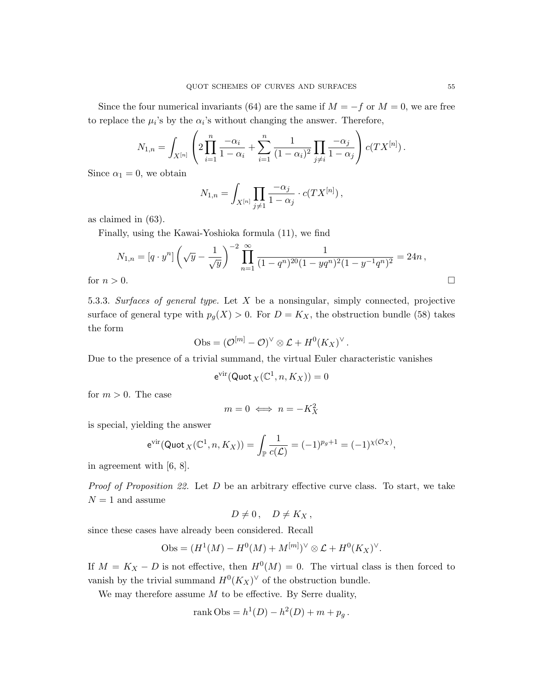Since the four numerical invariants (64) are the same if  $M = -f$  or  $M = 0$ , we are free to replace the  $\mu_i$ 's by the  $\alpha_i$ 's without changing the answer. Therefore,

$$
N_{1,n} = \int_{X^{[n]}} \left( 2 \prod_{i=1}^{n} \frac{-\alpha_i}{1 - \alpha_i} + \sum_{i=1}^{n} \frac{1}{(1 - \alpha_i)^2} \prod_{j \neq i} \frac{-\alpha_j}{1 - \alpha_j} \right) c(TX^{[n]}).
$$

Since  $\alpha_1 = 0$ , we obtain

$$
N_{1,n} = \int_{X^{[n]}} \prod_{j \neq 1} \frac{-\alpha_j}{1 - \alpha_j} \cdot c(TX^{[n]}),
$$

as claimed in (63).

Finally, using the Kawai-Yoshioka formula (11), we find

$$
N_{1,n} = [q \cdot y^n] \left( \sqrt{y} - \frac{1}{\sqrt{y}} \right)^{-2} \prod_{n=1}^{\infty} \frac{1}{(1 - q^n)^{20} (1 - yq^n)^2 (1 - y^{-1} q^n)^2} = 24n,
$$
  
for  $n > 0$ .

5.3.3. Surfaces of general type. Let  $X$  be a nonsingular, simply connected, projective surface of general type with  $p_g(X) > 0$ . For  $D = K_X$ , the obstruction bundle (58) takes the form

$$
Obs = (\mathcal{O}^{[m]} - \mathcal{O})^{\vee} \otimes \mathcal{L} + H^0(K_X)^{\vee}.
$$

Due to the presence of a trivial summand, the virtual Euler characteristic vanishes

$$
e^{\rm vir}({\rm Quot}_X(\mathbb{C}^1,n,K_X))=0
$$

for  $m > 0$ . The case

$$
m=0 \iff n=-K_X^2
$$

is special, yielding the answer

$$
e^{\text{vir}}(\text{Quot}_X(\mathbb{C}^1, n, K_X)) = \int_{\mathbb{P}} \frac{1}{c(\mathcal{L})} = (-1)^{p_g+1} = (-1)^{\chi(\mathcal{O}_X)},
$$

in agreement with [6, 8].

*Proof of Proposition 22.* Let  $D$  be an arbitrary effective curve class. To start, we take  $N = 1$  and assume

$$
D\neq 0\,,\quad D\neq K_X\,,
$$

since these cases have already been considered. Recall

$$
Obs = (H^1(M) - H^0(M) + M^{[m]})^{\vee} \otimes \mathcal{L} + H^0(K_X)^{\vee}.
$$

If  $M = K_X - D$  is not effective, then  $H^0(M) = 0$ . The virtual class is then forced to vanish by the trivial summand  $H^0(K_X)^\vee$  of the obstruction bundle.

We may therefore assume  $M$  to be effective. By Serre duality,

rank Obs = 
$$
h^1(D) - h^2(D) + m + p_g
$$
.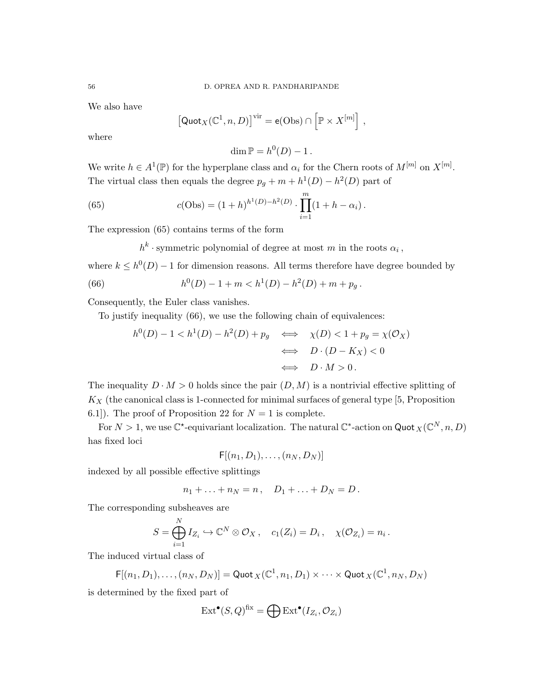We also have

$$
\left[\mathsf{Quot}_X(\mathbb{C}^1,n,D)\right]^{\text{vir}} = \mathsf{e}(\text{Obs}) \cap \left[\mathbb{P} \times X^{[m]}\right],
$$

where

$$
\dim \mathbb{P} = h^0(D) - 1.
$$

We write  $h \in A^1(\mathbb{P})$  for the hyperplane class and  $\alpha_i$  for the Chern roots of  $M^{[m]}$  on  $X^{[m]}$ . The virtual class then equals the degree  $p_g + m + h^1(D) - h^2(D)$  part of

(65) 
$$
c(\text{Obs}) = (1+h)^{h^1(D)-h^2(D)} \cdot \prod_{i=1}^m (1+h-\alpha_i).
$$

The expression (65) contains terms of the form

 $h^k$  · symmetric polynomial of degree at most m in the roots  $\alpha_i$ ,

where  $k \leq h^0(D) - 1$  for dimension reasons. All terms therefore have degree bounded by

(66) 
$$
h^{0}(D) - 1 + m < h^{1}(D) - h^{2}(D) + m + p_{g}.
$$

Consequently, the Euler class vanishes.

To justify inequality (66), we use the following chain of equivalences:

$$
h^{0}(D) - 1 < h^{1}(D) - h^{2}(D) + p_{g} \iff \chi(D) < 1 + p_{g} = \chi(\mathcal{O}_{X})
$$
\n
$$
\iff D \cdot (D - K_{X}) < 0
$$
\n
$$
\iff D \cdot M > 0.
$$

The inequality  $D \cdot M > 0$  holds since the pair  $(D, M)$  is a nontrivial effective splitting of  $K_X$  (the canonical class is 1-connected for minimal surfaces of general type [5, Proposition] 6.1]). The proof of Proposition 22 for  $N = 1$  is complete.

For  $N > 1$ , we use  $\mathbb{C}^*$ -equivariant localization. The natural  $\mathbb{C}^*$ -action on Quot  $_X(\mathbb{C}^N, n, D)$ has fixed loci

 $F[(n_1, D_1), \ldots, (n_N, D_N)]$ 

indexed by all possible effective splittings

$$
n_1+\ldots+n_N=n\,,\quad D_1+\ldots+D_N=D\,.
$$

The corresponding subsheaves are

$$
S = \bigoplus_{i=1}^N I_{Z_i} \hookrightarrow \mathbb{C}^N \otimes \mathcal{O}_X, \quad c_1(Z_i) = D_i, \quad \chi(\mathcal{O}_{Z_i}) = n_i.
$$

The induced virtual class of

$$
\mathsf{F}[(n_1, D_1), \ldots, (n_N, D_N)] = \mathsf{Quot}_X(\mathbb{C}^1, n_1, D_1) \times \cdots \times \mathsf{Quot}_X(\mathbb{C}^1, n_N, D_N)
$$

is determined by the fixed part of

$$
\text{Ext}^{\bullet}(S, Q)^{\text{fix}} = \bigoplus \text{Ext}^{\bullet}(I_{Z_i}, \mathcal{O}_{Z_i})
$$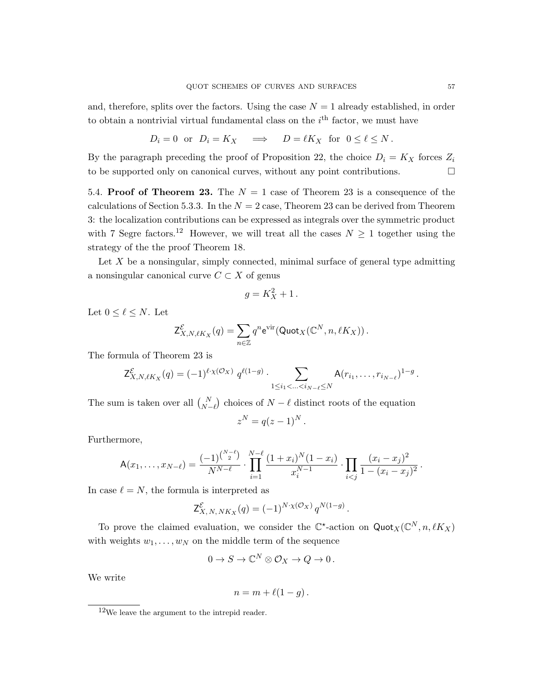and, therefore, splits over the factors. Using the case  $N = 1$  already established, in order to obtain a nontrivial virtual fundamental class on the  $i<sup>th</sup>$  factor, we must have

$$
D_i = 0
$$
 or  $D_i = K_X$   $\implies$   $D = \ell K_X$  for  $0 \leq \ell \leq N$ .

By the paragraph preceding the proof of Proposition 22, the choice  $D_i = K_X$  forces  $Z_i$ to be supported only on canonical curves, without any point contributions.  $\Box$ 

5.4. Proof of Theorem 23. The  $N = 1$  case of Theorem 23 is a consequence of the calculations of Section 5.3.3. In the  $N = 2$  case, Theorem 23 can be derived from Theorem 3: the localization contributions can be expressed as integrals over the symmetric product with 7 Segre factors.<sup>12</sup> However, we will treat all the cases  $N \geq 1$  together using the strategy of the the proof Theorem 18.

Let  $X$  be a nonsingular, simply connected, minimal surface of general type admitting a nonsingular canonical curve  $C \subset X$  of genus

$$
g = K_X^2 + 1\,.
$$

Let  $0 \leq \ell \leq N$ . Let

$$
\mathsf{Z}^{\mathcal{E}}_{X,N,\ell K_X}(q) = \sum_{n \in \mathbb{Z}} q^n \mathrm{e}^{\mathrm{vir}}(\mathsf{Quot}_X(\mathbb{C}^N,n,\ell K_X)).
$$

The formula of Theorem 23 is

$$
\mathsf{Z}^{\mathcal{E}}_{X,N,\ell K_X}(q) = (-1)^{\ell \cdot \chi(\mathcal{O}_X)} q^{\ell(1-g)} \cdot \sum_{1 \leq i_1 < \ldots < i_{N-\ell} \leq N} \mathsf{A}(r_{i_1},\ldots,r_{i_{N-\ell}})^{1-g}.
$$

The sum is taken over all  $\binom{N}{N-\ell}$  choices of  $N-\ell$  distinct roots of the equation

$$
z^N = q(z-1)^N.
$$

Furthermore,

$$
\mathsf{A}(x_1,\ldots,x_{N-\ell})=\frac{(-1)^{\binom{N-\ell}{2}}}{N^{N-\ell}}\cdot\prod_{i=1}^{N-\ell}\frac{(1+x_i)^N(1-x_i)}{x_i^{N-1}}\cdot\prod_{i
$$

In case  $\ell = N$ , the formula is interpreted as

$$
\mathsf{Z}^{\mathcal{E}}_{X, N, NK_X}(q) = (-1)^{N \cdot \chi(\mathcal{O}_X)} q^{N(1-g)}.
$$

To prove the claimed evaluation, we consider the  $\mathbb{C}^*$ -action on  $\mathsf{Quot}_X(\mathbb{C}^N, n, \ell K_X)$ with weights  $w_1, \ldots, w_N$  on the middle term of the sequence

$$
0 \to S \to \mathbb{C}^N \otimes \mathcal{O}_X \to Q \to 0 \, .
$$

We write

$$
n = m + \ell(1 - g).
$$

<sup>12</sup>We leave the argument to the intrepid reader.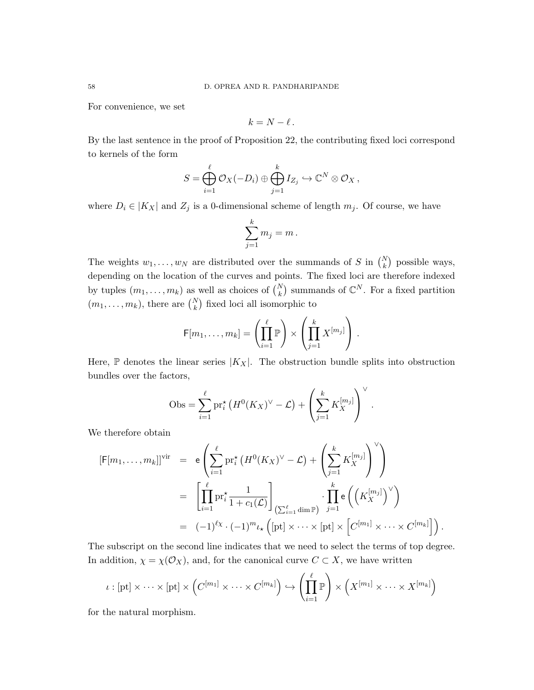For convenience, we set

$$
k=N-\ell\,.
$$

By the last sentence in the proof of Proposition 22, the contributing fixed loci correspond to kernels of the form

$$
S = \bigoplus_{i=1}^{\ell} \mathcal{O}_X(-D_i) \oplus \bigoplus_{j=1}^{k} I_{Z_j} \hookrightarrow \mathbb{C}^N \otimes \mathcal{O}_X,
$$

where  $D_i \in |K_X|$  and  $Z_j$  is a 0-dimensional scheme of length  $m_j$ . Of course, we have

$$
\sum_{j=1}^k m_j = m \, .
$$

The weights  $w_1, \ldots, w_N$  are distributed over the summands of S in  $\binom{N}{k}$  possible ways, depending on the location of the curves and points. The fixed loci are therefore indexed by tuples  $(m_1, \ldots, m_k)$  as well as choices of  $\binom{N}{k}$  summands of  $\mathbb{C}^N$ . For a fixed partition  $(m_1, \ldots, m_k)$ , there are  $\binom{N}{k}$  fixed loci all isomorphic to

$$
\mathsf{F}[m_1,\ldots,m_k]=\left(\prod_{i=1}^{\ell}\mathbb{P}\right)\times\left(\prod_{j=1}^{k}X^{[m_j]}\right).
$$

Here,  $\mathbb P$  denotes the linear series  $|K_X|$ . The obstruction bundle splits into obstruction bundles over the factors,

Obs = 
$$
\sum_{i=1}^{\ell} pr_i^* (H^0(K_X)^{\vee} - \mathcal{L}) + \left(\sum_{j=1}^{k} K_X^{[m_j]}\right)^{\vee}.
$$

We therefore obtain

$$
[\mathsf{F}[m_1,\ldots,m_k]]^{\text{vir}} = \mathsf{e}\left(\sum_{i=1}^{\ell} \mathrm{pr}_i^{\star} \left(H^0(K_X)^{\vee} - \mathcal{L}\right) + \left(\sum_{j=1}^{k} K_X^{[m_j]}\right)^{\vee}\right)
$$
  

$$
= \left[\prod_{i=1}^{\ell} \mathrm{pr}_i^{\star} \frac{1}{1+c_1(\mathcal{L})}\right]_{\left(\sum_{i=1}^{\ell} \dim \mathbb{P}\right)} \cdot \prod_{j=1}^{k} \mathsf{e}\left(\left(K_X^{[m_j]}\right)^{\vee}\right)
$$
  

$$
= (-1)^{\ell_X} \cdot (-1)^m \iota_{\star}\left([{\rm pt}] \times \cdots \times [{\rm pt}] \times \left[C^{[m_1]} \times \cdots \times C^{[m_k]}\right]\right).
$$

The subscript on the second line indicates that we need to select the terms of top degree. In addition,  $\chi = \chi(\mathcal{O}_X)$ , and, for the canonical curve  $C \subset X$ , we have written

$$
\iota : [\mathrm{pt}] \times \cdots \times [\mathrm{pt}] \times \left( C^{[m_1]} \times \cdots \times C^{[m_k]} \right) \hookrightarrow \left( \prod_{i=1}^{\ell} \mathbb{P} \right) \times \left( X^{[m_1]} \times \cdots \times X^{[m_k]} \right)
$$

for the natural morphism.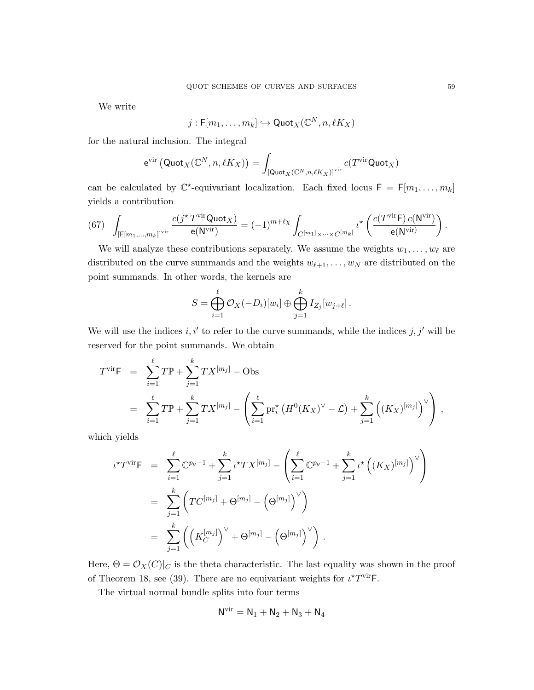We write

$$
j: \mathsf{F}[m_1, \ldots, m_k] \hookrightarrow \mathsf{Quot}_X(\mathbb{C}^N, n, \ell K_X)
$$

for the natural inclusion. The integral

$$
e^{\text{vir}} (\text{Quot}_X(\mathbb{C}^N,n,\ell K_X)) = \int_{\left[\text{Quot}_X(\mathbb{C}^N,n,\ell K_X)\right]^{\text{vir}}} c(T^{\text{vir}} \text{Quot}_X)
$$

can be calculated by  $\mathbb{C}^*$ -equivariant localization. Each fixed locus  $F = F[m_1, \ldots, m_k]$ yields a contribution

(67) 
$$
\int_{\left[\mathsf{F}[m_1,\ldots,m_k]\right]^{\text{vir}}} \frac{c(j^\star T^{\text{vir}}\mathsf{Quot}_X)}{\mathsf{e}(\mathsf{N}^{\text{vir}})} = (-1)^{m+\ell_X} \int_{C^{[m_1]}\times\cdots\times C^{[m_k]}} \iota^\star\left(\frac{c(T^{\text{vir}}\mathsf{F}) c(\mathsf{N}^{\text{vir}})}{\mathsf{e}(\mathsf{N}^{\text{vir}})}\right).
$$

We will analyze these contributions separately. We assume the weights  $w_1, \ldots, w_\ell$  are distributed on the curve summands and the weights  $w_{\ell+1}, \ldots, w_N$  are distributed on the point summands. In other words, the kernels are

$$
S = \bigoplus_{i=1}^{\ell} \mathcal{O}_X(-D_i)[w_i] \oplus \bigoplus_{j=1}^{k} I_{Z_j}[w_{j+\ell}].
$$

We will use the indices  $i, i'$  to refer to the curve summands, while the indices  $j, j'$  will be reserved for the point summands. We obtain

$$
T^{\text{vir}} \mathsf{F} = \sum_{i=1}^{\ell} T \mathbb{P} + \sum_{j=1}^{k} T X^{[m_j]} - \text{Obs}
$$
  
= 
$$
\sum_{i=1}^{\ell} T \mathbb{P} + \sum_{j=1}^{k} T X^{[m_j]} - \left( \sum_{i=1}^{\ell} \text{pr}_i^* (H^0(K_X)^{\vee} - \mathcal{L}) + \sum_{j=1}^{k} ((K_X)^{[m_j]})^{\vee} \right),
$$

which yields

$$
t^{\star}T^{\text{vir}}F = \sum_{i=1}^{\ell} \mathbb{C}^{p_g - 1} + \sum_{j=1}^{k} t^{\star}TX^{[m_j]} - \left(\sum_{i=1}^{\ell} \mathbb{C}^{p_g - 1} + \sum_{j=1}^{k} t^{\star} ((K_X)^{[m_j]})^{\vee} \right)
$$
  
= 
$$
\sum_{j=1}^{k} \left( TC^{[m_j]} + \Theta^{[m_j]} - (\Theta^{[m_j]})^{\vee} \right)
$$
  
= 
$$
\sum_{j=1}^{k} \left( \left( K_C^{[m_j]} \right)^{\vee} + \Theta^{[m_j]} - (\Theta^{[m_j]})^{\vee} \right).
$$

Here,  $\Theta = \mathcal{O}_X(C)|_C$  is the theta characteristic. The last equality was shown in the proof of Theorem 18, see (39). There are no equivariant weights for  $\iota^{\star}T^{\text{vir}}$  F.

The virtual normal bundle splits into four terms

$$
\mathsf{N}^{\mathrm{vir}} = \mathsf{N}_1 + \mathsf{N}_2 + \mathsf{N}_3 + \mathsf{N}_4
$$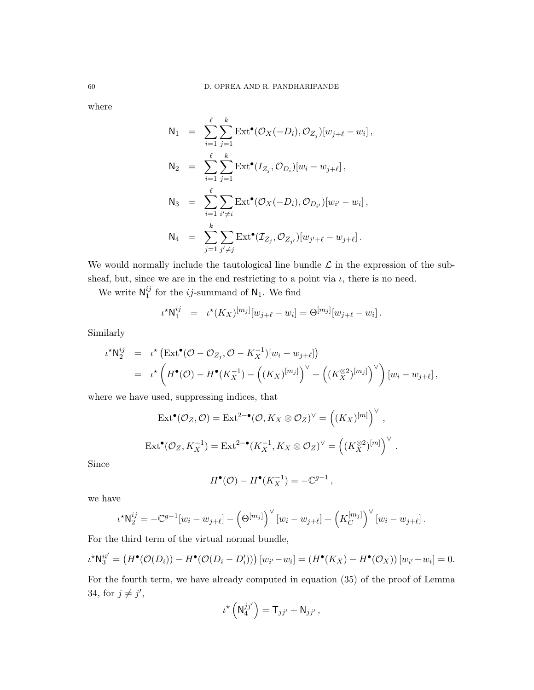where

$$
N_1 = \sum_{i=1}^{\ell} \sum_{j=1}^{k} \text{Ext}^{\bullet}(\mathcal{O}_X(-D_i), \mathcal{O}_{Z_j})[w_{j+\ell} - w_i],
$$
  
\n
$$
N_2 = \sum_{i=1}^{\ell} \sum_{j=1}^{k} \text{Ext}^{\bullet}(I_{Z_j}, \mathcal{O}_{D_i})[w_i - w_{j+\ell}],
$$
  
\n
$$
N_3 = \sum_{i=1}^{\ell} \sum_{i' \neq i} \text{Ext}^{\bullet}(\mathcal{O}_X(-D_i), \mathcal{O}_{D_{i'}})[w_{i'} - w_i],
$$
  
\n
$$
N_4 = \sum_{j=1}^{k} \sum_{j' \neq j} \text{Ext}^{\bullet}(\mathcal{I}_{Z_j}, \mathcal{O}_{Z_{j'}})[w_{j'+\ell} - w_{j+\ell}].
$$

We would normally include the tautological line bundle  $\mathcal L$  in the expression of the subsheaf, but, since we are in the end restricting to a point via  $\iota$ , there is no need.

We write  $\mathsf{N}_1^{ij}$  $_1^{ij}$  for the *ij*-summand of  $N_1$ . We find

$$
\iota^{\star} \mathsf{N}_1^{ij} = \iota^{\star} (K_X)^{[m_j]} [w_{j+\ell} - w_i] = \Theta^{[m_j]} [w_{j+\ell} - w_i].
$$

Similarly

$$
\iota^{\star} \mathsf{N}_{2}^{ij} = \iota^{\star} \left( \mathrm{Ext}^{\bullet}(\mathcal{O} - \mathcal{O}_{Z_{j}}, \mathcal{O} - K_{X}^{-1}) [w_{i} - w_{j+\ell}] \right)
$$
  
= 
$$
\iota^{\star} \left( H^{\bullet}(\mathcal{O}) - H^{\bullet}(K_{X}^{-1}) - \left( (K_{X})^{[m_{j}]} \right)^{\vee} + \left( (K_{X}^{\otimes 2})^{[m_{j}]} \right)^{\vee} \right) [w_{i} - w_{j+\ell}],
$$

where we have used, suppressing indices, that

$$
\operatorname{Ext}^{\bullet}(\mathcal{O}_{Z}, \mathcal{O}) = \operatorname{Ext}^{2-\bullet}(\mathcal{O}, K_X \otimes \mathcal{O}_Z)^{\vee} = ((K_X)^{[m]})^{\vee},
$$
  

$$
\operatorname{Ext}^{\bullet}(\mathcal{O}_Z, K_X^{-1}) = \operatorname{Ext}^{2-\bullet}(K_X^{-1}, K_X \otimes \mathcal{O}_Z)^{\vee} = ((K_X^{\otimes 2})^{[m]})^{\vee}.
$$

Since

$$
H^{\bullet}(\mathcal{O}) - H^{\bullet}(K_X^{-1}) = -\mathbb{C}^{g-1},
$$

we have

$$
\iota^{\star} \mathsf{N}_{2}^{ij} = -\mathbb{C}^{g-1}[w_{i} - w_{j+\ell}] - \left(\Theta^{[m_{j}]} \right)^{\vee} [w_{i} - w_{j+\ell}] + \left(K_{C}^{[m_{j}]} \right)^{\vee} [w_{i} - w_{j+\ell}].
$$

For the third term of the virtual normal bundle,

$$
\iota^{\star} \mathsf{N}_{3}^{ii'} = \left( H^{\bullet}(\mathcal{O}(D_{i})) - H^{\bullet}(\mathcal{O}(D_{i} - D'_{i})) \right) [w_{i'} - w_{i}] = \left( H^{\bullet}(K_{X}) - H^{\bullet}(\mathcal{O}_{X}) \right) [w_{i'} - w_{i}] = 0.
$$

For the fourth term, we have already computed in equation (35) of the proof of Lemma 34, for  $j \neq j'$ ,

$$
\iota^{\star}\left(\mathsf{N}_4^{jj'}\right)=\mathsf{T}_{jj'}+\mathsf{N}_{jj'}\,,
$$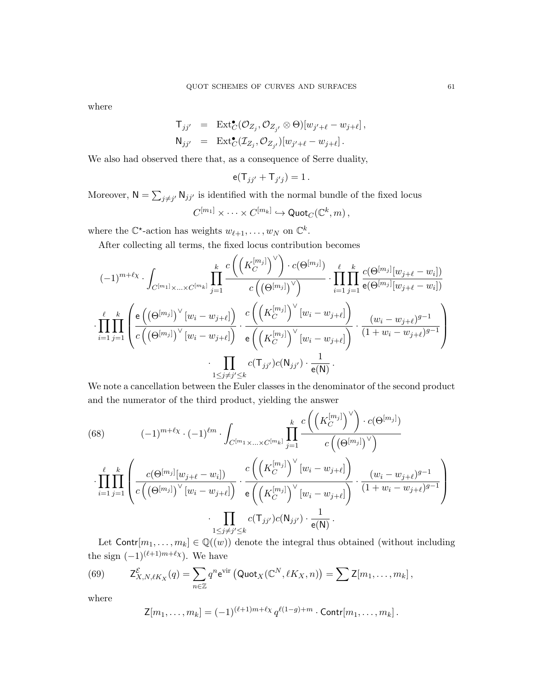where

$$
\begin{array}{rcl}\n\mathsf{T}_{jj'} & = & \mathrm{Ext}^{\bullet}_{C}(\mathcal{O}_{Z_{j}}, \mathcal{O}_{Z_{j'}} \otimes \Theta)[w_{j'+\ell} - w_{j+\ell}], \\
\mathsf{N}_{jj'} & = & \mathrm{Ext}^{\bullet}_{C}(\mathcal{I}_{Z_{j}}, \mathcal{O}_{Z_{j'}})[w_{j'+\ell} - w_{j+\ell}].\n\end{array}
$$

We also had observed there that, as a consequence of Serre duality,

$$
\mathsf{e}(\mathsf{T}_{jj'}+\mathsf{T}_{j'j})=1\,.
$$

Moreover,  $N = \sum_{j \neq j'} N_{jj'}$  is identified with the normal bundle of the fixed locus

$$
C^{[m_1]}\times \cdots \times C^{[m_k]}\hookrightarrow \mathsf{Quot}_C(\mathbb{C}^k,m)\,,
$$

where the  $\mathbb{C}^*$ -action has weights  $w_{\ell+1}, \ldots, w_N$  on  $\mathbb{C}^k$ .

After collecting all terms, the fixed locus contribution becomes

$$
(-1)^{m+\ell_{\chi}} \cdot \int_{C^{[m_1]}\times\ldots\times C^{[m_k]}} \prod_{j=1}^k \frac{c\left(\left(K_C^{[m_j]}\right)^{\vee}\right) \cdot c(\Theta^{[m_j]})}{c\left(\left(\Theta^{[m_j]}\right)^{\vee}\right)} \cdot \prod_{i=1}^{\ell} \prod_{j=1}^k \frac{c(\Theta^{[m_j]}[w_{j+\ell}-w_i])}{e(\Theta^{[m_j]}[w_{j+\ell}-w_i])}
$$

$$
\cdot \prod_{i=1}^{\ell} \prod_{j=1}^k \left(\frac{e\left(\left(\Theta^{[m_j]}\right)^{\vee}[w_i-w_{j+\ell}]\right)}{c\left(\left(\Theta^{[m_j]}\right)^{\vee}[w_i-w_{j+\ell}]\right)} \cdot \frac{c\left(\left(K_C^{[m_j]}\right)^{\vee}[w_i-w_{j+\ell}]\right)}{e\left(\left(K_C^{[m_j]}\right)^{\vee}[w_i-w_{j+\ell}]\right)} \cdot \frac{(w_i-w_{j+\ell})^{g-1}}{(1+w_i-w_{j+\ell})^{g-1}}\right)
$$

$$
\cdot \prod_{1 \leq j \neq j' \leq k} c(\mathsf{T}_{jj'}) c(\mathsf{N}_{jj'}) \cdot \frac{1}{e(\mathsf{N})}.
$$

We note a cancellation between the Euler classes in the denominator of the second product and the numerator of the third product, yielding the answer

(68) 
$$
(-1)^{m+\ell_{\chi}} \cdot (-1)^{\ell m} \cdot \int_{C^{[m_1} \times ... \times C^{[m_k]}} \prod_{j=1}^k \frac{c\left(\left(K_C^{[m_j]}\right)^{\vee}\right) \cdot c(\Theta^{[m_j]})}{c\left(\left(\Theta^{[m_j]}\right)^{\vee}\right)} \cdot \prod_{i=1}^{\ell} \prod_{j=1}^k \left(\frac{c(\Theta^{[m_j]}[w_{j+\ell}-w_i])}{c\left(\left(\left(\Theta^{[m_j]}\right)^{\vee}[w_i-w_{j+\ell}]\right)} \cdot \frac{c\left(\left(K_C^{[m_j]}\right)^{\vee}[w_i-w_{j+\ell}]\right)}{e\left(\left(K_C^{[m_j]}\right)^{\vee}[w_i-w_{j+\ell}]\right)} \cdot \frac{(w_i-w_{j+\ell})^{g-1}}{(1+w_i-w_{j+\ell})^{g-1}}\right) \cdot \prod_{1 \le j \ne j' \le k} c(\mathsf{T}_{jj'}) c(\mathsf{N}_{jj'}) \cdot \frac{1}{e(\mathsf{N})}.
$$

Let  $\text{Contr}[m_1, \ldots, m_k] \in \mathbb{Q}((w))$  denote the integral thus obtained (without including the sign  $(-1)^{(\ell+1)m+\ell_{\chi}}$ . We have

(69) 
$$
\mathsf{Z}^{\mathcal{E}}_{X,N,\ell K_X}(q) = \sum_{n \in \mathbb{Z}} q^n \mathrm{e}^{\mathrm{vir}} \left( \mathrm{Quot}_X(\mathbb{C}^N, \ell K_X, n) \right) = \sum \mathsf{Z}[m_1, \ldots, m_k],
$$

where

$$
\mathsf{Z}[m_1,\ldots,m_k] = (-1)^{(\ell+1)m+\ell_X} q^{\ell(1-g)+m} \cdot \text{Contr}[m_1,\ldots,m_k].
$$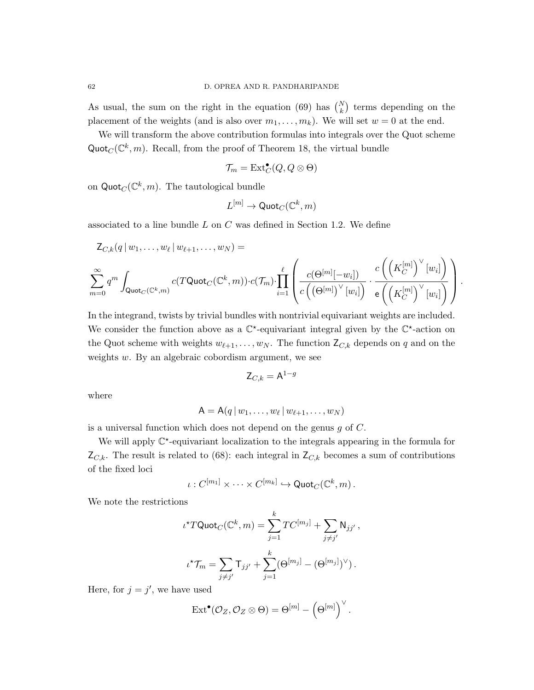As usual, the sum on the right in the equation (69) has  $\binom{N}{k}$  terms depending on the placement of the weights (and is also over  $m_1, \ldots, m_k$ ). We will set  $w = 0$  at the end.

We will transform the above contribution formulas into integrals over the Quot scheme Quot $_C(\mathbb{C}^k, m)$ . Recall, from the proof of Theorem 18, the virtual bundle

$$
\mathcal{T}_m = \text{Ext}^{\bullet}_C(Q, Q \otimes \Theta)
$$

on  $\mathsf{Quot}_C(\mathbb{C}^k,m)$ . The tautological bundle

$$
L^{[m]}\to\mathsf{Quot}_C(\mathbb{C}^k,m)
$$

associated to a line bundle  $L$  on  $C$  was defined in Section 1.2. We define

$$
Z_{C,k}(q|w_1,\ldots,w_\ell|w_{\ell+1},\ldots,w_N) =
$$
  

$$
\sum_{m=0}^\infty q^m \int_{\text{Quot}_C(\mathbb{C}^k,m)} c(T\text{Quot}_C(\mathbb{C}^k,m)) \cdot c(\mathcal{T}_m) \cdot \prod_{i=1}^\ell \left( \frac{c(\Theta^{[m]}[-w_i])}{c((\Theta^{[m]})^\vee[w_i])} \cdot \frac{c\left(\left(K_C^{[m]}\right)^\vee[w_i]\right)}{e\left(\left(K_C^{[m]}\right)^\vee[w_i]\right)} \right).
$$

In the integrand, twists by trivial bundles with nontrivial equivariant weights are included. We consider the function above as a  $\mathbb{C}^*$ -equivariant integral given by the  $\mathbb{C}^*$ -action on the Quot scheme with weights  $w_{\ell+1}, \ldots, w_N$ . The function  $\mathsf{Z}_{C,k}$  depends on q and on the weights w. By an algebraic cobordism argument, we see

$$
\mathsf{Z}_{C,k} = \mathsf{A}^{1-g}
$$

where

$$
A = A(q | w_1, \ldots, w_\ell | w_{\ell+1}, \ldots, w_N)
$$

is a universal function which does not depend on the genus  $q$  of  $C$ .

We will apply  $\mathbb{C}^*$ -equivariant localization to the integrals appearing in the formula for  $Z_{C,k}$ . The result is related to (68): each integral in  $Z_{C,k}$  becomes a sum of contributions of the fixed loci

$$
\iota: C^{[m_1]} \times \cdots \times C^{[m_k]} \hookrightarrow \mathrm{Quot}_C(\mathbb{C}^k, m).
$$

We note the restrictions

$$
\iota^{\star} T \text{Quot}_C(\mathbb{C}^k, m) = \sum_{j=1}^k T C^{[m_j]} + \sum_{j \neq j'} \mathsf{N}_{jj'},
$$

$$
\iota^{\star} \mathcal{T}_m = \sum_{j \neq j'} \mathsf{T}_{jj'} + \sum_{j=1}^k (\Theta^{[m_j]} - (\Theta^{[m_j]})^{\vee}).
$$

Here, for  $j = j'$ , we have used

$$
\text{Ext}^{\bullet}(\mathcal{O}_{Z}, \mathcal{O}_{Z} \otimes \Theta) = \Theta^{[m]} - (\Theta^{[m]})^{\vee}.
$$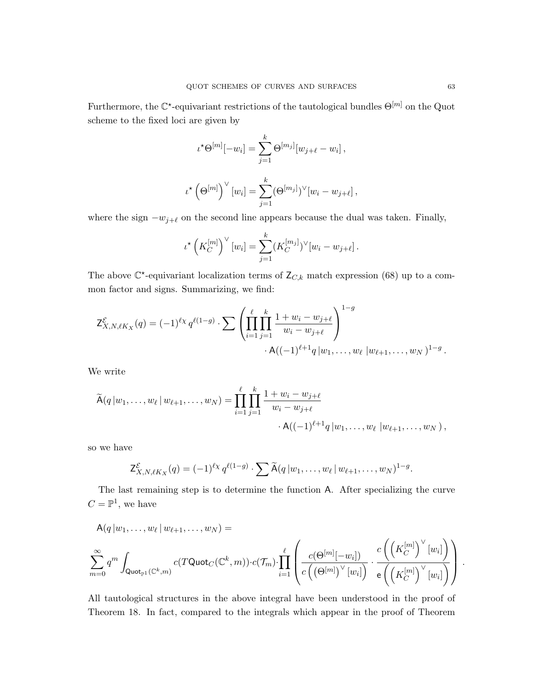Furthermore, the  $\mathbb{C}^*$ -equivariant restrictions of the tautological bundles  $\Theta^{[m]}$  on the Quot scheme to the fixed loci are given by

$$
\iota^{\star}\Theta^{[m]}[-w_i] = \sum_{j=1}^{k} \Theta^{[m_j]}[w_{j+\ell} - w_i],
$$
  

$$
\iota^{\star}\left(\Theta^{[m]}\right)^{\vee}[w_i] = \sum_{j=1}^{k} (\Theta^{[m_j]})^{\vee}[w_i - w_{j+\ell}],
$$

where the sign  $-w_{j+\ell}$  on the second line appears because the dual was taken. Finally,

$$
\iota^* \left( K_C^{[m]} \right)^{\vee} [w_i] = \sum_{j=1}^k (K_C^{[m_j]})^{\vee} [w_i - w_{j+\ell}].
$$

The above  $\mathbb{C}^*$ -equivariant localization terms of  $Z_{C,k}$  match expression (68) up to a common factor and signs. Summarizing, we find:

$$
\mathsf{Z}^{\mathcal{E}}_{X,N,\ell K_X}(q) = (-1)^{\ell_X} q^{\ell(1-g)} \cdot \sum \left( \prod_{i=1}^{\ell} \prod_{j=1}^{k} \frac{1+w_i - w_{j+\ell}}{w_i - w_{j+\ell}} \right)^{1-g} \cdot \mathsf{A}((-1)^{\ell+1} q | w_1, \dots, w_{\ell} | w_{\ell+1}, \dots, w_N)^{1-g}.
$$

We write

$$
\widetilde{A}(q|w_1,\ldots,w_\ell|w_{\ell+1},\ldots,w_N) = \prod_{i=1}^\ell \prod_{j=1}^k \frac{1+w_i-w_{j+\ell}}{w_i-w_{j+\ell}} \cdot A((-1)^{\ell+1}q|w_1,\ldots,w_\ell|w_{\ell+1},\ldots,w_N),
$$

so we have

$$
\mathsf{Z}^{\mathcal{E}}_{X,N,\ell K_X}(q) = (-1)^{\ell_X} q^{\ell(1-g)} \cdot \sum \widetilde{\mathsf{A}}(q|w_1,\ldots,w_\ell|w_{\ell+1},\ldots,w_N)^{1-g}.
$$

The last remaining step is to determine the function A. After specializing the curve  $C=\mathbb{P}^1$ , we have

$$
A(q|w_1,\ldots,w_\ell|w_{\ell+1},\ldots,w_N) = \sum_{m=0}^\infty q^m \int_{\text{Quot}_{\mathbb{P}^1}(\mathbb{C}^k,m)} c(T\text{Quot}_C(\mathbb{C}^k,m)) \cdot c(\mathcal{T}_m) \cdot \prod_{i=1}^\ell \left( \frac{c(\Theta^{[m]}[-w_i])}{c\left(\left(\Theta^{[m]}\right)^\vee[w_i]\right)} \cdot \frac{c\left(\left(K_C^{[m]}\right)^\vee[w_i]\right)}{e\left(\left(K_C^{[m]}\right)^\vee[w_i]\right)} \right).
$$

All tautological structures in the above integral have been understood in the proof of Theorem 18. In fact, compared to the integrals which appear in the proof of Theorem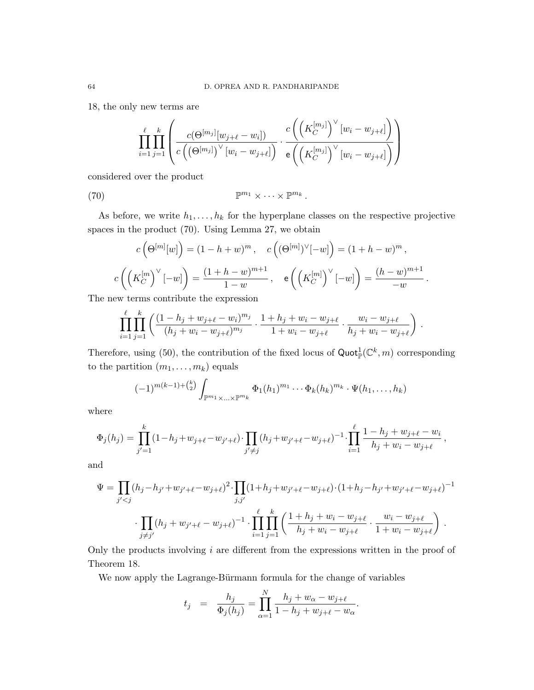18, the only new terms are

$$
\prod_{i=1}^{\ell} \prod_{j=1}^{k} \left( \frac{c(\Theta^{[m_j]}[w_{j+\ell}-w_i])}{c\left(\left(\Theta^{[m_j]}\right)^{\vee}[w_i-w_{j+\ell}]\right)} \cdot \frac{c\left(\left(K_C^{[m_j]}\right)^{\vee}[w_i-w_{j+\ell}]\right)}{e\left(\left(K_C^{[m_j]}\right)^{\vee}[w_i-w_{j+\ell}]\right)} \right)
$$

considered over the product

(70) 
$$
\mathbb{P}^{m_1} \times \cdots \times \mathbb{P}^{m_k}.
$$

As before, we write  $h_1, \ldots, h_k$  for the hyperplane classes on the respective projective spaces in the product (70). Using Lemma 27, we obtain

$$
c\left(\Theta^{[m]}[w]\right) = (1 - h + w)^m, \quad c\left((\Theta^{[m]})^{\vee}[-w]\right) = (1 + h - w)^m,
$$

$$
c\left(\left(K_C^{[m]}\right)^{\vee}[-w]\right) = \frac{(1 + h - w)^{m+1}}{1 - w}, \quad e\left(\left(K_C^{[m]}\right)^{\vee}[-w]\right) = \frac{(h - w)^{m+1}}{-w}.
$$

The new terms contribute the expression

$$
\prod_{i=1}^{\ell} \prod_{j=1}^{k} \left( \frac{(1-h_j+w_{j+\ell}-w_i)^{m_j}}{(h_j+w_i-w_{j+\ell})^{m_j}} \cdot \frac{1+h_j+w_i-w_{j+\ell}}{1+w_i-w_{j+\ell}} \cdot \frac{w_i-w_{j+\ell}}{h_j+w_i-w_{j+\ell}} \right) .
$$

Therefore, using (50), the contribution of the fixed locus of  $\text{Quot}_{\mathbb{P}}^1(\mathbb{C}^k, m)$  corresponding to the partition  $(m_1, \ldots, m_k)$  equals

$$
(-1)^{m(k-1)+\binom{k}{2}}\int_{\mathbb{P}^{m_1}\times\ldots\times\mathbb{P}^{m_k}}\Phi_1(h_1)^{m_1}\cdots\Phi_k(h_k)^{m_k}\cdot\Psi(h_1,\ldots,h_k)
$$

where

$$
\Phi_j(h_j) = \prod_{j'=1}^k (1-h_j+w_{j+\ell}-w_{j'+\ell}) \cdot \prod_{j'\neq j} (h_j+w_{j'+\ell}-w_{j+\ell})^{-1} \cdot \prod_{i=1}^\ell \frac{1-h_j+w_{j+\ell}-w_i}{h_j+w_i-w_{j+\ell}},
$$

and

$$
\Psi = \prod_{j' < j} (h_j - h_{j'} + w_{j'+\ell} - w_{j+\ell})^2 \cdot \prod_{j,j'} (1 + h_j + w_{j'+\ell} - w_{j+\ell}) \cdot (1 + h_j - h_{j'} + w_{j'+\ell} - w_{j+\ell})^{-1} \\
 \cdot \prod_{j \neq j'} (h_j + w_{j'+\ell} - w_{j+\ell})^{-1} \cdot \prod_{i=1}^{\ell} \prod_{j=1}^{k} \left( \frac{1 + h_j + w_i - w_{j+\ell}}{h_j + w_i - w_{j+\ell}} \cdot \frac{w_i - w_{j+\ell}}{1 + w_i - w_{j+\ell}} \right) \, .
$$

Only the products involving  $i$  are different from the expressions written in the proof of Theorem 18.

We now apply the Lagrange-Bürmann formula for the change of variables

$$
t_j = \frac{h_j}{\Phi_j(h_j)} = \prod_{\alpha=1}^N \frac{h_j + w_{\alpha} - w_{j+\ell}}{1 - h_j + w_{j+\ell} - w_{\alpha}}.
$$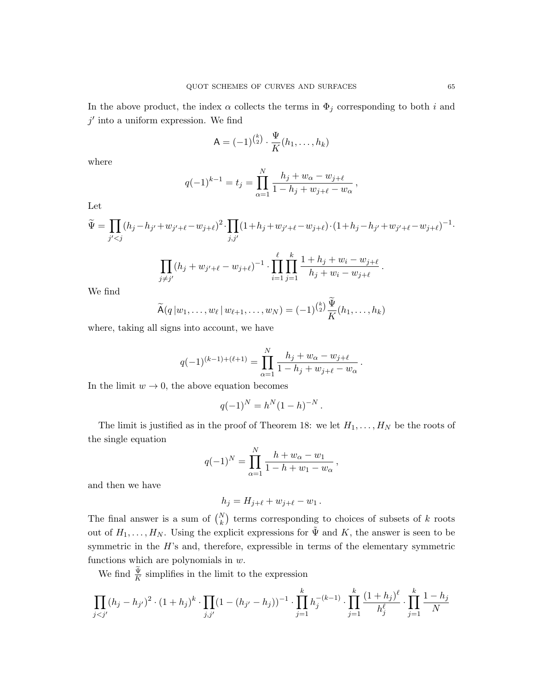In the above product, the index  $\alpha$  collects the terms in  $\Phi_j$  corresponding to both i and  $j'$  into a uniform expression. We find

$$
\mathsf{A} = (-1)^{\binom{k}{2}} \cdot \frac{\Psi}{K}(h_1, \dots, h_k)
$$

where

$$
q(-1)^{k-1} = t_j = \prod_{\alpha=1}^N \frac{h_j + w_\alpha - w_{j+\ell}}{1 - h_j + w_{j+\ell} - w_\alpha},
$$

Let

$$
\widetilde{\Psi} = \prod_{j' < j} (h_j - h_{j'} + w_{j'+\ell} - w_{j+\ell})^2 \cdot \prod_{j,j'} (1 + h_j + w_{j'+\ell} - w_{j+\ell}) \cdot (1 + h_j - h_{j'} + w_{j'+\ell} - w_{j+\ell})^{-1}.
$$

$$
\prod_{j \neq j'} (h_j + w_{j'+\ell} - w_{j+\ell})^{-1} \cdot \prod_{i=1}^{\ell} \prod_{j=1}^{\kappa} \frac{1 + h_j + w_i - w_{j+\ell}}{h_j + w_i - w_{j+\ell}}.
$$

We find

$$
\widetilde{\mathsf{A}}(q|w_1,\ldots,w_\ell|w_{\ell+1},\ldots,w_N) = (-1)^{\binom{k}{2}} \frac{\Psi}{K}(h_1,\ldots,h_k)
$$

where, taking all signs into account, we have

$$
q(-1)^{(k-1)+(\ell+1)} = \prod_{\alpha=1}^{N} \frac{h_j + w_{\alpha} - w_{j+\ell}}{1 - h_j + w_{j+\ell} - w_{\alpha}}.
$$

In the limit  $w \to 0$ , the above equation becomes

$$
q(-1)^N = h^N (1-h)^{-N}.
$$

The limit is justified as in the proof of Theorem 18: we let  $H_1, \ldots, H_N$  be the roots of the single equation

$$
q(-1)^N = \prod_{\alpha=1}^N \frac{h + w_\alpha - w_1}{1 - h + w_1 - w_\alpha},
$$

and then we have

$$
h_j = H_{j+\ell} + w_{j+\ell} - w_1.
$$

The final answer is a sum of  $\binom{N}{k}$  terms corresponding to choices of subsets of k roots out of  $H_1, \ldots, H_N$ . Using the explicit expressions for  $\tilde{\Psi}$  and K, the answer is seen to be symmetric in the  $H$ 's and, therefore, expressible in terms of the elementary symmetric functions which are polynomials in  $w$ .

We find  $\frac{\Psi}{K}$  simplifies in the limit to the expression

$$
\prod_{j < j'} (h_j - h_{j'})^2 \cdot (1 + h_j)^k \cdot \prod_{j, j'} (1 - (h_{j'} - h_j))^{-1} \cdot \prod_{j=1}^k h_j^{-(k-1)} \cdot \prod_{j=1}^k \frac{(1 + h_j)^\ell}{h_j^\ell} \cdot \prod_{j=1}^k \frac{1 - h_j}{N}
$$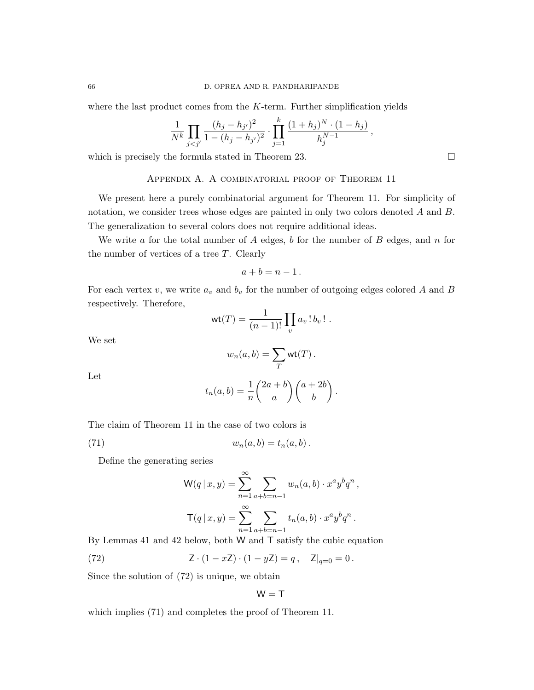where the last product comes from the  $K$ -term. Further simplification yields

$$
\frac{1}{N^k} \prod_{j < j'} \frac{(h_j - h_{j'})^2}{1 - (h_j - h_{j'})^2} \cdot \prod_{j=1}^k \frac{(1 + h_j)^N \cdot (1 - h_j)}{h_j^{N-1}},
$$

which is precisely the formula stated in Theorem 23.

Appendix A. A combinatorial proof of Theorem 11

We present here a purely combinatorial argument for Theorem 11. For simplicity of notation, we consider trees whose edges are painted in only two colors denoted A and B. The generalization to several colors does not require additional ideas.

We write a for the total number of  $A$  edges,  $b$  for the number of  $B$  edges, and  $n$  for the number of vertices of a tree T. Clearly

$$
a+b=n-1.
$$

For each vertex v, we write  $a_v$  and  $b_v$  for the number of outgoing edges colored A and B respectively. Therefore,

$$
\operatorname{wt}(T) = \frac{1}{(n-1)!} \prod_v a_v! b_v! .
$$

We set

$$
w_n(a,b) = \sum_T \text{wt}(T).
$$

Let

$$
t_n(a,b) = \frac{1}{n} \binom{2a+b}{a} \binom{a+2b}{b}.
$$

The claim of Theorem 11 in the case of two colors is

(71)  $w_n(a, b) = t_n(a, b).$ 

Define the generating series

$$
W(q | x, y) = \sum_{n=1}^{\infty} \sum_{a+b=n-1} w_n(a, b) \cdot x^a y^b q^n,
$$
  

$$
T(q | x, y) = \sum_{n=1}^{\infty} \sum_{a+b=n-1} t_n(a, b) \cdot x^a y^b q^n.
$$

By Lemmas 41 and 42 below, both W and T satisfy the cubic equation

(72) 
$$
Z \cdot (1 - xZ) \cdot (1 - yZ) = q, \quad Z|_{q=0} = 0.
$$

Since the solution of (72) is unique, we obtain

$$
\mathsf{W}=\mathsf{T}
$$

which implies (71) and completes the proof of Theorem 11.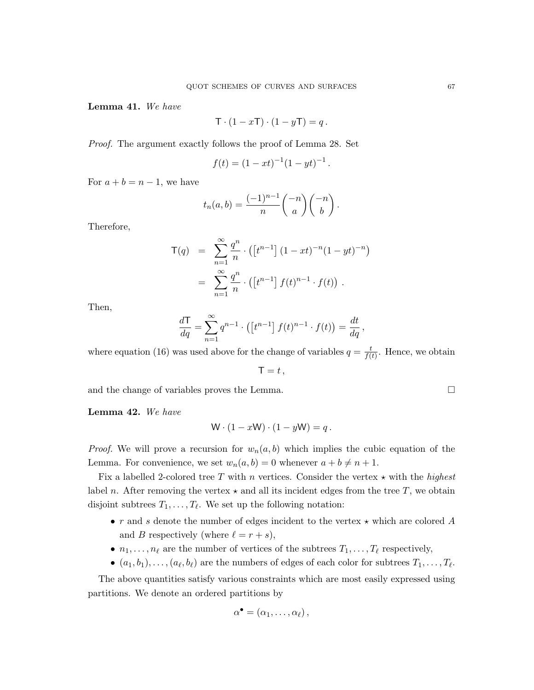Lemma 41. We have

$$
\mathsf{T} \cdot (1 - x\mathsf{T}) \cdot (1 - y\mathsf{T}) = q.
$$

Proof. The argument exactly follows the proof of Lemma 28. Set

$$
f(t) = (1 - xt)^{-1} (1 - yt)^{-1}.
$$

For  $a + b = n - 1$ , we have

$$
t_n(a,b) = \frac{(-1)^{n-1}}{n} \binom{-n}{a} \binom{-n}{b}.
$$

Therefore,

$$
\mathsf{T}(q) = \sum_{n=1}^{\infty} \frac{q^n}{n} \cdot \left( \left[ t^{n-1} \right] (1 - xt)^{-n} (1 - yt)^{-n} \right)
$$

$$
= \sum_{n=1}^{\infty} \frac{q^n}{n} \cdot \left( \left[ t^{n-1} \right] f(t)^{n-1} \cdot f(t) \right).
$$

Then,

$$
\frac{d\mathsf{T}}{dq} = \sum_{n=1}^{\infty} q^{n-1} \cdot \left( \left[ t^{n-1} \right] f(t)^{n-1} \cdot f(t) \right) = \frac{dt}{dq},
$$

where equation (16) was used above for the change of variables  $q = \frac{t}{f}$  $\frac{t}{f(t)}$ . Hence, we obtain

 $\mathsf{T} = t$ .

and the change of variables proves the Lemma.

Lemma 42. We have

$$
\mathsf{W} \cdot (1 - x\mathsf{W}) \cdot (1 - y\mathsf{W}) = q.
$$

*Proof.* We will prove a recursion for  $w_n(a, b)$  which implies the cubic equation of the Lemma. For convenience, we set  $w_n(a, b) = 0$  whenever  $a + b \neq n + 1$ .

Fix a labelled 2-colored tree  $T$  with n vertices. Consider the vertex  $\star$  with the highest label n. After removing the vertex  $\star$  and all its incident edges from the tree T, we obtain disjoint subtrees  $T_1, \ldots, T_\ell$ . We set up the following notation:

- r and s denote the number of edges incident to the vertex  $\star$  which are colored A and B respectively (where  $\ell = r + s$ ),
- $n_1, \ldots, n_\ell$  are the number of vertices of the subtrees  $T_1, \ldots, T_\ell$  respectively,
- $(a_1, b_1), \ldots, (a_\ell, b_\ell)$  are the numbers of edges of each color for subtrees  $T_1, \ldots, T_\ell$ .

The above quantities satisfy various constraints which are most easily expressed using partitions. We denote an ordered partitions by

$$
\alpha^{\bullet}=(\alpha_1,\ldots,\alpha_{\ell}),
$$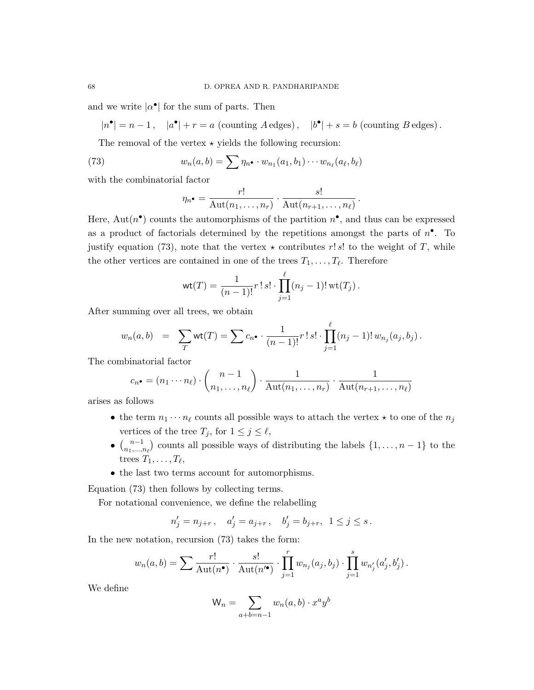and we write  $|\alpha^{\bullet}|$  for the sum of parts. Then

$$
|n^{\bullet}| = n - 1, \quad |a^{\bullet}| + r = a \text{ (counting } A \text{ edges)}, \quad |b^{\bullet}| + s = b \text{ (counting } B \text{ edges)}.
$$

The removal of the vertex  $\star$  yields the following recursion:

(73) 
$$
w_n(a,b) = \sum \eta_n \cdot w_{n_1}(a_1,b_1) \cdots w_{n_\ell}(a_\ell,b_\ell)
$$

with the combinatorial factor

$$
\eta_{n^{\bullet}} = \frac{r!}{\mathrm{Aut}(n_1,\ldots,n_r)} \cdot \frac{s!}{\mathrm{Aut}(n_{r+1},\ldots,n_{\ell})}.
$$

Here, Aut $(n^{\bullet})$  counts the automorphisms of the partition  $n^{\bullet}$ , and thus can be expressed as a product of factorials determined by the repetitions amongst the parts of  $n^{\bullet}$ . To justify equation (73), note that the vertex  $\star$  contributes r! s! to the weight of T, while the other vertices are contained in one of the trees  $T_1, \ldots, T_\ell$ . Therefore

$$
\text{wt}(T) = \frac{1}{(n-1)!} r! \, s! \cdot \prod_{j=1}^{\ell} (n_j - 1)! \, \text{wt}(T_j) \, .
$$

After summing over all trees, we obtain

$$
w_n(a,b) = \sum_T \text{wt}(T) = \sum c_n \cdot \frac{1}{(n-1)!} r! \, s! \cdot \prod_{j=1}^\ell (n_j-1)! \, w_{n_j}(a_j, b_j) \, .
$$

The combinatorial factor

$$
c_{n^{\bullet}} = (n_1 \cdots n_{\ell}) \cdot {n-1 \choose n_1, \ldots, n_{\ell}} \cdot \frac{1}{\mathrm{Aut}(n_1, \ldots, n_r)} \cdot \frac{1}{\mathrm{Aut}(n_{r+1}, \ldots, n_{\ell})}
$$

arises as follows

- the term  $n_1 \cdots n_\ell$  counts all possible ways to attach the vertex  $\star$  to one of the  $n_j$ vertices of the tree  $T_j$ , for  $1 \leq j \leq \ell$ ,
- $\bullet \ \binom{n-1}{n}$  $\binom{n-1}{n_1,\ldots,n_\ell}$  counts all possible ways of distributing the labels  $\{1,\ldots,n-1\}$  to the trees  $T_1, \ldots, T_\ell$ ,
- the last two terms account for automorphisms.

Equation (73) then follows by collecting terms.

For notational convenience, we define the relabelling

$$
n'_j = n_{j+r} \,, \quad a'_j = a_{j+r} \,, \quad b'_j = b_{j+r} , \ \ 1 \leq j \leq s \,.
$$

In the new notation, recursion (73) takes the form:

$$
w_n(a,b) = \sum \frac{r!}{\mathrm{Aut}(n^{\bullet})} \cdot \frac{s!}{\mathrm{Aut}(n'^{\bullet})} \cdot \prod_{j=1}^r w_{n_j}(a_j,b_j) \cdot \prod_{j=1}^s w_{n'_j}(a'_j,b'_j).
$$

We define

$$
W_n = \sum_{a+b=n-1} w_n(a,b) \cdot x^a y^b
$$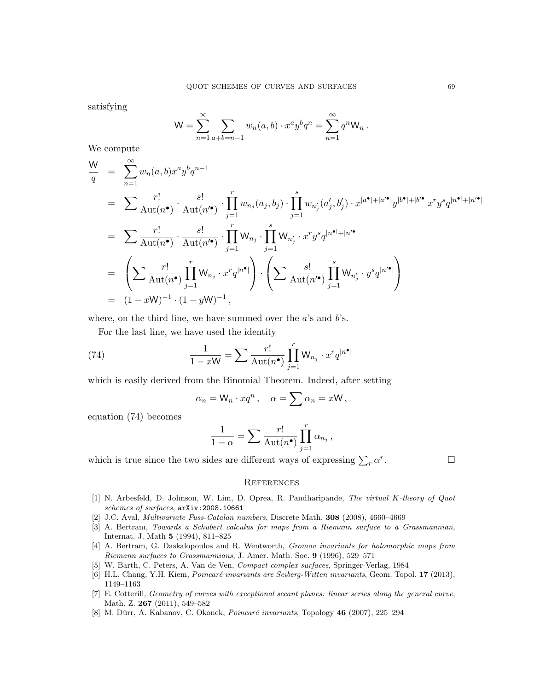satisfying

$$
\mathsf{W} = \sum_{n=1}^{\infty} \sum_{a+b=n-1} w_n(a,b) \cdot x^a y^b q^n = \sum_{n=1}^{\infty} q^n \mathsf{W}_n \, .
$$

We compute

$$
\frac{W}{q} = \sum_{n=1}^{\infty} w_n(a,b)x^a y^b q^{n-1}
$$
\n
$$
= \sum \frac{r!}{\text{Aut}(n^{\bullet})} \cdot \frac{s!}{\text{Aut}(n'^{\bullet})} \cdot \prod_{j=1}^r w_{n_j}(a_j, b_j) \cdot \prod_{j=1}^s w_{n'_j}(a'_j, b'_j) \cdot x^{|a^{\bullet}|+|a'^{\bullet}|} y^{|b^{\bullet}|+|b'^{\bullet}|} x^r y^s q^{|n^{\bullet}|+|n'^{\bullet}|}
$$
\n
$$
= \sum \frac{r!}{\text{Aut}(n^{\bullet})} \cdot \frac{s!}{\text{Aut}(n'^{\bullet})} \cdot \prod_{j=1}^r W_{n_j} \cdot \prod_{j=1}^s W_{n'_j} \cdot x^r y^s q^{|n^{\bullet}|+|n'^{\bullet}|}
$$
\n
$$
= \left( \sum \frac{r!}{\text{Aut}(n^{\bullet})} \prod_{j=1}^r W_{n_j} \cdot x^r q^{|n^{\bullet}|} \right) \cdot \left( \sum \frac{s!}{\text{Aut}(n'^{\bullet})} \prod_{j=1}^s W_{n'_j} \cdot y^s q^{|n'^{\bullet}|} \right)
$$
\n
$$
= (1-xW)^{-1} \cdot (1-yW)^{-1},
$$

where, on the third line, we have summed over the  $a$ 's and  $b$ 's.

For the last line, we have used the identity

(74) 
$$
\frac{1}{1-xW} = \sum \frac{r!}{\text{Aut}(n^{\bullet})} \prod_{j=1}^{r} W_{n_j} \cdot x^r q^{|n^{\bullet}|}
$$

which is easily derived from the Binomial Theorem. Indeed, after setting

$$
\alpha_n = \mathsf{W}_n \cdot xq^n, \quad \alpha = \sum \alpha_n = x\mathsf{W},
$$

equation (74) becomes

$$
\frac{1}{1-\alpha} = \sum \frac{r!}{\mathrm{Aut}(n^{\bullet})} \prod_{j=1}^r \alpha_{n_j},
$$

which is true since the two sides are different ways of expressing  $\sum_{r} \alpha^{r}$ 

. — Профессор — Профессор — Профессор — Профессор — Профессор — Профессор — Профессор — Профессор — Профессор <br>В профессор — Профессор — Профессор — Профессор — Профессор — Профессор — Профессор — Профессор — Профессор —

#### **REFERENCES**

- [1] N. Arbesfeld, D. Johnson, W. Lim, D. Oprea, R. Pandharipande, The virtual K-theory of Quot schemes of surfaces, arXiv:2008.10661
- [2] J.C. Aval, Multivariate Fuss-Catalan numbers, Discrete Math. 308 (2008), 4660–4669
- [3] A. Bertram, Towards a Schubert calculus for maps from a Riemann surface to a Grassmannian, Internat. J. Math 5 (1994), 811–825
- [4] A. Bertram, G. Daskalopoulos and R. Wentworth, Gromov invariants for holomorphic maps from Riemann surfaces to Grassmannians, J. Amer. Math. Soc. 9 (1996), 529–571
- [5] W. Barth, C. Peters, A. Van de Ven, Compact complex surfaces, Springer-Verlag, 1984
- [6] H.L. Chang, Y.H. Kiem, *Poincaré invariants are Seiberg-Witten invariants*, Geom. Topol. 17 (2013), 1149–1163
- [7] E. Cotterill, Geometry of curves with exceptional secant planes: linear series along the general curve, Math. Z. 267 (2011), 549–582
- [8] M. Dürr, A. Kabanov, C. Okonek, *Poincaré invariants*, Topology  $46$  (2007), 225–294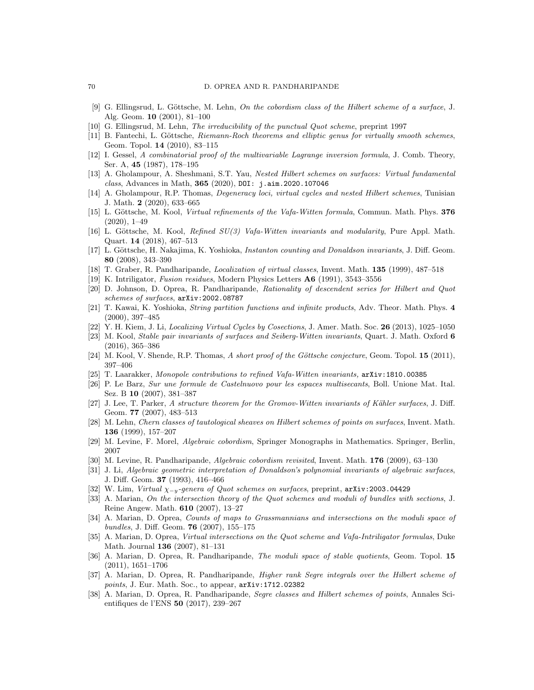- [9] G. Ellingsrud, L. Göttsche, M. Lehn, On the cobordism class of the Hilbert scheme of a surface, J. Alg. Geom. 10 (2001), 81–100
- [10] G. Ellingsrud, M. Lehn, The irreducibility of the punctual Quot scheme, preprint 1997
- [11] B. Fantechi, L. Göttsche, Riemann-Roch theorems and elliptic genus for virtually smooth schemes, Geom. Topol. 14 (2010), 83–115
- [12] I. Gessel, A combinatorial proof of the multivariable Lagrange inversion formula, J. Comb. Theory, Ser. A, 45 (1987), 178–195
- [13] A. Gholampour, A. Sheshmani, S.T. Yau, Nested Hilbert schemes on surfaces: Virtual fundamental class, Advances in Math, 365 (2020), DOI: j.aim.2020.107046
- [14] A. Gholampour, R.P. Thomas, Degeneracy loci, virtual cycles and nested Hilbert schemes, Tunisian J. Math. 2 (2020), 633–665
- [15] L. Göttsche, M. Kool, Virtual refinements of the Vafa-Witten formula, Commun. Math. Phys. 376 (2020), 1–49
- [16] L. Göttsche, M. Kool, *Refined SU(3) Vafa-Witten invariants and modularity*, Pure Appl. Math. Quart. 14 (2018), 467–513
- [17] L. Göttsche, H. Nakajima, K. Yoshioka, *Instanton counting and Donaldson invariants*, J. Diff. Geom. 80 (2008), 343–390
- [18] T. Graber, R. Pandharipande, Localization of virtual classes, Invent. Math. 135 (1999), 487–518
- [19] K. Intriligator, Fusion residues, Modern Physics Letters A6 (1991), 3543–3556
- [20] D. Johnson, D. Oprea, R. Pandharipande, Rationality of descendent series for Hilbert and Quot schemes of surfaces, arXiv:2002.08787
- [21] T. Kawai, K. Yoshioka, String partition functions and infinite products, Adv. Theor. Math. Phys. 4 (2000), 397–485
- [22] Y. H. Kiem, J. Li, *Localizing Virtual Cycles by Cosections*, J. Amer. Math. Soc. 26 (2013), 1025–1050
- [23] M. Kool, Stable pair invariants of surfaces and Seiberg-Witten invariants, Quart. J. Math. Oxford 6 (2016), 365–386
- [24] M. Kool, V. Shende, R.P. Thomas, A short proof of the Göttsche conjecture, Geom. Topol. 15 (2011), 397–406
- [25] T. Laarakker, Monopole contributions to refined Vafa-Witten invariants, arXiv:1810.00385
- [26] P. Le Barz, Sur une formule de Castelnuovo pour les espaces multisecants, Boll. Unione Mat. Ital. Sez. B 10 (2007), 381–387
- [27] J. Lee, T. Parker, A structure theorem for the Gromov-Witten invariants of Kähler surfaces, J. Diff. Geom. **77** (2007), 483–513
- [28] M. Lehn, Chern classes of tautological sheaves on Hilbert schemes of points on surfaces, Invent. Math. 136 (1999), 157–207
- [29] M. Levine, F. Morel, Algebraic cobordism, Springer Monographs in Mathematics. Springer, Berlin, 2007
- [30] M. Levine, R. Pandharipande, Algebraic cobordism revisited, Invent. Math. 176 (2009), 63–130
- [31] J. Li, Algebraic geometric interpretation of Donaldson's polynomial invariants of algebraic surfaces, J. Diff. Geom. 37 (1993), 416–466
- [32] W. Lim, Virtual  $\chi_{-y}$ -genera of Quot schemes on surfaces, preprint, arXiv:2003.04429
- [33] A. Marian, On the intersection theory of the Quot schemes and moduli of bundles with sections, J. Reine Angew. Math. 610 (2007), 13–27
- [34] A. Marian, D. Oprea, Counts of maps to Grassmannians and intersections on the moduli space of bundles, J. Diff. Geom. 76 (2007), 155–175
- [35] A. Marian, D. Oprea, Virtual intersections on the Quot scheme and Vafa-Intriligator formulas, Duke Math. Journal 136 (2007), 81–131
- [36] A. Marian, D. Oprea, R. Pandharipande, The moduli space of stable quotients, Geom. Topol. 15 (2011), 1651–1706
- [37] A. Marian, D. Oprea, R. Pandharipande, Higher rank Segre integrals over the Hilbert scheme of points, J. Eur. Math. Soc., to appear,  $arXiv:1712.02382$
- [38] A. Marian, D. Oprea, R. Pandharipande, Segre classes and Hilbert schemes of points, Annales Scientifiques de l'ENS 50 (2017), 239–267